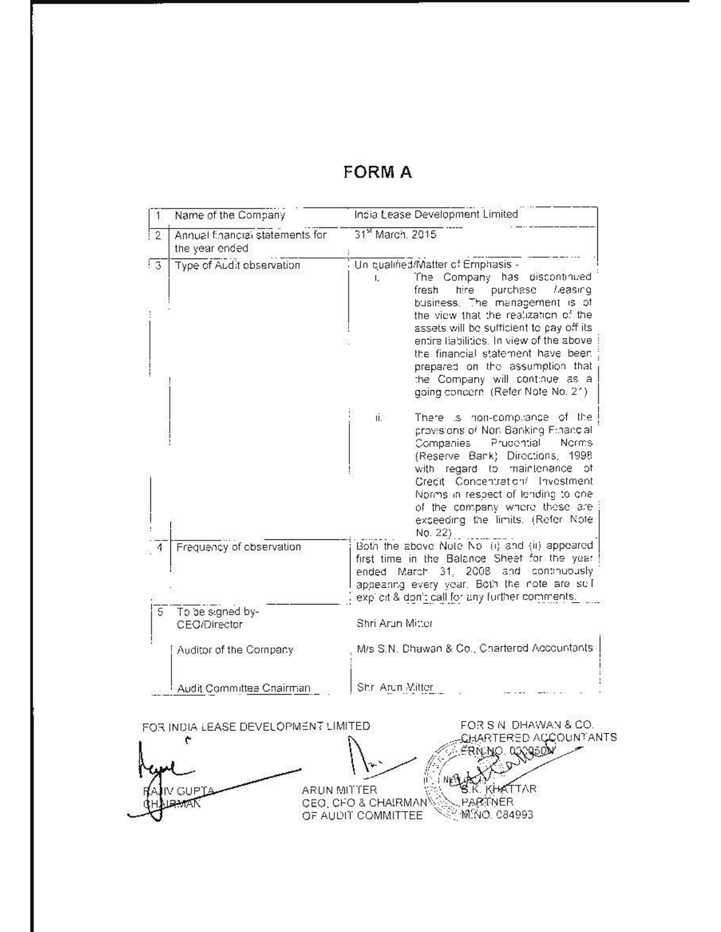## **FORM A**

| $\overline{1}$ | Name of the Company                                           | India Lease Development Limited                                                                                                                                                                                                                                                                                                                                                                                            |
|----------------|---------------------------------------------------------------|----------------------------------------------------------------------------------------------------------------------------------------------------------------------------------------------------------------------------------------------------------------------------------------------------------------------------------------------------------------------------------------------------------------------------|
| $\overline{2}$ | Annual financial statements for<br>the year ended             | 31 <sup>5</sup> March, 2015                                                                                                                                                                                                                                                                                                                                                                                                |
| $\sqrt{3}$     | Type of Audit observation                                     | Un qualified/Matter of Emphasis -<br>The Company has discontinued<br>Τ,<br>hire purchase Aeasing<br>fresh<br>business. The management is of<br>the view that the realization of the<br>assets will be sufficient to pay off its<br>entire liabilities. In view of the above<br>the financial statement have been<br>prepared on the assumption that<br>the Company will continue as a<br>going concern (Refer Note No. 21) |
|                |                                                               | ii.<br>There is non-compliance of the<br>provisions of Non-Banking Financial<br>Companies<br>Prudential<br><b>Norms</b><br>(Reserve Bank) Directions, 1998<br>with regard to maintenance of<br>Credit Concentration/ Thyestment<br>Norms in respect of lending to one<br>of the company where these are<br>exceeding the limits. (Refer Note<br>No. 22)                                                                    |
| 4              | Frequency of observation.                                     | Both the above Note No. (i) and (ii) appeared<br>first time in the Balance Sheet for the year.<br>ended March 31, 2008 and continuously<br>appearing every year. Both the note are soll<br>explicit & don't call for any further comments.                                                                                                                                                                                 |
| 5              | To be signed by-<br><b>CEO/Director</b>                       | Shri Arun Mitter                                                                                                                                                                                                                                                                                                                                                                                                           |
|                | Auditor of the Company                                        | M/s S.N. Dhawan & Co., Chartered Accountants                                                                                                                                                                                                                                                                                                                                                                               |
|                | Audit Committee Chairman                                      | Shr. Arun Mitter                                                                                                                                                                                                                                                                                                                                                                                                           |
|                | FOR INDIA LEASE DEVELOPMENT LIMITED<br>V GUPL<br><b>AAMAR</b> | FOR SINI DHAWAN & CO.<br>CHARTERED ACCOUNTANTS<br>ERIYAIO QOODDU<br>KHATTAR<br>ARUN MITTER<br>PARTNER<br>CEO, CFO & CHAIRMAN <sup>V</sup><br><u>ି ଜାନାଠା 084993</u><br>OF AUDIT COMMITTEE.                                                                                                                                                                                                                                 |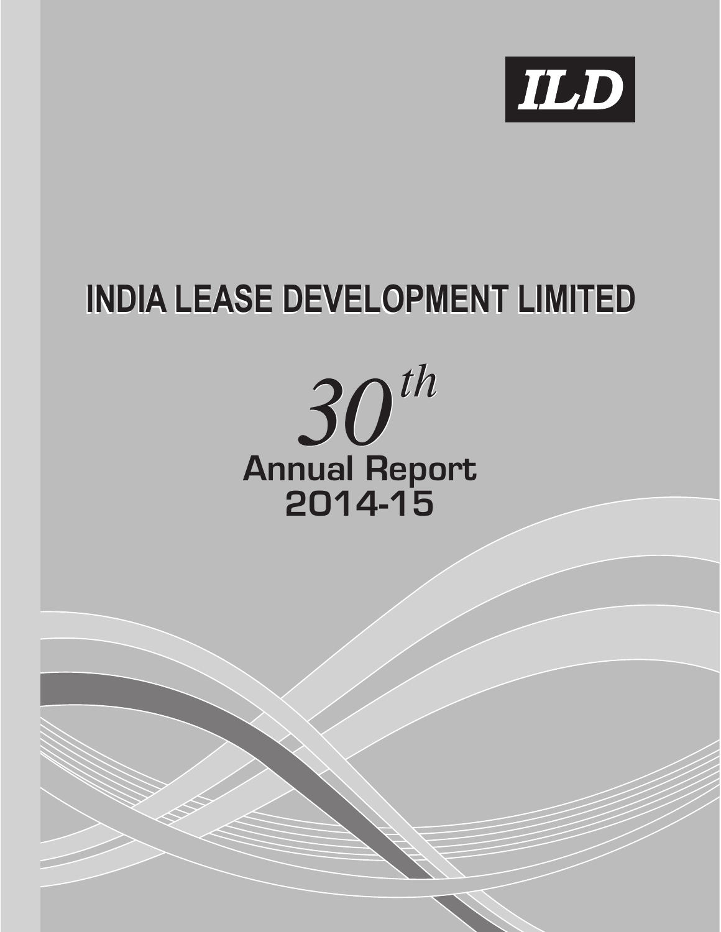

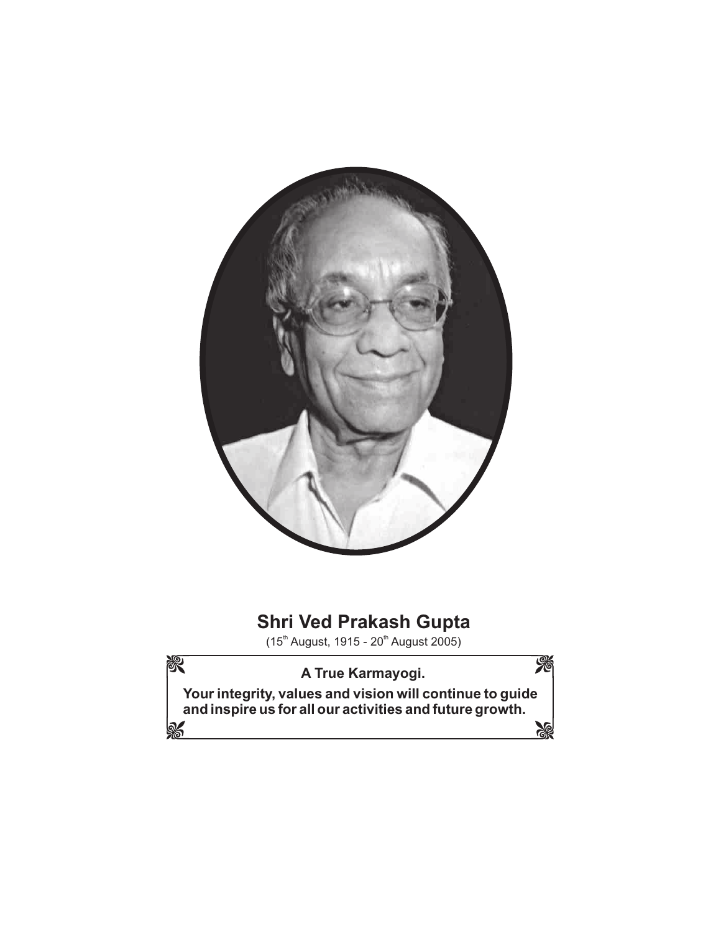

## **Shri Ved Prakash Gupta**

 $(15<sup>th</sup>$  August, 1915 - 20<sup>th</sup> August 2005)



鹦

**AR** 

**Your integrity and inspire us for all our activities and future growth. , values and vision will continue to guide** 

**See** 

 $\frac{1}{2}$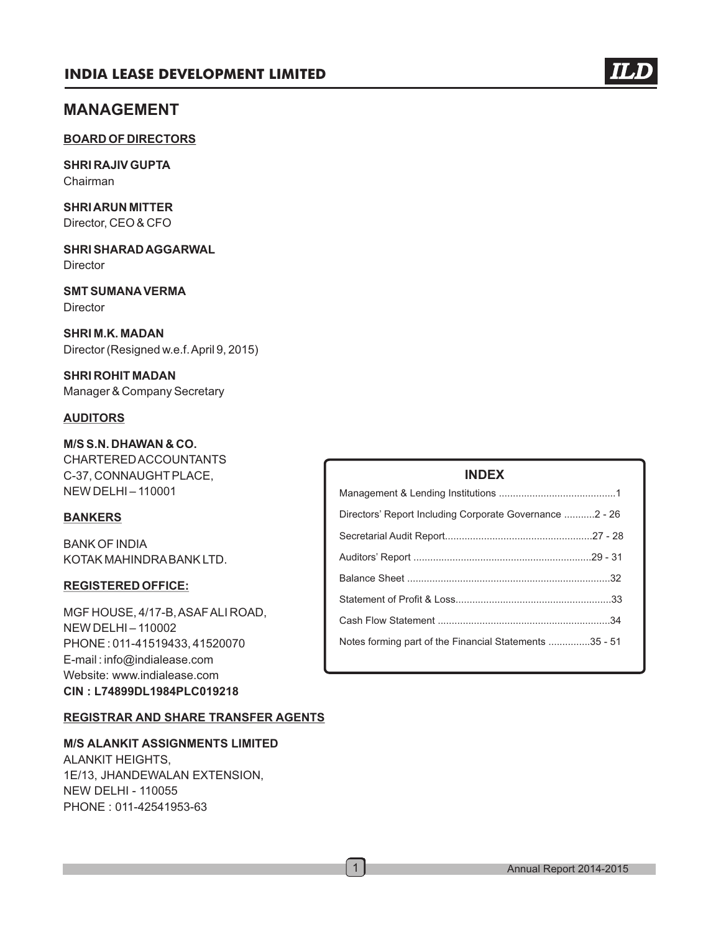## **MANAGEMENT**

#### **BOARD OF DIRECTORS**

**SHRI RAJIV GUPTA** Chairman

**SHRI ARUN MITTER** Director, CEO & CFO

**SHRI SHARAD AGGARWAL Director** 

**SMT SUMANA VERMA Director** 

**SHRI M.K. MADAN** Director (Resigned w.e.f. April 9, 2015)

**SHRI ROHIT MADAN** Manager & Company Secretary

#### **AUDITORS**

**M/S S.N. DHAWAN & CO.** CHARTERED ACCOUNTANTS C-37, CONNAUGHT PLACE, NEW DELHI – 110001

### **BANKERS**

BANK OF INDIA KOTAK MAHINDRA BANK LTD.

### **REGISTERED OFFICE:**

MGF HOUSE, 4/17-B, ASAF ALI ROAD, NEW DELHI – 110002 PHONE : 011-41519433, 41520070 E-mail : info@indialease.com Website: www.indialease.com **CIN : L74899DL1984PLC019218**

#### **REGISTRAR AND SHARE TRANSFER AGENTS**

### **M/S ALANKIT ASSIGNMENTS LIMITED**

ALANKIT HEIGHTS, 1E/13, JHANDEWALAN EXTENSION, NEW DELHI - 110055 PHONE : 011-42541953-63

| <b>INDEX</b>                                            |  |
|---------------------------------------------------------|--|
|                                                         |  |
| Directors' Report Including Corporate Governance 2 - 26 |  |
|                                                         |  |
|                                                         |  |
|                                                         |  |
|                                                         |  |
|                                                         |  |
| Notes forming part of the Financial Statements 35 - 51  |  |

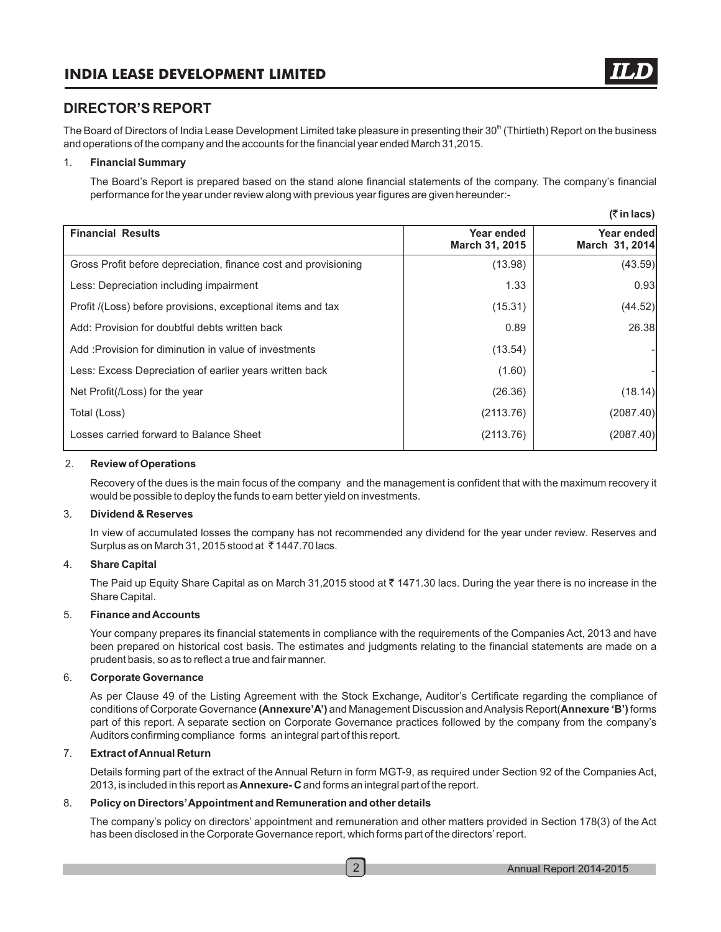

 $(\pm in \text{long})$ 

## **DIRECTOR'S REPORT**

The Board of Directors of India Lease Development Limited take pleasure in presenting their 30<sup>th</sup> (Thirtieth) Report on the business and operations of the company and the accounts for the financial year ended March 31,2015.

#### 1. **Financial Summary**

The Board's Report is prepared based on the stand alone financial statements of the company. The company's financial performance for the year under review along with previous year figures are given hereunder:-

|                                                                 |                                     | $(5$ III Ides)                |
|-----------------------------------------------------------------|-------------------------------------|-------------------------------|
| <b>Financial Results</b>                                        | Year ended<br><b>March 31, 2015</b> | Year endedl<br>March 31, 2014 |
| Gross Profit before depreciation, finance cost and provisioning | (13.98)                             | (43.59)                       |
| Less: Depreciation including impairment                         | 1.33                                | 0.93                          |
| Profit /(Loss) before provisions, exceptional items and tax     | (15.31)                             | (44.52)                       |
| Add: Provision for doubtful debts written back                  | 0.89                                | 26.38                         |
| Add: Provision for diminution in value of investments           | (13.54)                             |                               |
| Less: Excess Depreciation of earlier years written back         | (1.60)                              |                               |
| Net Profit(/Loss) for the year                                  | (26.36)                             | (18.14)                       |
| Total (Loss)                                                    | (2113.76)                           | (2087.40)                     |
| Losses carried forward to Balance Sheet                         | (2113.76)                           | (2087.40)                     |

#### 2. **Review of Operations**

Recovery of the dues is the main focus of the company and the management is confident that with the maximum recovery it would be possible to deploy the funds to earn better yield on investments.

#### 3. **Dividend & Reserves**

In view of accumulated losses the company has not recommended any dividend for the year under review. Reserves and Surplus as on March 31, 2015 stood at  $\bar{\tau}$  1447.70 lacs.

#### 4. **Share Capital**

The Paid up Equity Share Capital as on March 31,2015 stood at  $\bar{\tau}$  1471.30 lacs. During the year there is no increase in the Share Capital.

#### 5. **Finance and Accounts**

Your company prepares its financial statements in compliance with the requirements of the Companies Act, 2013 and have been prepared on historical cost basis. The estimates and judgments relating to the financial statements are made on a prudent basis, so as to reflect a true and fair manner.

#### 6. **Corporate Governance**

As per Clause 49 of the Listing Agreement with the Stock Exchange, Auditor's Certificate regarding the compliance of conditions of Corporate Governance **(Annexure'A')** and Management Discussion and Analysis Report(**Annexure 'B')** forms part of this report. A separate section on Corporate Governance practices followed by the company from the company's Auditors confirming compliance forms an integral part of this report.

#### 7. **Extract of Annual Return**

Details forming part of the extract of the Annual Return in form MGT-9, as required under Section 92 of the Companies Act, 2013, is included in this report as **Annexure- C** and forms an integral part of the report.

#### 8. **Policy on Directors' Appointment and Remuneration and other details**

The company's policy on directors' appointment and remuneration and other matters provided in Section 178(3) of the Act has been disclosed in the Corporate Governance report, which forms part of the directors' report.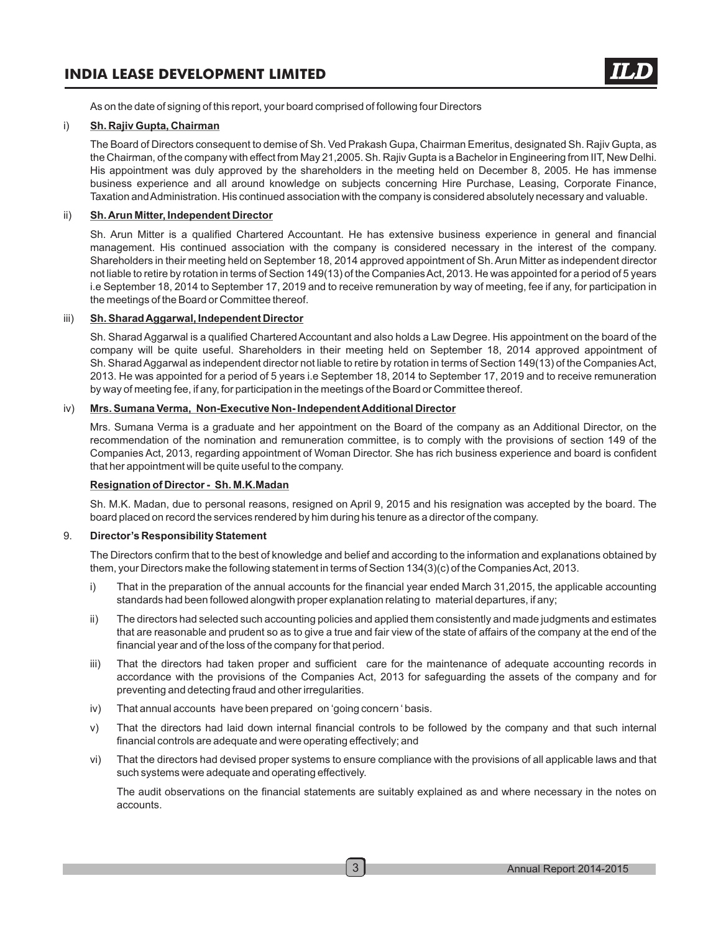As on the date of signing of this report, your board comprised of following four Directors

#### i) **Sh. Rajiv Gupta, Chairman**

The Board of Directors consequent to demise of Sh. Ved Prakash Gupa, Chairman Emeritus, designated Sh. Rajiv Gupta, as the Chairman, of the company with effect from May 21,2005. Sh. Rajiv Gupta is a Bachelor in Engineering from IIT, New Delhi. His appointment was duly approved by the shareholders in the meeting held on December 8, 2005. He has immense business experience and all around knowledge on subjects concerning Hire Purchase, Leasing, Corporate Finance, Taxation and Administration. His continued association with the company is considered absolutely necessary and valuable.

#### ii) **Sh. Arun Mitter, Independent Director**

Sh. Arun Mitter is a qualified Chartered Accountant. He has extensive business experience in general and financial management. His continued association with the company is considered necessary in the interest of the company. Shareholders in their meeting held on September 18, 2014 approved appointment of Sh. Arun Mitter as independent director not liable to retire by rotation in terms of Section 149(13) of the Companies Act, 2013. He was appointed for a period of 5 years i.e September 18, 2014 to September 17, 2019 and to receive remuneration by way of meeting, fee if any, for participation in the meetings of the Board or Committee thereof.

#### iii) **Sh. Sharad Aggarwal, Independent Director**

Sh. Sharad Aggarwal is a qualified Chartered Accountant and also holds a Law Degree. His appointment on the board of the company will be quite useful. Shareholders in their meeting held on September 18, 2014 approved appointment of Sh. Sharad Aggarwal as independent director not liable to retire by rotation in terms of Section 149(13) of the Companies Act, 2013. He was appointed for a period of 5 years i.e September 18, 2014 to September 17, 2019 and to receive remuneration by way of meeting fee, if any, for participation in the meetings of the Board or Committee thereof.

#### iv) **Mrs. Sumana Verma, Non-Executive Non- Independent Additional Director**

Mrs. Sumana Verma is a graduate and her appointment on the Board of the company as an Additional Director, on the recommendation of the nomination and remuneration committee, is to comply with the provisions of section 149 of the Companies Act, 2013, regarding appointment of Woman Director. She has rich business experience and board is confident that her appointment will be quite useful to the company.

#### **Resignation of Director - Sh. M.K.Madan**

Sh. M.K. Madan, due to personal reasons, resigned on April 9, 2015 and his resignation was accepted by the board. The board placed on record the services rendered by him during his tenure as a director of the company.

#### 9. **Director's Responsibility Statement**

The Directors confirm that to the best of knowledge and belief and according to the information and explanations obtained by them, your Directors make the following statement in terms of Section 134(3)(c) of the Companies Act, 2013.

- i) That in the preparation of the annual accounts for the financial year ended March 31,2015, the applicable accounting standards had been followed alongwith proper explanation relating to material departures, if any;
- ii) The directors had selected such accounting policies and applied them consistently and made judgments and estimates that are reasonable and prudent so as to give a true and fair view of the state of affairs of the company at the end of the financial year and of the loss of the company for that period.
- iii) That the directors had taken proper and sufficient care for the maintenance of adequate accounting records in accordance with the provisions of the Companies Act, 2013 for safeguarding the assets of the company and for preventing and detecting fraud and other irregularities.
- iv) That annual accounts have been prepared on 'going concern ' basis.
- v) That the directors had laid down internal financial controls to be followed by the company and that such internal financial controls are adequate and were operating effectively; and
- vi) That the directors had devised proper systems to ensure compliance with the provisions of all applicable laws and that such systems were adequate and operating effectively.

The audit observations on the financial statements are suitably explained as and where necessary in the notes on accounts.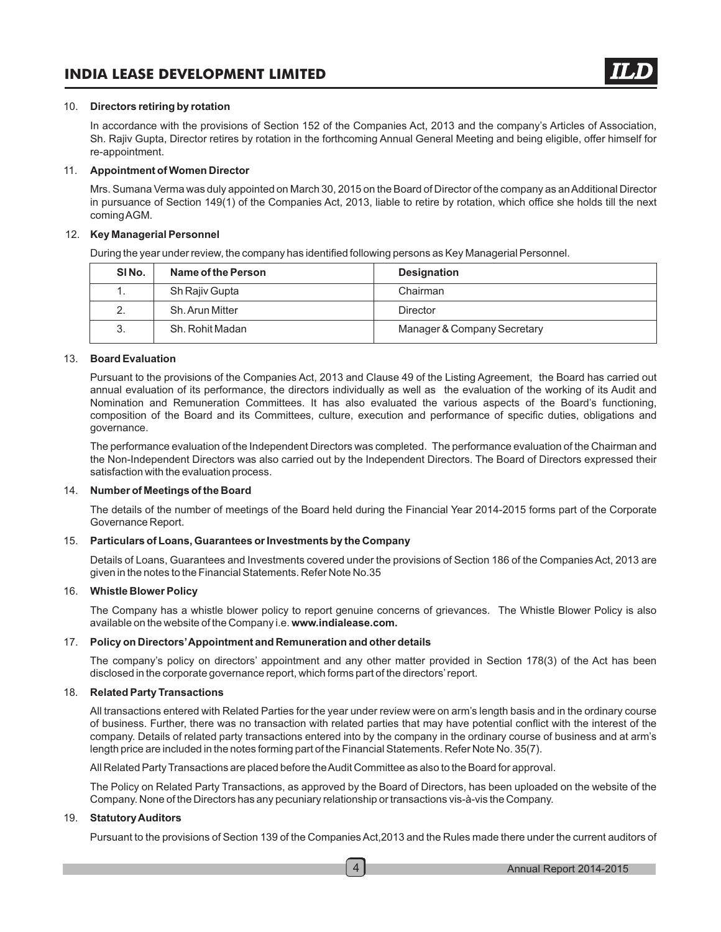#### 10. **Directors retiring by rotation**

In accordance with the provisions of Section 152 of the Companies Act, 2013 and the company's Articles of Association, Sh. Rajiv Gupta, Director retires by rotation in the forthcoming Annual General Meeting and being eligible, offer himself for re-appointment.

#### 11. **Appointment of Women Director**

Mrs. Sumana Verma was duly appointed on March 30, 2015 on the Board of Director of the company as an Additional Director in pursuance of Section 149(1) of the Companies Act, 2013, liable to retire by rotation, which office she holds till the next coming AGM.

#### 12. **Key Managerial Personnel**

During the year under review, the company has identified following persons as Key Managerial Personnel.

| SIN <sub>o.</sub> | Name of the Person | <b>Designation</b>          |
|-------------------|--------------------|-----------------------------|
| . .               | Sh Rajiv Gupta     | Chairman                    |
|                   | Sh. Arun Mitter    | <b>Director</b>             |
| 3.                | Sh. Rohit Madan    | Manager & Company Secretary |

#### 13. **Board Evaluation**

Pursuant to the provisions of the Companies Act, 2013 and Clause 49 of the Listing Agreement, the Board has carried out annual evaluation of its performance, the directors individually as well as the evaluation of the working of its Audit and Nomination and Remuneration Committees. It has also evaluated the various aspects of the Board's functioning, composition of the Board and its Committees, culture, execution and performance of specific duties, obligations and governance.

The performance evaluation of the Independent Directors was completed. The performance evaluation of the Chairman and the Non-Independent Directors was also carried out by the Independent Directors. The Board of Directors expressed their satisfaction with the evaluation process.

#### 14. **Number of Meetings of the Board**

The details of the number of meetings of the Board held during the Financial Year 2014-2015 forms part of the Corporate Governance Report.

#### 15. **Particulars of Loans, Guarantees or Investments by the Company**

Details of Loans, Guarantees and Investments covered under the provisions of Section 186 of the Companies Act, 2013 are given in the notes to the Financial Statements. Refer Note No.35

#### 16. **Whistle Blower Policy**

The Company has a whistle blower policy to report genuine concerns of grievances. The Whistle Blower Policy is also available on the website of the Company i.e. **www.indialease.com.**

#### 17. **Policy on Directors' Appointment and Remuneration and other details**

The company's policy on directors' appointment and any other matter provided in Section 178(3) of the Act has been disclosed in the corporate governance report, which forms part of the directors' report.

#### 18. **Related Party Transactions**

All transactions entered with Related Parties for the year under review were on arm's length basis and in the ordinary course of business. Further, there was no transaction with related parties that may have potential conflict with the interest of the company. Details of related party transactions entered into by the company in the ordinary course of business and at arm's length price are included in the notes forming part of the Financial Statements. Refer Note No. 35(7).

All Related Party Transactions are placed before the Audit Committee as also to the Board for approval.

The Policy on Related Party Transactions, as approved by the Board of Directors, has been uploaded on the website of the Company. None of the Directors has any pecuniary relationship or transactions vis-à-vis the Company.

#### 19. **Statutory Auditors**

Pursuant to the provisions of Section 139 of the Companies Act,2013 and the Rules made there under the current auditors of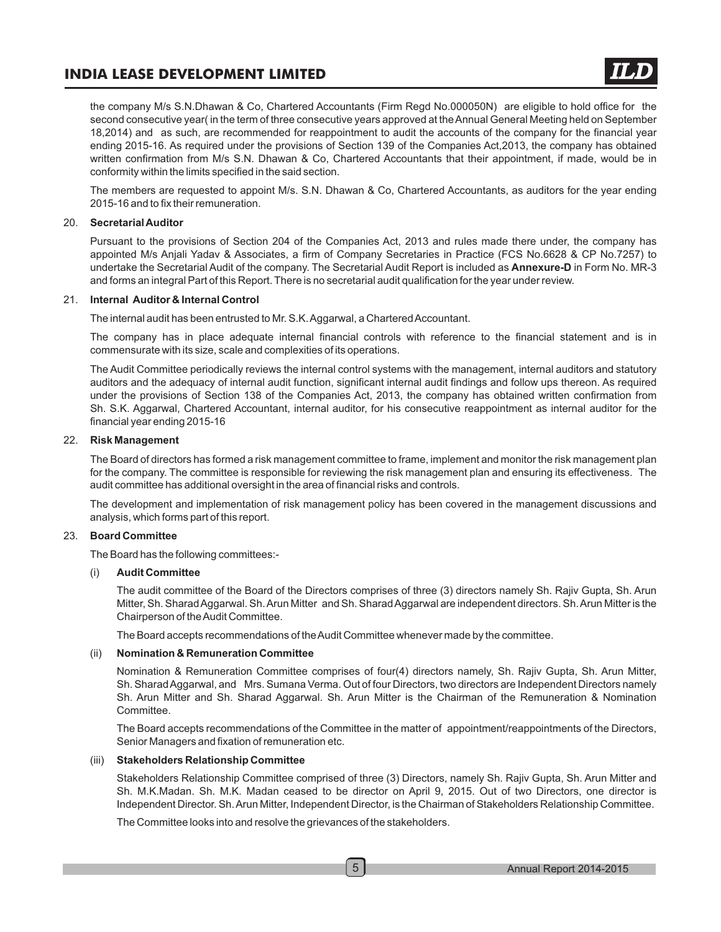

the company M/s S.N.Dhawan & Co, Chartered Accountants (Firm Regd No.000050N) are eligible to hold office for the second consecutive year( in the term of three consecutive years approved at the Annual General Meeting held on September 18,2014) and as such, are recommended for reappointment to audit the accounts of the company for the financial year ending 2015-16. As required under the provisions of Section 139 of the Companies Act,2013, the company has obtained written confirmation from M/s S.N. Dhawan & Co, Chartered Accountants that their appointment, if made, would be in conformity within the limits specified in the said section.

The members are requested to appoint M/s. S.N. Dhawan & Co, Chartered Accountants, as auditors for the year ending 2015-16 and to fix their remuneration.

#### 20. **Secretarial Auditor**

Pursuant to the provisions of Section 204 of the Companies Act, 2013 and rules made there under, the company has appointed M/s Anjali Yadav & Associates, a firm of Company Secretaries in Practice (FCS No.6628 & CP No.7257) to undertake the Secretarial Audit of the company. The Secretarial Audit Report is included as **Annexure-D** in Form No. MR-3 and forms an integral Part of this Report. There is no secretarial audit qualification for the year under review.

#### 21. **Internal Auditor & Internal Control**

The internal audit has been entrusted to Mr. S.K. Aggarwal, a Chartered Accountant.

The company has in place adequate internal financial controls with reference to the financial statement and is in commensurate with its size, scale and complexities of its operations.

The Audit Committee periodically reviews the internal control systems with the management, internal auditors and statutory auditors and the adequacy of internal audit function, significant internal audit findings and follow ups thereon. As required under the provisions of Section 138 of the Companies Act, 2013, the company has obtained written confirmation from Sh. S.K. Aggarwal, Chartered Accountant, internal auditor, for his consecutive reappointment as internal auditor for the financial year ending 2015-16

#### 22. **Risk Management**

The Board of directors has formed a risk management committee to frame, implement and monitor the risk management plan for the company. The committee is responsible for reviewing the risk management plan and ensuring its effectiveness. The audit committee has additional oversight in the area of financial risks and controls.

The development and implementation of risk management policy has been covered in the management discussions and analysis, which forms part of this report.

#### 23. **Board Committee**

The Board has the following committees:-

#### (i) **Audit Committee**

The audit committee of the Board of the Directors comprises of three (3) directors namely Sh. Rajiv Gupta, Sh. Arun Mitter, Sh. Sharad Aggarwal. Sh. Arun Mitter and Sh. Sharad Aggarwal are independent directors. Sh. Arun Mitter is the Chairperson of the Audit Committee.

The Board accepts recommendations of the Audit Committee whenever made by the committee.

#### (ii) **Nomination & Remuneration Committee**

Nomination & Remuneration Committee comprises of four(4) directors namely, Sh. Rajiv Gupta, Sh. Arun Mitter, Sh. Sharad Aggarwal, and Mrs. Sumana Verma. Out of four Directors, two directors are Independent Directors namely Sh. Arun Mitter and Sh. Sharad Aggarwal. Sh. Arun Mitter is the Chairman of the Remuneration & Nomination Committee.

The Board accepts recommendations of the Committee in the matter of appointment/reappointments of the Directors, Senior Managers and fixation of remuneration etc.

#### (iii) **Stakeholders Relationship Committee**

Stakeholders Relationship Committee comprised of three (3) Directors, namely Sh. Rajiv Gupta, Sh. Arun Mitter and Sh. M.K.Madan. Sh. M.K. Madan ceased to be director on April 9, 2015. Out of two Directors, one director is Independent Director. Sh. Arun Mitter, Independent Director, is the Chairman of Stakeholders Relationship Committee.

The Committee looks into and resolve the grievances of the stakeholders.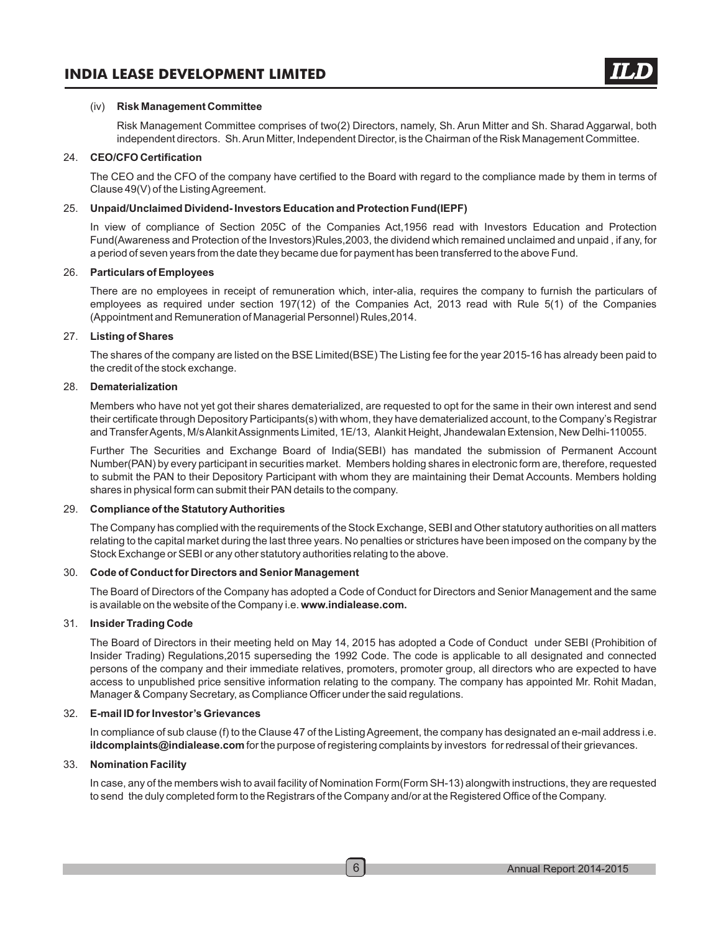

#### (iv) **Risk Management Committee**

Risk Management Committee comprises of two(2) Directors, namely, Sh. Arun Mitter and Sh. Sharad Aggarwal, both independent directors. Sh. Arun Mitter, Independent Director, is the Chairman of the Risk Management Committee.

#### 24. **CEO/CFO Certification**

The CEO and the CFO of the company have certified to the Board with regard to the compliance made by them in terms of Clause 49(V) of the Listing Agreement.

#### 25. **Unpaid/Unclaimed Dividend- Investors Education and Protection Fund(IEPF)**

In view of compliance of Section 205C of the Companies Act,1956 read with Investors Education and Protection Fund(Awareness and Protection of the Investors)Rules, 2003, the dividend which remained unclaimed and unpaid, if any, for a period of seven years from the date they became due for payment has been transferred to the above Fund.

#### 26. **Particulars of Employees**

There are no employees in receipt of remuneration which, inter-alia, requires the company to furnish the particulars of employees as required under section 197(12) of the Companies Act, 2013 read with Rule 5(1) of the Companies (Appointment and Remuneration of Managerial Personnel) Rules,2014.

#### 27. **Listing of Shares**

The shares of the company are listed on the BSE Limited(BSE) The Listing fee for the year 2015-16 has already been paid to the credit of the stock exchange.

#### 28. **Dematerialization**

Members who have not yet got their shares dematerialized, are requested to opt for the same in their own interest and send their certificate through Depository Participants(s) with whom, they have dematerialized account, to the Company's Registrar and Transfer Agents, M/s Alankit Assignments Limited, 1E/13, Alankit Height, Jhandewalan Extension, New Delhi-110055.

Further The Securities and Exchange Board of India(SEBI) has mandated the submission of Permanent Account Number(PAN) by every participant in securities market. Members holding shares in electronic form are, therefore, requested to submit the PAN to their Depository Participant with whom they are maintaining their Demat Accounts. Members holding shares in physical form can submit their PAN details to the company.

#### 29. **Compliance of the Statutory Authorities**

The Company has complied with the requirements of the Stock Exchange, SEBI and Other statutory authorities on all matters relating to the capital market during the last three years. No penalties or strictures have been imposed on the company by the Stock Exchange or SEBI or any other statutory authorities relating to the above.

#### 30. **Code of Conduct for Directors and Senior Management**

The Board of Directors of the Company has adopted a Code of Conduct for Directors and Senior Management and the same is available on the website of the Company i.e. **www.indialease.com.**

#### 31. **Insider Trading Code**

The Board of Directors in their meeting held on May 14, 2015 has adopted a Code of Conduct under SEBI (Prohibition of Insider Trading) Regulations,2015 superseding the 1992 Code. The code is applicable to all designated and connected persons of the company and their immediate relatives, promoters, promoter group, all directors who are expected to have access to unpublished price sensitive information relating to the company. The company has appointed Mr. Rohit Madan, Manager & Company Secretary, as Compliance Officer under the said regulations.

#### 32. **E-mail ID for Investor's Grievances**

In compliance of sub clause (f) to the Clause 47 of the Listing Agreement, the company has designated an e-mail address i.e. **ildcomplaints@indialease.com** for the purpose of registering complaints by investors for redressal of their grievances.

#### 33. **Nomination Facility**

In case, any of the members wish to avail facility of Nomination Form(Form SH-13) alongwith instructions, they are requested to send the duly completed form to the Registrars of the Company and/or at the Registered Office of the Company.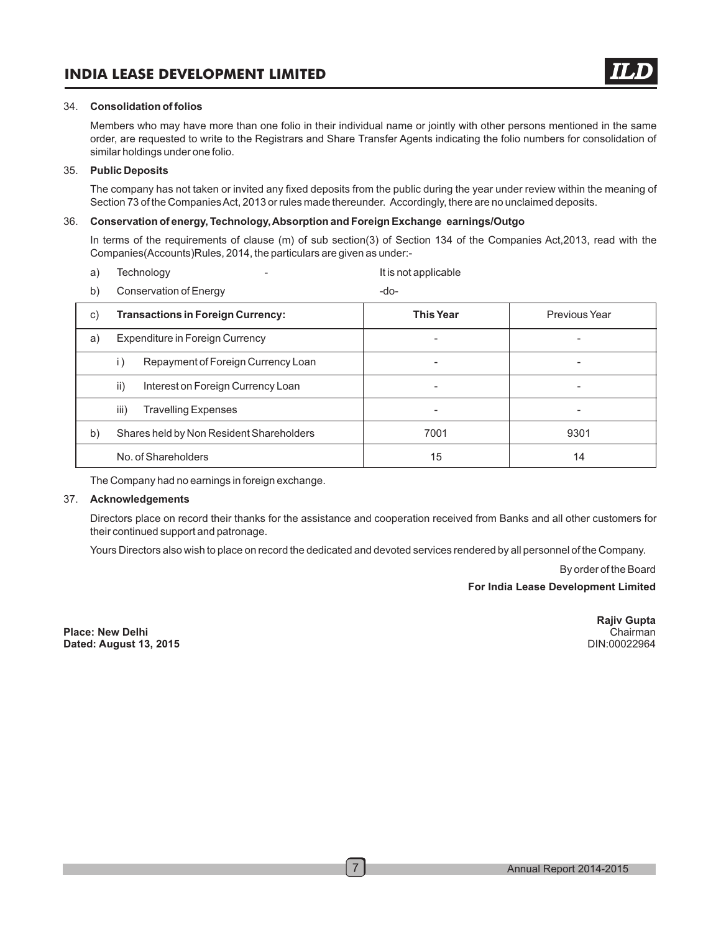

#### 34. **Consolidation of folios**

Members who may have more than one folio in their individual name or jointly with other persons mentioned in the same order, are requested to write to the Registrars and Share Transfer Agents indicating the folio numbers for consolidation of similar holdings under one folio.

#### 35. **Public Deposits**

The company has not taken or invited any fixed deposits from the public during the year under review within the meaning of Section 73 of the Companies Act, 2013 or rules made thereunder. Accordingly, there are no unclaimed deposits.

#### 36. **Conservation of energy, Technology, Absorption and Foreign Exchange earnings/Outgo**

In terms of the requirements of clause (m) of sub section(3) of Section 134 of the Companies Act,2013, read with the Companies(Accounts)Rules, 2014, the particulars are given as under:-

a) Technology **-** Technology **-** Technology **-** It is not applicable

b) Conservation of Energy -do-

| $\sim$ $\prime$ | $\sigma$                                 | <b>uv</b>                |               |
|-----------------|------------------------------------------|--------------------------|---------------|
| C)              | <b>Transactions in Foreign Currency:</b> | <b>This Year</b>         | Previous Year |
| a)              | <b>Expenditure in Foreign Currency</b>   |                          |               |
|                 | Repayment of Foreign Currency Loan       |                          |               |
|                 | ii)<br>Interest on Foreign Currency Loan | $\overline{\phantom{0}}$ |               |
|                 | iii)<br><b>Travelling Expenses</b>       | $\overline{\phantom{0}}$ |               |
| b)              | Shares held by Non Resident Shareholders | 7001                     | 9301          |
|                 | No. of Shareholders                      | 15                       | 14            |

The Company had no earnings in foreign exchange.

#### 37. **Acknowledgements**

Directors place on record their thanks for the assistance and cooperation received from Banks and all other customers for their continued support and patronage.

Yours Directors also wish to place on record the dedicated and devoted services rendered by all personnel of the Company.

By order of the Board

#### **For India Lease Development Limited**

**Place: New Delhi** Chairman **Dated: August 13, 2015** DIN:00022964

 **Rajiv Gupta**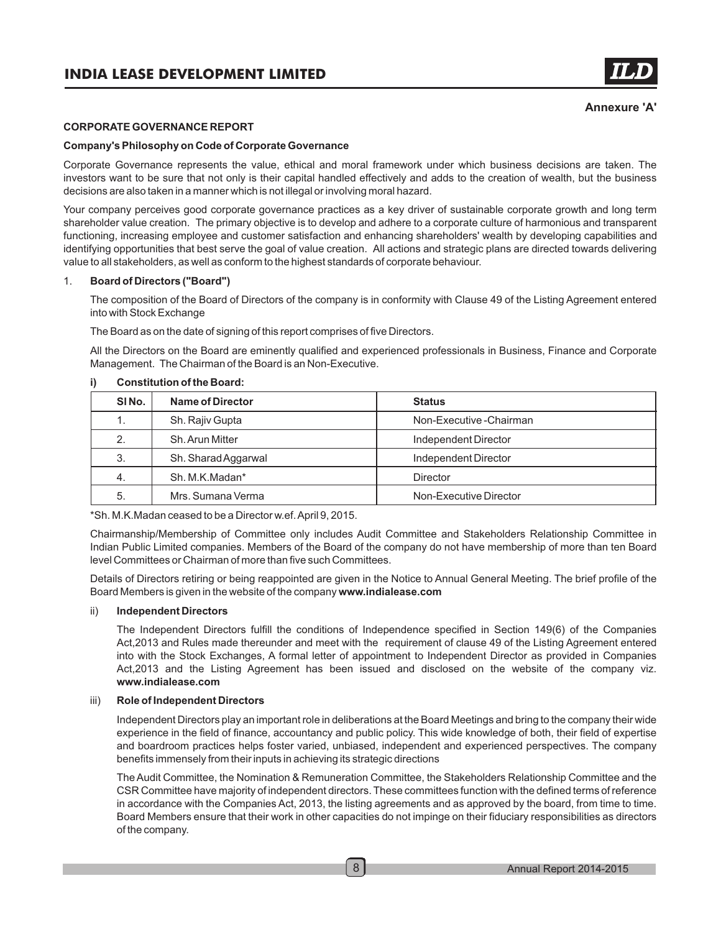#### **Annexure 'A'**

#### **CORPORATE GOVERNANCE REPORT**

#### **Company's Philosophy on Code of Corporate Governance**

Corporate Governance represents the value, ethical and moral framework under which business decisions are taken. The investors want to be sure that not only is their capital handled effectively and adds to the creation of wealth, but the business decisions are also taken in a manner which is not illegal or involving moral hazard.

Your company perceives good corporate governance practices as a key driver of sustainable corporate growth and long term shareholder value creation. The primary objective is to develop and adhere to a corporate culture of harmonious and transparent functioning, increasing employee and customer satisfaction and enhancing shareholders' wealth by developing capabilities and identifying opportunities that best serve the goal of value creation. All actions and strategic plans are directed towards delivering value to all stakeholders, as well as conform to the highest standards of corporate behaviour.

#### 1. **Board of Directors ("Board")**

The composition of the Board of Directors of the company is in conformity with Clause 49 of the Listing Agreement entered into with Stock Exchange

The Board as on the date of signing of this report comprises of five Directors.

All the Directors on the Board are eminently qualified and experienced professionals in Business, Finance and Corporate Management. The Chairman of the Board is an Non-Executive.

| SIN <sub>o.</sub> | Name of Director    | <b>Status</b>          |
|-------------------|---------------------|------------------------|
|                   | Sh. Rajiv Gupta     | Non-Executive-Chairman |
| 2.                | Sh. Arun Mitter     | Independent Director   |
| 3.                | Sh. Sharad Aggarwal | Independent Director   |
| 4.                | Sh. M.K.Madan*      | <b>Director</b>        |
| 5.                | Mrs. Sumana Verma   | Non-Executive Director |

#### **i) Constitution of the Board:**

\*Sh. M.K.Madan ceased to be a Director w.ef. April 9, 2015.

Chairmanship/Membership of Committee only includes Audit Committee and Stakeholders Relationship Committee in Indian Public Limited companies. Members of the Board of the company do not have membership of more than ten Board level Committees or Chairman of more than five such Committees.

Details of Directors retiring or being reappointed are given in the Notice to Annual General Meeting. The brief profile of the Board Members is given in the website of the company **www.indialease.com**

#### ii) **Independent Directors**

The Independent Directors fulfill the conditions of Independence specified in Section 149(6) of the Companies Act,2013 and Rules made thereunder and meet with the requirement of clause 49 of the Listing Agreement entered into with the Stock Exchanges, A formal letter of appointment to Independent Director as provided in Companies Act,2013 and the Listing Agreement has been issued and disclosed on the website of the company viz. **www.indialease.com**

#### iii) **Role of Independent Directors**

Independent Directors play an important role in deliberations at the Board Meetings and bring to the company their wide experience in the field of finance, accountancy and public policy. This wide knowledge of both, their field of expertise and boardroom practices helps foster varied, unbiased, independent and experienced perspectives. The company benefits immensely from their inputs in achieving its strategic directions

The Audit Committee, the Nomination & Remuneration Committee, the Stakeholders Relationship Committee and the CSR Committee have majority of independent directors. These committees function with the defined terms of reference in accordance with the Companies Act, 2013, the listing agreements and as approved by the board, from time to time. Board Members ensure that their work in other capacities do not impinge on their fiduciary responsibilities as directors of the company.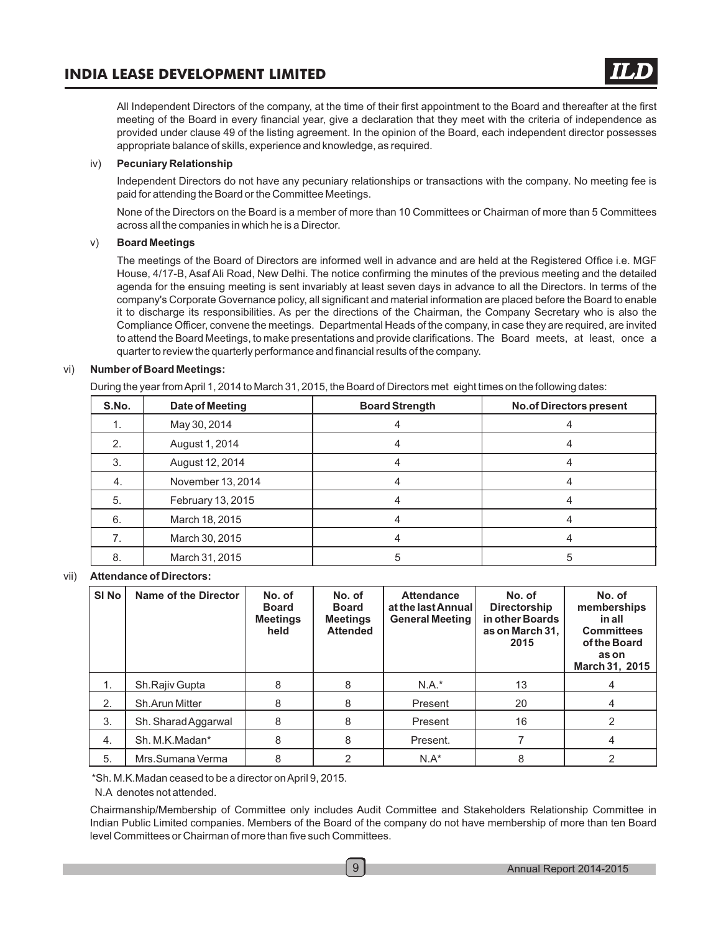

All Independent Directors of the company, at the time of their first appointment to the Board and thereafter at the first meeting of the Board in every financial year, give a declaration that they meet with the criteria of independence as provided under clause 49 of the listing agreement. In the opinion of the Board, each independent director possesses appropriate balance of skills, experience and knowledge, as required.

#### iv) **Pecuniary Relationship**

Independent Directors do not have any pecuniary relationships or transactions with the company. No meeting fee is paid for attending the Board or the Committee Meetings.

None of the Directors on the Board is a member of more than 10 Committees or Chairman of more than 5 Committees across all the companies in which he is a Director.

#### v) **Board Meetings**

The meetings of the Board of Directors are informed well in advance and are held at the Registered Office i.e. MGF House, 4/17-B, Asaf Ali Road, New Delhi. The notice confirming the minutes of the previous meeting and the detailed agenda for the ensuing meeting is sent invariably at least seven days in advance to all the Directors. In terms of the company's Corporate Governance policy, all significant and material information are placed before the Board to enable it to discharge its responsibilities. As per the directions of the Chairman, the Company Secretary who is also the Compliance Officer, convene the meetings. Departmental Heads of the company, in case they are required, are invited to attend the Board Meetings, to make presentations and provide clarifications. The Board meets, at least, once a quarter to review the quarterly performance and financial results of the company.

#### vi) **Number of Board Meetings:**

During the year from April 1, 2014 to March 31, 2015, the Board of Directors met eight times on the following dates:

| S.No. | Date of Meeting   | <b>Board Strength</b> | <b>No.of Directors present</b> |
|-------|-------------------|-----------------------|--------------------------------|
| 1.    | May 30, 2014      |                       |                                |
| 2.    | August 1, 2014    | 4                     |                                |
| 3.    | August 12, 2014   | 4                     |                                |
| 4.    | November 13, 2014 |                       |                                |
| 5.    | February 13, 2015 |                       |                                |
| 6.    | March 18, 2015    |                       |                                |
| 7.    | March 30, 2015    | 4                     |                                |
| 8.    | March 31, 2015    | 5                     | 5                              |

#### vii) **Attendance of Directors:**

| SI <sub>No</sub> | Name of the Director  | No. of<br><b>Board</b><br><b>Meetings</b><br>held | No. of<br><b>Board</b><br><b>Meetings</b><br><b>Attended</b> | <b>Attendance</b><br>at the last Annual<br><b>General Meeting</b> | No. of<br><b>Directorship</b><br>in other Boards<br>as on March 31,<br>2015 | No. of<br>memberships<br>in all<br><b>Committees</b><br>of the Board<br>as on<br>March 31, 2015 |
|------------------|-----------------------|---------------------------------------------------|--------------------------------------------------------------|-------------------------------------------------------------------|-----------------------------------------------------------------------------|-------------------------------------------------------------------------------------------------|
| 1.               | Sh.Rajiv Gupta        | 8                                                 | 8                                                            | $N.A.*$                                                           | 13                                                                          |                                                                                                 |
| 2.               | <b>Sh.Arun Mitter</b> | 8                                                 | 8                                                            | Present                                                           | 20                                                                          |                                                                                                 |
| 3.               | Sh. Sharad Aggarwal   | 8                                                 | 8                                                            | Present                                                           | 16                                                                          |                                                                                                 |
| 4.               | Sh. M.K.Madan*        | 8                                                 | 8                                                            | Present.                                                          |                                                                             |                                                                                                 |
| 5.               | Mrs.Sumana Verma      | 8                                                 | 2                                                            | $N.A^*$                                                           | 8                                                                           |                                                                                                 |

\*Sh. M.K.Madan ceased to be a director on April 9, 2015.

N.A denotes not attended.

Chairmanship/Membership of Committee only includes Audit Committee and Stakeholders Relationship Committee in Indian Public Limited companies. Members of the Board of the company do not have membership of more than ten Board level Committees or Chairman of more than five such Committees.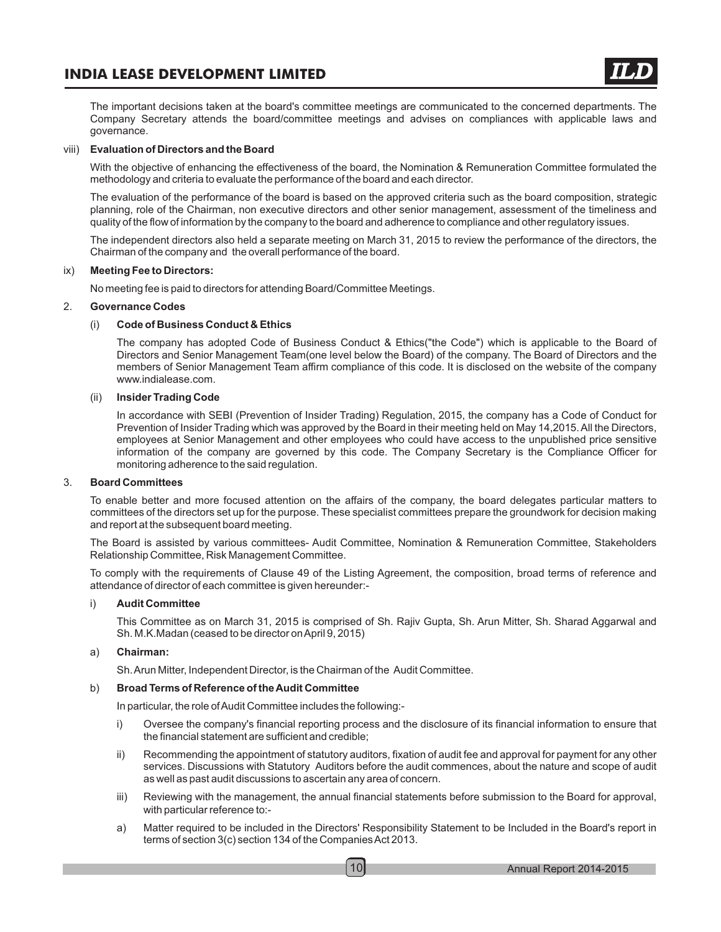

The important decisions taken at the board's committee meetings are communicated to the concerned departments. The Company Secretary attends the board/committee meetings and advises on compliances with applicable laws and governance.

#### viii) **Evaluation of Directors and the Board**

With the objective of enhancing the effectiveness of the board, the Nomination & Remuneration Committee formulated the methodology and criteria to evaluate the performance of the board and each director.

The evaluation of the performance of the board is based on the approved criteria such as the board composition, strategic planning, role of the Chairman, non executive directors and other senior management, assessment of the timeliness and quality of the flow of information by the company to the board and adherence to compliance and other regulatory issues.

The independent directors also held a separate meeting on March 31, 2015 to review the performance of the directors, the Chairman of the company and the overall performance of the board.

#### ix) **Meeting Fee to Directors:**

No meeting fee is paid to directors for attending Board/Committee Meetings.

#### 2. **Governance Codes**

#### (i) **Code of Business Conduct & Ethics**

The company has adopted Code of Business Conduct & Ethics("the Code") which is applicable to the Board of Directors and Senior Management Team(one level below the Board) of the company. The Board of Directors and the members of Senior Management Team affirm compliance of this code. It is disclosed on the website of the company www.indialease.com.

#### (ii) **Insider Trading Code**

In accordance with SEBI (Prevention of Insider Trading) Regulation, 2015, the company has a Code of Conduct for Prevention of Insider Trading which was approved by the Board in their meeting held on May 14,2015. All the Directors, employees at Senior Management and other employees who could have access to the unpublished price sensitive information of the company are governed by this code. The Company Secretary is the Compliance Officer for monitoring adherence to the said regulation.

#### 3. **Board Committees**

To enable better and more focused attention on the affairs of the company, the board delegates particular matters to committees of the directors set up for the purpose. These specialist committees prepare the groundwork for decision making and report at the subsequent board meeting.

The Board is assisted by various committees- Audit Committee, Nomination & Remuneration Committee, Stakeholders Relationship Committee, Risk Management Committee.

To comply with the requirements of Clause 49 of the Listing Agreement, the composition, broad terms of reference and attendance of director of each committee is given hereunder:-

#### i) **Audit Committee**

This Committee as on March 31, 2015 is comprised of Sh. Rajiv Gupta, Sh. Arun Mitter, Sh. Sharad Aggarwal and Sh. M.K.Madan (ceased to be director on April 9, 2015)

#### a) **Chairman:**

Sh. Arun Mitter, Independent Director, is the Chairman of the Audit Committee.

#### b) **Broad Terms of Reference of the Audit Committee**

In particular, the role of Audit Committee includes the following:-

- i) Oversee the company's financial reporting process and the disclosure of its financial information to ensure that the financial statement are sufficient and credible;
- ii) Recommending the appointment of statutory auditors, fixation of audit fee and approval for payment for any other services. Discussions with Statutory Auditors before the audit commences, about the nature and scope of audit as well as past audit discussions to ascertain any area of concern.
- iii) Reviewing with the management, the annual financial statements before submission to the Board for approval, with particular reference to:-
- a) Matter required to be included in the Directors' Responsibility Statement to be Included in the Board's report in terms of section 3(c) section 134 of the Companies Act 2013.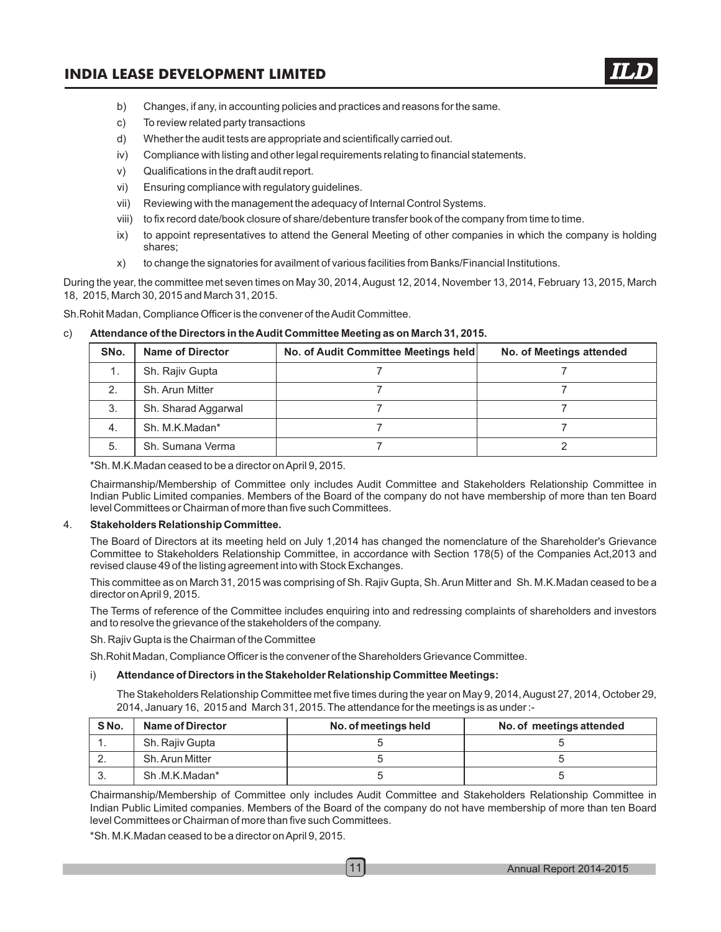

- b) Changes, if any, in accounting policies and practices and reasons for the same.
- c) To review related party transactions
- d) Whether the audit tests are appropriate and scientifically carried out.
- iv) Compliance with listing and other legal requirements relating to financial statements.
- v) Qualifications in the draft audit report.
- vi) Ensuring compliance with regulatory guidelines.
- vii) Reviewing with the management the adequacy of Internal Control Systems.
- viii) to fix record date/book closure of share/debenture transfer book of the company from time to time.
- ix) to appoint representatives to attend the General Meeting of other companies in which the company is holding shares;
- x) to change the signatories for availment of various facilities from Banks/Financial Institutions.

During the year, the committee met seven times on May 30, 2014, August 12, 2014, November 13, 2014, February 13, 2015, March 18, 2015, March 30, 2015 and March 31, 2015.

Sh.Rohit Madan, Compliance Officer is the convener of the Audit Committee.

#### c) **Attendance of the Directors in the Audit Committee Meeting as on March 31, 2015.**

| SNo. | Name of Director    | No. of Audit Committee Meetings held | No. of Meetings attended |
|------|---------------------|--------------------------------------|--------------------------|
|      | Sh. Rajiv Gupta     |                                      |                          |
| 2.   | Sh. Arun Mitter     |                                      |                          |
| 3.   | Sh. Sharad Aggarwal |                                      |                          |
| 4.   | Sh. M.K.Madan*      |                                      |                          |
| 5.   | Sh. Sumana Verma    |                                      |                          |

\*Sh. M.K.Madan ceased to be a director on April 9, 2015.

Chairmanship/Membership of Committee only includes Audit Committee and Stakeholders Relationship Committee in Indian Public Limited companies. Members of the Board of the company do not have membership of more than ten Board level Committees or Chairman of more than five such Committees.

#### 4. **Stakeholders Relationship Committee.**

The Board of Directors at its meeting held on July 1,2014 has changed the nomenclature of the Shareholder's Grievance Committee to Stakeholders Relationship Committee, in accordance with Section 178(5) of the Companies Act,2013 and revised clause 49 of the listing agreement into with Stock Exchanges.

This committee as on March 31, 2015 was comprising of Sh. Rajiv Gupta, Sh. Arun Mitter and Sh. M.K.Madan ceased to be a director on April 9, 2015.

The Terms of reference of the Committee includes enquiring into and redressing complaints of shareholders and investors and to resolve the grievance of the stakeholders of the company.

Sh. Rajiv Gupta is the Chairman of the Committee

Sh.Rohit Madan, Compliance Officer is the convener of the Shareholders Grievance Committee.

#### i) **Attendance of Directors in the Stakeholder Relationship Committee Meetings:**

The Stakeholders Relationship Committee met five times during the year on May 9, 2014, August 27, 2014, October 29, 2014, January 16, 2015 and March 31, 2015. The attendance for the meetings is as under :-

| SNo. | Name of Director | No. of meetings held | No. of meetings attended |
|------|------------------|----------------------|--------------------------|
|      | Sh. Rajiv Gupta  |                      |                          |
|      | Sh. Arun Mitter  |                      |                          |
|      | Sh.M.K.Madan*    |                      |                          |

 Chairmanship/Membership of Committee only includes Audit Committee and Stakeholders Relationship Committee in Indian Public Limited companies. Members of the Board of the company do not have membership of more than ten Board level Committees or Chairman of more than five such Committees.

\*Sh. M.K.Madan ceased to be a director on April 9, 2015.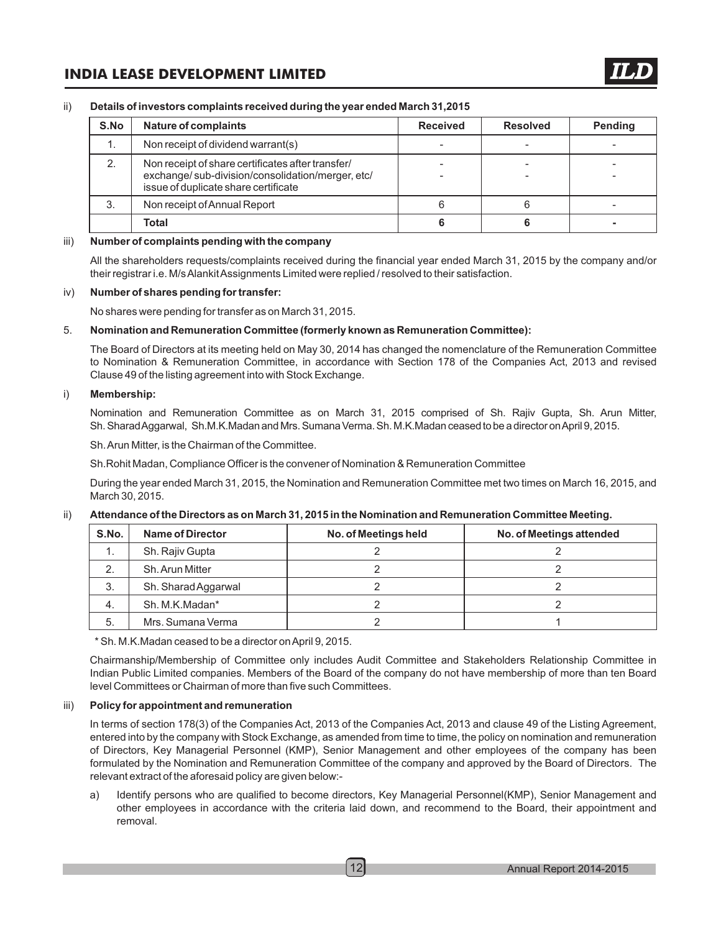#### ii) **Details of investors complaints received during the year ended March 31,2015**

| S.No | Nature of complaints                                                                                                                          | <b>Received</b> | <b>Resolved</b> | <b>Pending</b> |
|------|-----------------------------------------------------------------------------------------------------------------------------------------------|-----------------|-----------------|----------------|
|      | Non receipt of dividend warrant(s)                                                                                                            |                 |                 |                |
| 2.   | Non receipt of share certificates after transfer/<br>exchange/sub-division/consolidation/merger, etc/<br>issue of duplicate share certificate |                 |                 |                |
| 3.   | Non receipt of Annual Report                                                                                                                  |                 |                 |                |
|      | Total                                                                                                                                         |                 |                 |                |

#### iii) **Number of complaints pending with the company**

All the shareholders requests/complaints received during the financial year ended March 31, 2015 by the company and/or their registrar i.e. M/s Alankit Assignments Limited were replied / resolved to their satisfaction.

#### iv) **Number of shares pending for transfer:**

No shares were pending for transfer as on March 31, 2015.

#### 5. **Nomination and Remuneration Committee (formerly known as Remuneration Committee):**

The Board of Directors at its meeting held on May 30, 2014 has changed the nomenclature of the Remuneration Committee to Nomination & Remuneration Committee, in accordance with Section 178 of the Companies Act, 2013 and revised Clause 49 of the listing agreement into with Stock Exchange.

#### i) **Membership:**

Nomination and Remuneration Committee as on March 31, 2015 comprised of Sh. Rajiv Gupta, Sh. Arun Mitter, Sh. Sharad Aggarwal, Sh.M.K.Madan and Mrs. Sumana Verma. Sh. M.K.Madan ceased to be a director on April 9, 2015.

Sh. Arun Mitter, is the Chairman of the Committee.

Sh.Rohit Madan, Compliance Officer is the convener of Nomination & Remuneration Committee

During the year ended March 31, 2015, the Nomination and Remuneration Committee met two times on March 16, 2015, and March 30, 2015.

#### ii) **Attendance of the Directors as on March 31, 2015 in the Nomination and Remuneration Committee Meeting.**

| S.No. | Name of Director    | No. of Meetings held | No. of Meetings attended |
|-------|---------------------|----------------------|--------------------------|
| .,    | Sh. Rajiv Gupta     |                      |                          |
| 2     | Sh. Arun Mitter     |                      |                          |
| 3.    | Sh. Sharad Aggarwal |                      |                          |
| -4.   | Sh. M.K.Madan*      |                      |                          |
| 5.    | Mrs. Sumana Verma   |                      |                          |

\* Sh. M.K.Madan ceased to be a director on April 9, 2015.

Chairmanship/Membership of Committee only includes Audit Committee and Stakeholders Relationship Committee in Indian Public Limited companies. Members of the Board of the company do not have membership of more than ten Board level Committees or Chairman of more than five such Committees.

#### iii) **Policy for appointment and remuneration**

In terms of section 178(3) of the Companies Act, 2013 of the Companies Act, 2013 and clause 49 of the Listing Agreement, entered into by the company with Stock Exchange, as amended from time to time, the policy on nomination and remuneration of Directors, Key Managerial Personnel (KMP), Senior Management and other employees of the company has been formulated by the Nomination and Remuneration Committee of the company and approved by the Board of Directors. The relevant extract of the aforesaid policy are given below:-

a) Identify persons who are qualified to become directors, Key Managerial Personnel(KMP), Senior Management and other employees in accordance with the criteria laid down, and recommend to the Board, their appointment and removal.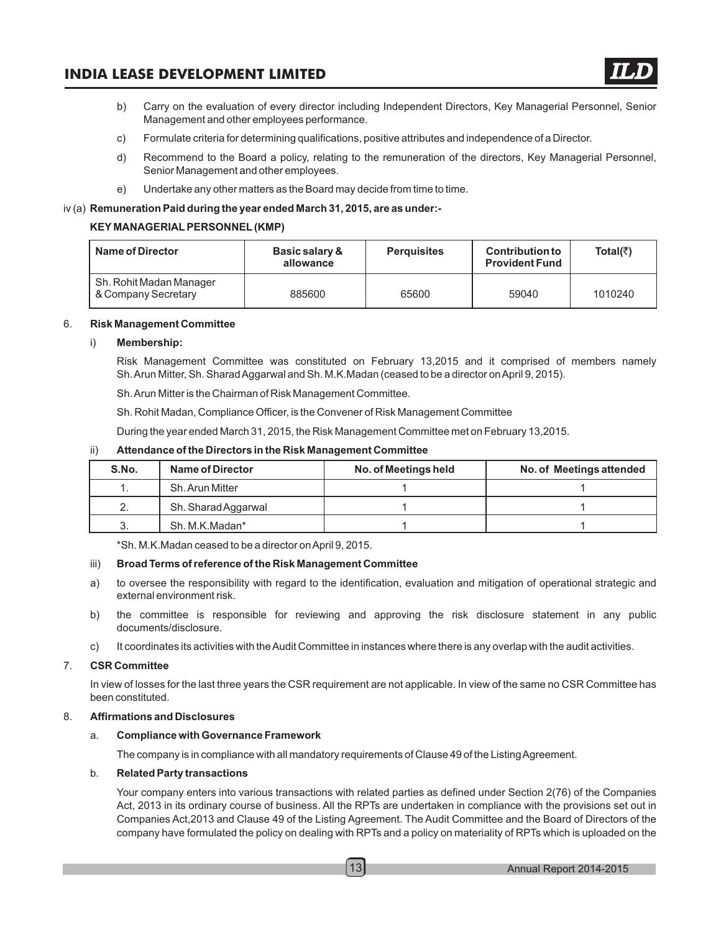

- b) Carry on the evaluation of every director including Independent Directors, Key Managerial Personnel, Senior Management and other employees performance.
- c) Formulate criteria for determining qualifications, positive attributes and independence of a Director.
- d) Recommend to the Board a policy, relating to the remuneration of the directors, Key Managerial Personnel, Senior Management and other employees.
- e) Undertake any other matters as the Board may decide from time to time.

#### iv (a) **Remuneration Paid during the year ended March 31, 2015, are as under:-**

#### **KEY MANAGERIAL PERSONNEL (KMP)**

| Name of Director                               | Basic salary &<br>allowance | <b>Perquisites</b> | <b>Contribution to</b><br><b>Provident Fund</b> | Total( $\bar{z}$ ) |
|------------------------------------------------|-----------------------------|--------------------|-------------------------------------------------|--------------------|
| Sh. Rohit Madan Manager<br>& Company Secretary | 885600                      | 65600              | 59040                                           | 1010240            |

#### 6. **Risk Management Committee**

#### i) **Membership:**

Risk Management Committee was constituted on February 13,2015 and it comprised of members namely Sh. Arun Mitter, Sh. Sharad Aggarwal and Sh. M.K.Madan (ceased to be a director on April 9, 2015).

Sh. Arun Mitter is the Chairman of Risk Management Committee.

Sh. Rohit Madan, Compliance Officer, is the Convener of Risk Management Committee

During the year ended March 31, 2015, the Risk Management Committee met on February 13,2015.

#### ii) **Attendance of the Directors in the Risk Management Committee**

| S.No.   | Name of Director    | No. of Meetings held | No. of Meetings attended |
|---------|---------------------|----------------------|--------------------------|
|         | Sh. Arun Mitter     |                      |                          |
| z.      | Sh. Sharad Aggarwal |                      |                          |
| ঽ<br>J. | Sh. M.K.Madan*      |                      |                          |

\*Sh. M.K.Madan ceased to be a director on April 9, 2015.

#### iii) **Broad Terms of reference of the Risk Management Committee**

- a) to oversee the responsibility with regard to the identification, evaluation and mitigation of operational strategic and external environment risk.
- b) the committee is responsible for reviewing and approving the risk disclosure statement in any public documents/disclosure.
- c) It coordinates its activities with the Audit Committee in instances where there is any overlap with the audit activities.

#### 7. **CSR Committee**

In view of losses for the last three years the CSR requirement are not applicable. In view of the same no CSR Committee has been constituted.

#### 8. **Affirmations and Disclosures**

#### a. **Compliance with Governance Framework**

The company is in compliance with all mandatory requirements of Clause 49 of the Listing Agreement.

#### b. **Related Party transactions**

Your company enters into various transactions with related parties as defined under Section 2(76) of the Companies Act, 2013 in its ordinary course of business. All the RPTs are undertaken in compliance with the provisions set out in Companies Act,2013 and Clause 49 of the Listing Agreement. The Audit Committee and the Board of Directors of the company have formulated the policy on dealing with RPTs and a policy on materiality of RPTs which is uploaded on the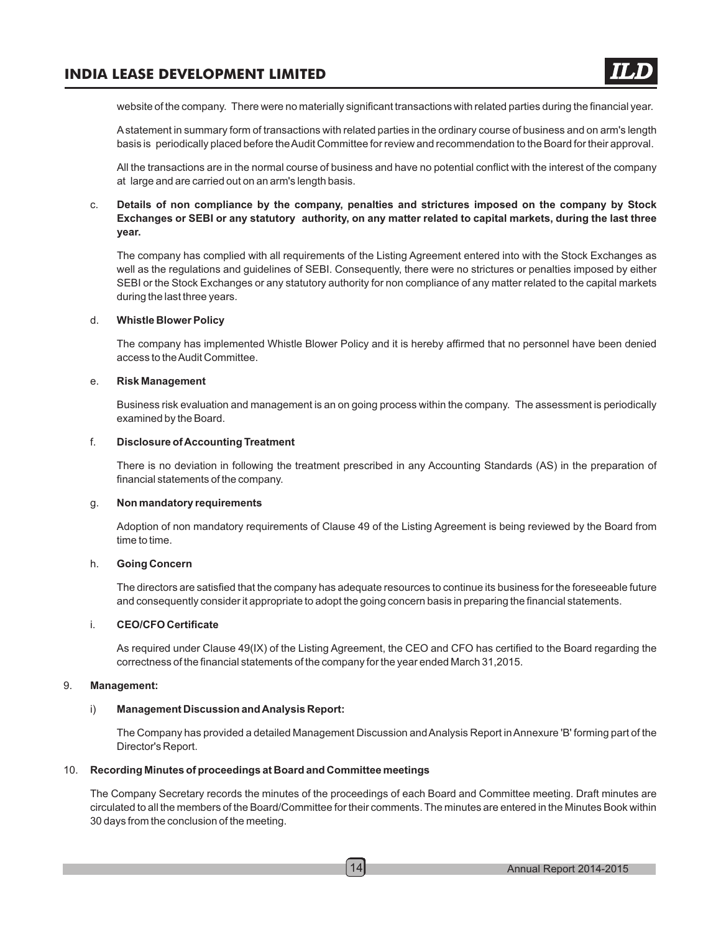

website of the company. There were no materially significant transactions with related parties during the financial year.

A statement in summary form of transactions with related parties in the ordinary course of business and on arm's length basis is periodically placed before the Audit Committee for review and recommendation to the Board for their approval.

All the transactions are in the normal course of business and have no potential conflict with the interest of the company at large and are carried out on an arm's length basis.

#### c. **Details of non compliance by the company, penalties and strictures imposed on the company by Stock Exchanges or SEBI or any statutory authority, on any matter related to capital markets, during the last three year.**

The company has complied with all requirements of the Listing Agreement entered into with the Stock Exchanges as well as the regulations and guidelines of SEBI. Consequently, there were no strictures or penalties imposed by either SEBI or the Stock Exchanges or any statutory authority for non compliance of any matter related to the capital markets during the last three years.

#### d. **Whistle Blower Policy**

The company has implemented Whistle Blower Policy and it is hereby affirmed that no personnel have been denied access to the Audit Committee.

#### e. **Risk Management**

Business risk evaluation and management is an on going process within the company. The assessment is periodically examined by the Board.

#### f. **Disclosure of Accounting Treatment**

There is no deviation in following the treatment prescribed in any Accounting Standards (AS) in the preparation of financial statements of the company.

#### g. **Non mandatory requirements**

Adoption of non mandatory requirements of Clause 49 of the Listing Agreement is being reviewed by the Board from time to time.

#### h. **Going Concern**

The directors are satisfied that the company has adequate resources to continue its business for the foreseeable future and consequently consider it appropriate to adopt the going concern basis in preparing the financial statements.

#### i. **CEO/CFO Certificate**

As required under Clause 49(IX) of the Listing Agreement, the CEO and CFO has certified to the Board regarding the correctness of the financial statements of the company for the year ended March 31,2015.

#### 9. **Management:**

#### i) **Management Discussion and Analysis Report:**

The Company has provided a detailed Management Discussion and Analysis Report in Annexure 'B' forming part of the Director's Report.

#### 10. **Recording Minutes of proceedings at Board and Committee meetings**

The Company Secretary records the minutes of the proceedings of each Board and Committee meeting. Draft minutes are circulated to all the members of the Board/Committee for their comments. The minutes are entered in the Minutes Book within 30 days from the conclusion of the meeting.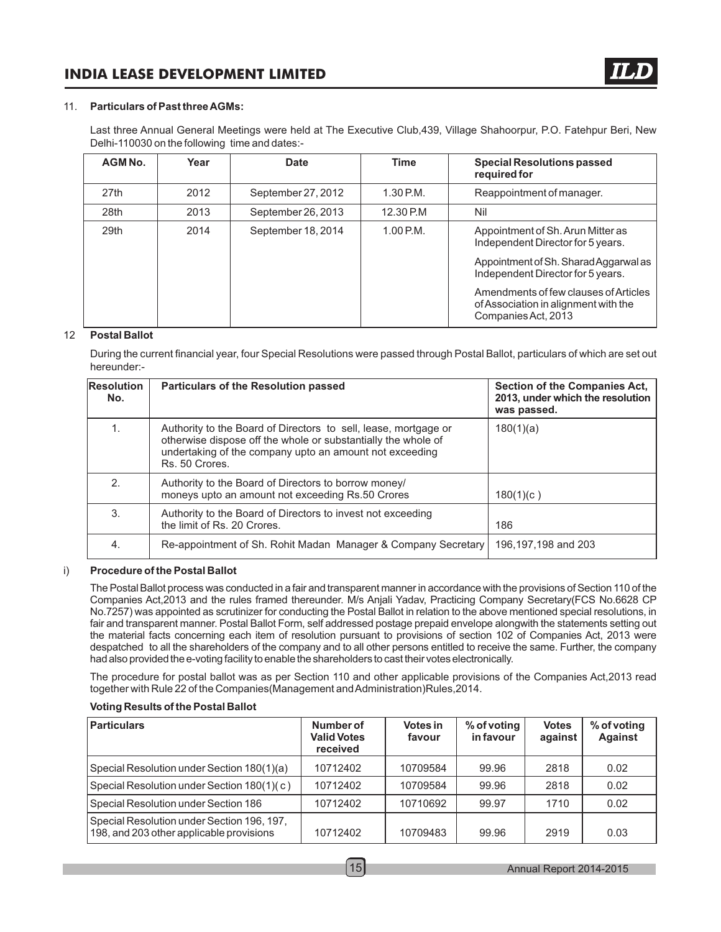#### 11. **Particulars of Past three AGMs:**

Last three Annual General Meetings were held at The Executive Club,439, Village Shahoorpur, P.O. Fatehpur Beri, New Delhi-110030 on the following time and dates:-

| AGM No. | Year | Date               | <b>Time</b> | <b>Special Resolutions passed</b><br>required for                                                    |
|---------|------|--------------------|-------------|------------------------------------------------------------------------------------------------------|
| 27th    | 2012 | September 27, 2012 | $1.30$ P.M. | Reappointment of manager.                                                                            |
| 28th    | 2013 | September 26, 2013 | 12.30 P.M   | Nil                                                                                                  |
| 29th    | 2014 | September 18, 2014 | 1.00 P.M.   | Appointment of Sh. Arun Mitter as<br>Independent Director for 5 years.                               |
|         |      |                    |             | Appointment of Sh. Sharad Aggarwal as<br>Independent Director for 5 years.                           |
|         |      |                    |             | Amendments of few clauses of Articles<br>of Association in alignment with the<br>Companies Act, 2013 |

#### 12 **Postal Ballot**

During the current financial year, four Special Resolutions were passed through Postal Ballot, particulars of which are set out hereunder:-

| <b>Resolution</b><br>No. | <b>Particulars of the Resolution passed</b>                                                                                                                                                                   | Section of the Companies Act,<br>2013, under which the resolution<br>was passed. |
|--------------------------|---------------------------------------------------------------------------------------------------------------------------------------------------------------------------------------------------------------|----------------------------------------------------------------------------------|
|                          | Authority to the Board of Directors to sell, lease, mortgage or<br>otherwise dispose off the whole or substantially the whole of<br>undertaking of the company upto an amount not exceeding<br>Rs. 50 Crores. | 180(1)(a)                                                                        |
| 2.                       | Authority to the Board of Directors to borrow money/<br>moneys upto an amount not exceeding Rs.50 Crores                                                                                                      | 180(1)(c)                                                                        |
| 3.                       | Authority to the Board of Directors to invest not exceeding<br>the limit of Rs. 20 Crores.                                                                                                                    | 186                                                                              |
| 4.                       | Re-appointment of Sh. Rohit Madan Manager & Company Secretary                                                                                                                                                 | 196,197,198 and 203                                                              |

#### i) **Procedure of the Postal Ballot**

The Postal Ballot process was conducted in a fair and transparent manner in accordance with the provisions of Section 110 of the Companies Act,2013 and the rules framed thereunder. M/s Anjali Yadav, Practicing Company Secretary(FCS No.6628 CP No.7257) was appointed as scrutinizer for conducting the Postal Ballot in relation to the above mentioned special resolutions, in fair and transparent manner. Postal Ballot Form, self addressed postage prepaid envelope alongwith the statements setting out the material facts concerning each item of resolution pursuant to provisions of section 102 of Companies Act, 2013 were despatched to all the shareholders of the company and to all other persons entitled to receive the same. Further, the company had also provided the e-voting facility to enable the shareholders to cast their votes electronically.

The procedure for postal ballot was as per Section 110 and other applicable provisions of the Companies Act,2013 read together with Rule 22 of the Companies(Management and Administration)Rules,2014.

#### **Voting Results of the Postal Ballot**

| <b>Particulars</b>                                                                     | <b>Number of</b><br><b>Valid Votes</b><br>received | Votes in<br>favour | $%$ of voting<br>in favour | <b>Votes</b><br>against | % of voting<br><b>Against</b> |
|----------------------------------------------------------------------------------------|----------------------------------------------------|--------------------|----------------------------|-------------------------|-------------------------------|
| Special Resolution under Section 180(1)(a)                                             | 10712402                                           | 10709584           | 99.96                      | 2818                    | 0.02                          |
| Special Resolution under Section 180(1)(c)                                             | 10712402                                           | 10709584           | 99.96                      | 2818                    | 0.02                          |
| Special Resolution under Section 186                                                   | 10712402                                           | 10710692           | 99.97                      | 1710                    | 0.02                          |
| Special Resolution under Section 196, 197,<br>198, and 203 other applicable provisions | 10712402                                           | 10709483           | 99.96                      | 2919                    | 0.03                          |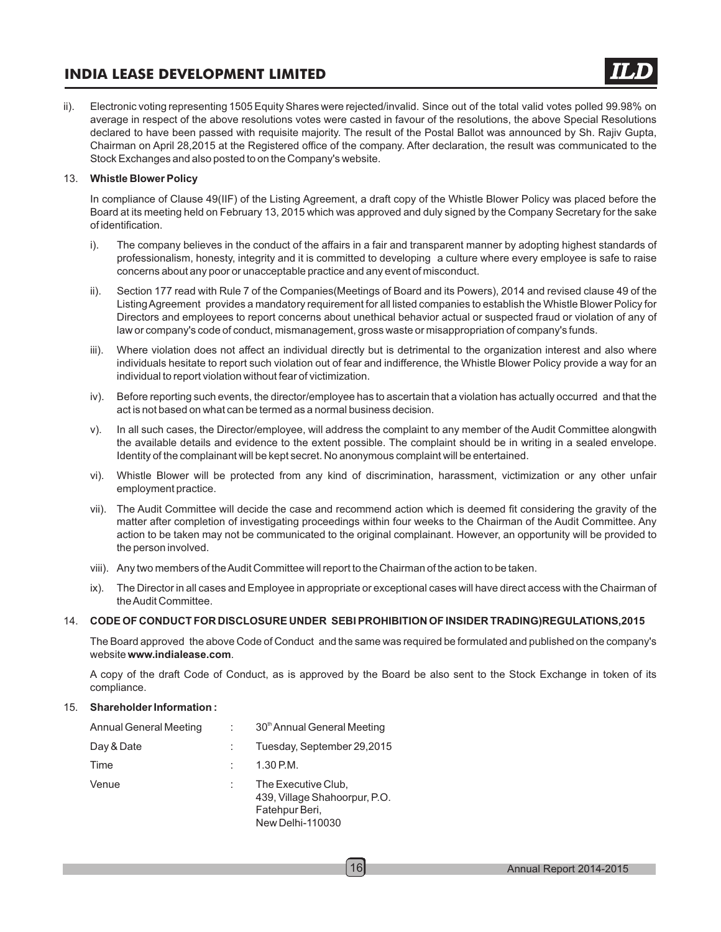

ii). Electronic voting representing 1505 Equity Shares were rejected/invalid. Since out of the total valid votes polled 99.98% on average in respect of the above resolutions votes were casted in favour of the resolutions, the above Special Resolutions declared to have been passed with requisite majority. The result of the Postal Ballot was announced by Sh. Rajiv Gupta, Chairman on April 28,2015 at the Registered office of the company. After declaration, the result was communicated to the Stock Exchanges and also posted to on the Company's website.

#### 13. **Whistle Blower Policy**

In compliance of Clause 49(IIF) of the Listing Agreement, a draft copy of the Whistle Blower Policy was placed before the Board at its meeting held on February 13, 2015 which was approved and duly signed by the Company Secretary for the sake of identification.

- i). The company believes in the conduct of the affairs in a fair and transparent manner by adopting highest standards of professionalism, honesty, integrity and it is committed to developing a culture where every employee is safe to raise concerns about any poor or unacceptable practice and any event of misconduct.
- ii). Section 177 read with Rule 7 of the Companies(Meetings of Board and its Powers), 2014 and revised clause 49 of the Listing Agreement provides a mandatory requirement for all listed companies to establish the Whistle Blower Policy for Directors and employees to report concerns about unethical behavior actual or suspected fraud or violation of any of law or company's code of conduct, mismanagement, gross waste or misappropriation of company's funds.
- iii). Where violation does not affect an individual directly but is detrimental to the organization interest and also where individuals hesitate to report such violation out of fear and indifference, the Whistle Blower Policy provide a way for an individual to report violation without fear of victimization.
- iv). Before reporting such events, the director/employee has to ascertain that a violation has actually occurred and that the act is not based on what can be termed as a normal business decision.
- v). In all such cases, the Director/employee, will address the complaint to any member of the Audit Committee alongwith the available details and evidence to the extent possible. The complaint should be in writing in a sealed envelope. Identity of the complainant will be kept secret. No anonymous complaint will be entertained.
- vi). Whistle Blower will be protected from any kind of discrimination, harassment, victimization or any other unfair employment practice.
- vii). The Audit Committee will decide the case and recommend action which is deemed fit considering the gravity of the matter after completion of investigating proceedings within four weeks to the Chairman of the Audit Committee. Any action to be taken may not be communicated to the original complainant. However, an opportunity will be provided to the person involved.
- viii). Any two members of the Audit Committee will report to the Chairman of the action to be taken.
- ix). The Director in all cases and Employee in appropriate or exceptional cases will have direct access with the Chairman of the Audit Committee.

#### 14. **CODE OF CONDUCT FOR DISCLOSURE UNDER SEBI PROHIBITION OF INSIDER TRADING)REGULATIONS,2015**

The Board approved the above Code of Conduct and the same was required be formulated and published on the company's website **www.indialease.com**.

A copy of the draft Code of Conduct, as is approved by the Board be also sent to the Stock Exchange in token of its compliance.

#### 15. **Shareholder Information :**

| Annual General Meeting | 30th Annual General Meeting                                                                       |
|------------------------|---------------------------------------------------------------------------------------------------|
| Day & Date             | Tuesday, September 29, 2015                                                                       |
| Time                   | $1.30$ P.M.                                                                                       |
| Venue                  | The Executive Club.<br>439, Village Shahoorpur, P.O.<br>Fatehpur Beri,<br><b>New Delhi-110030</b> |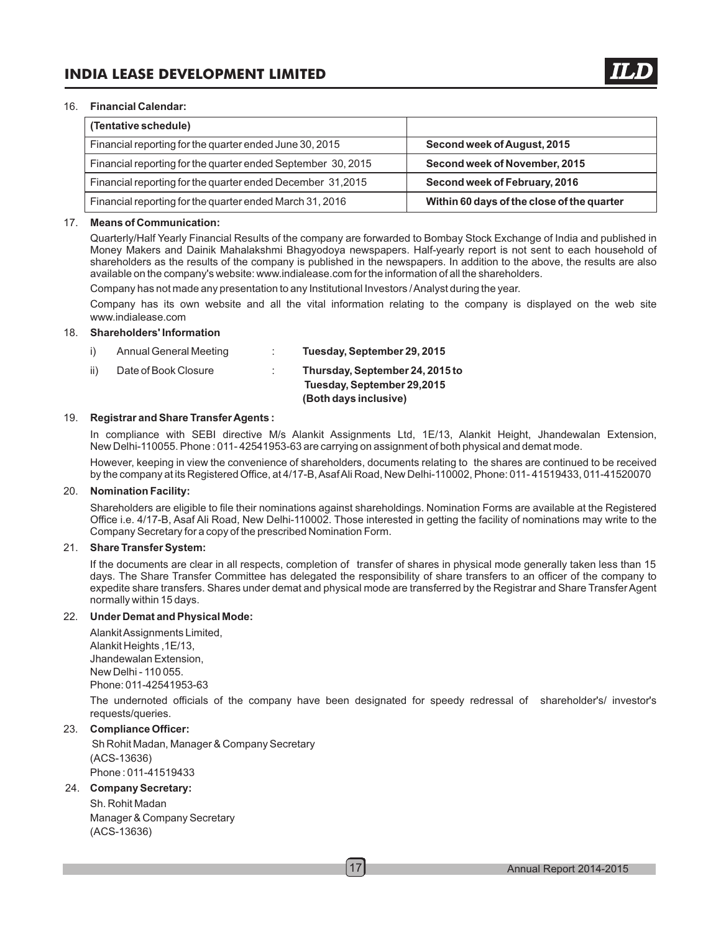#### 16. **Financial Calendar:**

| (Tentative schedule)                                         |                                            |
|--------------------------------------------------------------|--------------------------------------------|
| Financial reporting for the quarter ended June 30, 2015      | Second week of August, 2015                |
| Financial reporting for the quarter ended September 30, 2015 | Second week of November, 2015              |
| Financial reporting for the quarter ended December 31,2015   | Second week of February, 2016              |
| Financial reporting for the quarter ended March 31, 2016     | Within 60 days of the close of the quarter |

#### 17. **Means of Communication:**

Quarterly/Half Yearly Financial Results of the company are forwarded to Bombay Stock Exchange of India and published in Money Makers and Dainik Mahalakshmi Bhagyodoya newspapers. Half-yearly report is not sent to each household of shareholders as the results of the company is published in the newspapers. In addition to the above, the results are also available on the company's website: www.indialease.com for the information of all the shareholders.

Company has not made any presentation to any Institutional Investors / Analyst during the year.

Company has its own website and all the vital information relating to the company is displayed on the web site www.indialease.com

#### 18. **Shareholders' Information**

| Thursday, September 24, 2015 to<br>Date of Book Closure<br>ii)<br>Tuesday, September 29,2015 | Tuesday, September 29, 2015 |
|----------------------------------------------------------------------------------------------|-----------------------------|
|                                                                                              |                             |
| (Both days inclusive)                                                                        |                             |
|                                                                                              |                             |

#### 19. **Registrar and Share Transfer Agents :**

In compliance with SEBI directive M/s Alankit Assignments Ltd, 1E/13, Alankit Height, Jhandewalan Extension, New Delhi-110055. Phone : 011- 42541953-63 are carrying on assignment of both physical and demat mode.

However, keeping in view the convenience of shareholders, documents relating to the shares are continued to be received by the company at its Registered Office, at 4/17-B, Asaf Ali Road, New Delhi-110002, Phone: 011- 41519433, 011-41520070

#### 20. **Nomination Facility:**

Shareholders are eligible to file their nominations against shareholdings. Nomination Forms are available at the Registered Office i.e. 4/17-B, Asaf Ali Road, New Delhi-110002. Those interested in getting the facility of nominations may write to the Company Secretary for a copy of the prescribed Nomination Form.

#### 21. **Share Transfer System:**

If the documents are clear in all respects, completion of transfer of shares in physical mode generally taken less than 15 days. The Share Transfer Committee has delegated the responsibility of share transfers to an officer of the company to expedite share transfers. Shares under demat and physical mode are transferred by the Registrar and Share Transfer Agent normally within 15 days.

#### 22. **Under Demat and Physical Mode:**

Alankit Assignments Limited, Alankit Heights ,1E/13, Jhandewalan Extension, New Delhi - 110 055. Phone: 011-42541953-63

The undernoted officials of the company have been designated for speedy redressal of shareholder's/ investor's requests/queries.

#### 23. **Compliance Officer:**

 Sh Rohit Madan, Manager & Company Secretary (ACS-13636) Phone : 011-41519433

#### 24. **Company Secretary:**

Sh. Rohit Madan Manager & Company Secretary (ACS-13636)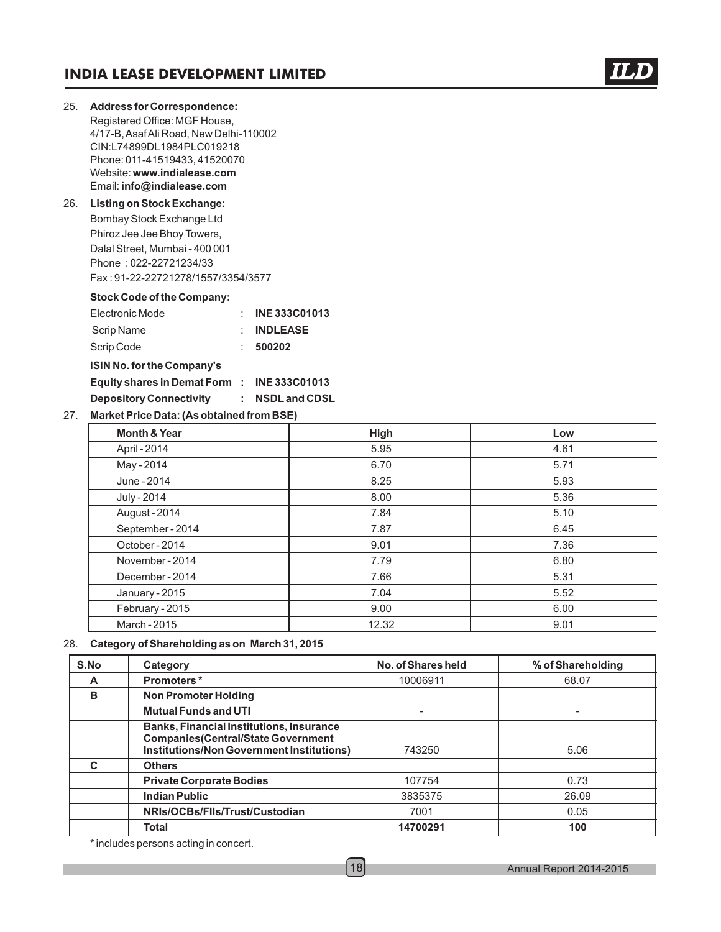

- 25. **Address for Correspondence:** Registered Office: MGF House, 4/17-B, Asaf Ali Road, New Delhi-110002 CIN:L74899DL1984PLC019218 Phone: 011-41519433, 41520070 Website: **www.indialease.com** Email: **info@indialease.com**
- 26. **Listing on Stock Exchange:** Bombay Stock Exchange Ltd Phiroz Jee Jee Bhoy Towers, Dalal Street, Mumbai - 400 001 Phone : 022-22721234/33 Fax : 91-22-22721278/1557/3354/3577

#### **Stock Code of the Company:**

| Electronic Mode                   | <b>INE 333C01013</b> |
|-----------------------------------|----------------------|
| <b>Scrip Name</b>                 | <b>INDLEASE</b>      |
| Scrip Code                        | 500202               |
| <b>ISIN No. for the Company's</b> |                      |
| Equity shares in Demat Form :     | <b>INE 333C01013</b> |
| <b>Depository Connectivity</b>    | <b>NSDL and CDSL</b> |

#### 27. **Market Price Data: (As obtained from BSE)**

| <b>Month &amp; Year</b> | High  | Low  |
|-------------------------|-------|------|
| April - 2014            | 5.95  | 4.61 |
| May - 2014              | 6.70  | 5.71 |
| June - 2014             | 8.25  | 5.93 |
| July - 2014             | 8.00  | 5.36 |
| August - 2014           | 7.84  | 5.10 |
| September - 2014        | 7.87  | 6.45 |
| October - 2014          | 9.01  | 7.36 |
| November-2014           | 7.79  | 6.80 |
| December-2014           | 7.66  | 5.31 |
| January - 2015          | 7.04  | 5.52 |
| February - 2015         | 9.00  | 6.00 |
| March - 2015            | 12.32 | 9.01 |

#### 28. **Category of Shareholding as on March 31, 2015**

| S.No | Category                                                                                                                                   | No. of Shares held | % of Shareholding |
|------|--------------------------------------------------------------------------------------------------------------------------------------------|--------------------|-------------------|
| A    | Promoters*                                                                                                                                 | 10006911           | 68.07             |
| B    | <b>Non Promoter Holding</b>                                                                                                                |                    |                   |
|      | <b>Mutual Funds and UTI</b>                                                                                                                |                    | -                 |
|      | <b>Banks, Financial Institutions, Insurance</b><br><b>Companies (Central/State Government</b><br>Institutions/Non Government Institutions) | 743250             | 5.06              |
| C.   | <b>Others</b>                                                                                                                              |                    |                   |
|      | <b>Private Corporate Bodies</b>                                                                                                            | 107754             | 0.73              |
|      | <b>Indian Public</b>                                                                                                                       | 3835375            | 26.09             |
|      | NRIs/OCBs/FIIs/Trust/Custodian                                                                                                             | 7001               | 0.05              |
|      | <b>Total</b>                                                                                                                               | 14700291           | 100               |

\* includes persons acting in concert.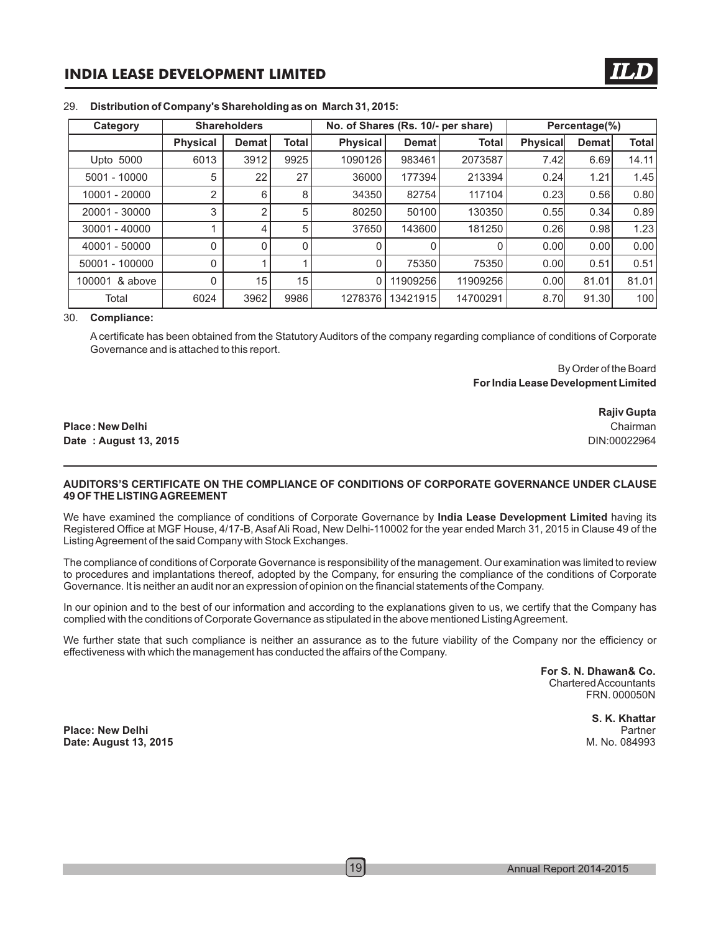| Category       | <b>Shareholders</b> |              |              | No. of Shares (Rs. 10/- per share) |              |          | Percentage(%)   |        |              |
|----------------|---------------------|--------------|--------------|------------------------------------|--------------|----------|-----------------|--------|--------------|
|                | <b>Physical</b>     | <b>Demat</b> | <b>Total</b> | <b>Physical</b>                    | <b>Demat</b> | Total    | <b>Physical</b> | Dematl | <b>Total</b> |
| Upto 5000      | 6013                | 3912         | 9925         | 1090126                            | 983461       | 2073587  | 7.42            | 6.69   | 14.11        |
| 5001 - 10000   | 5                   | 22           | 27           | 36000                              | 177394       | 213394   | 0.24            | 1.21   | 1.45         |
| 10001 - 20000  | 2                   | 6            | 8            | 34350                              | 82754        | 117104   | 0.23            | 0.56   | 0.80         |
| 20001 - 30000  | 3                   | 2            | 5            | 80250                              | 50100        | 130350   | 0.55            | 0.34   | 0.89         |
| 30001 - 40000  |                     | 4            | 5            | 37650                              | 143600       | 181250   | 0.26            | 0.98   | 1.23         |
| 40001 - 50000  | $\mathbf{0}$        | 0            | $\mathbf{0}$ | 0                                  | $\Omega$     | 0        | 0.001           | 0.001  | 0.00         |
| 50001 - 100000 | 0                   |              |              | 0                                  | 75350        | 75350    | 0.001           | 0.51   | 0.51         |
| 100001 & above | 0                   | 15           | 15           | $\mathbf{0}$                       | 11909256     | 11909256 | 0.001           | 81.01  | 81.01        |
| Total          | 6024                | 3962         | 9986         | 1278376                            | 13421915     | 14700291 | 8.70            | 91.30  | 100          |

#### 29. **Distribution of Company's Shareholding as on March 31, 2015:**

#### 30. **Compliance:**

A certificate has been obtained from the Statutory Auditors of the company regarding compliance of conditions of Corporate Governance and is attached to this report.

> By Order of the Board **For India Lease Development Limited**

**Place: New Delhi** Chairman **Date : August 13, 2015** DIN:00022964

**Rajiv Gupta** 

#### **AUDITORS'S CERTIFICATE ON THE COMPLIANCE OF CONDITIONS OF CORPORATE GOVERNANCE UNDER CLAUSE 49 OF THE LISTING AGREEMENT**

We have examined the compliance of conditions of Corporate Governance by **India Lease Development Limited** having its Registered Office at MGF House, 4/17-B, Asaf Ali Road, New Delhi-110002 for the year ended March 31, 2015 in Clause 49 of the Listing Agreement of the said Company with Stock Exchanges.

The compliance of conditions of Corporate Governance is responsibility of the management. Our examination was limited to review to procedures and implantations thereof, adopted by the Company, for ensuring the compliance of the conditions of Corporate Governance. It is neither an audit nor an expression of opinion on the financial statements of the Company.

In our opinion and to the best of our information and according to the explanations given to us, we certify that the Company has complied with the conditions of Corporate Governance as stipulated in the above mentioned Listing Agreement.

We further state that such compliance is neither an assurance as to the future viability of the Company nor the efficiency or effectiveness with which the management has conducted the affairs of the Company.

> **For S. N. Dhawan& Co.** Chartered Accountants FRN. 000050N

> > **S. K. Khattar**

**Place: New Delhi Date: August 13, 2015** M. No. 084993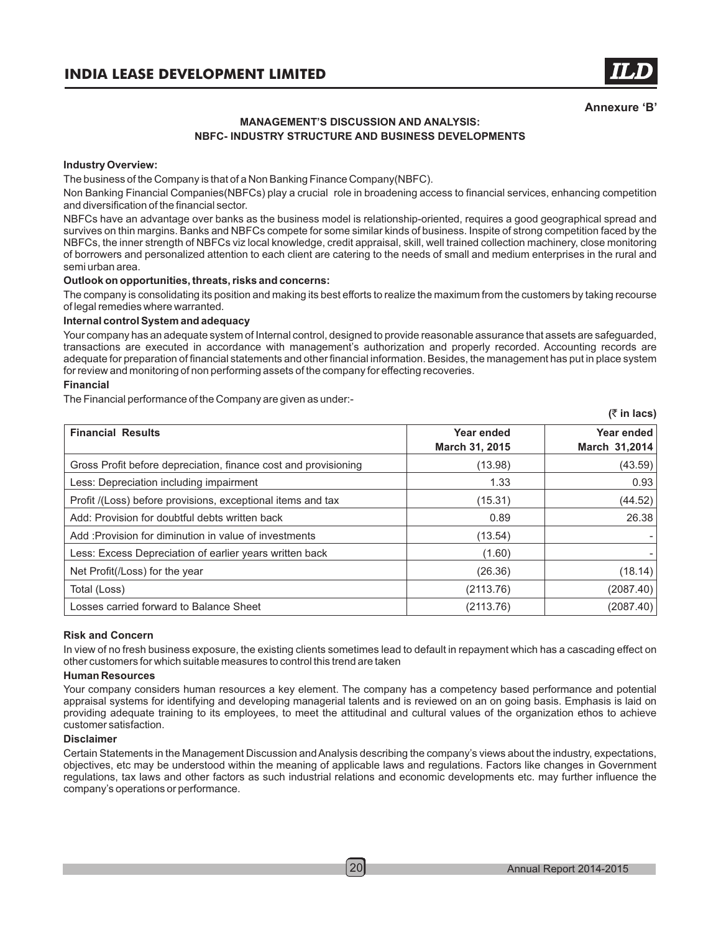

#### **Annexure 'B'**

#### **MANAGEMENT'S DISCUSSION AND ANALYSIS: NBFC- INDUSTRY STRUCTURE AND BUSINESS DEVELOPMENTS**

#### **Industry Overview:**

The business of the Company is that of a Non Banking Finance Company(NBFC).

Non Banking Financial Companies(NBFCs) play a crucial role in broadening access to financial services, enhancing competition and diversification of the financial sector.

NBFCs have an advantage over banks as the business model is relationship-oriented, requires a good geographical spread and survives on thin margins. Banks and NBFCs compete for some similar kinds of business. Inspite of strong competition faced by the NBFCs, the inner strength of NBFCs viz local knowledge, credit appraisal, skill, well trained collection machinery, close monitoring of borrowers and personalized attention to each client are catering to the needs of small and medium enterprises in the rural and semi urban area.

#### **Outlook on opportunities, threats, risks and concerns:**

The company is consolidating its position and making its best efforts to realize the maximum from the customers by taking recourse of legal remedies where warranted.

#### **Internal control System and adequacy**

Your company has an adequate system of Internal control, designed to provide reasonable assurance that assets are safeguarded, transactions are executed in accordance with management's authorization and properly recorded. Accounting records are adequate for preparation of financial statements and other financial information. Besides, the management has put in place system for review and monitoring of non performing assets of the company for effecting recoveries.

#### **Financial**

The Financial performance of the Company are given as under:-

|                                                                 |                              | $($ ₹ in lacs)              |
|-----------------------------------------------------------------|------------------------------|-----------------------------|
| <b>Financial Results</b>                                        | Year ended<br>March 31, 2015 | Year ended<br>March 31,2014 |
| Gross Profit before depreciation, finance cost and provisioning | (13.98)                      | (43.59)                     |
| Less: Depreciation including impairment                         | 1.33                         | 0.93                        |
| Profit /(Loss) before provisions, exceptional items and tax     | (15.31)                      | (44.52)                     |
| Add: Provision for doubtful debts written back                  | 0.89                         | 26.38                       |
| Add: Provision for diminution in value of investments           | (13.54)                      |                             |
| Less: Excess Depreciation of earlier years written back         | (1.60)                       |                             |
| Net Profit(/Loss) for the year                                  | (26.36)                      | (18.14)                     |
| Total (Loss)                                                    | (2113.76)                    | (2087.40)                   |
| Losses carried forward to Balance Sheet                         | (2113.76)                    | (2087.40)                   |

#### **Risk and Concern**

In view of no fresh business exposure, the existing clients sometimes lead to default in repayment which has a cascading effect on other customers for which suitable measures to control this trend are taken

#### **Human Resources**

Your company considers human resources a key element. The company has a competency based performance and potential appraisal systems for identifying and developing managerial talents and is reviewed on an on going basis. Emphasis is laid on providing adequate training to its employees, to meet the attitudinal and cultural values of the organization ethos to achieve customer satisfaction.

#### **Disclaimer**

Certain Statements in the Management Discussion and Analysis describing the company's views about the industry, expectations, objectives, etc may be understood within the meaning of applicable laws and regulations. Factors like changes in Government regulations, tax laws and other factors as such industrial relations and economic developments etc. may further influence the company's operations or performance.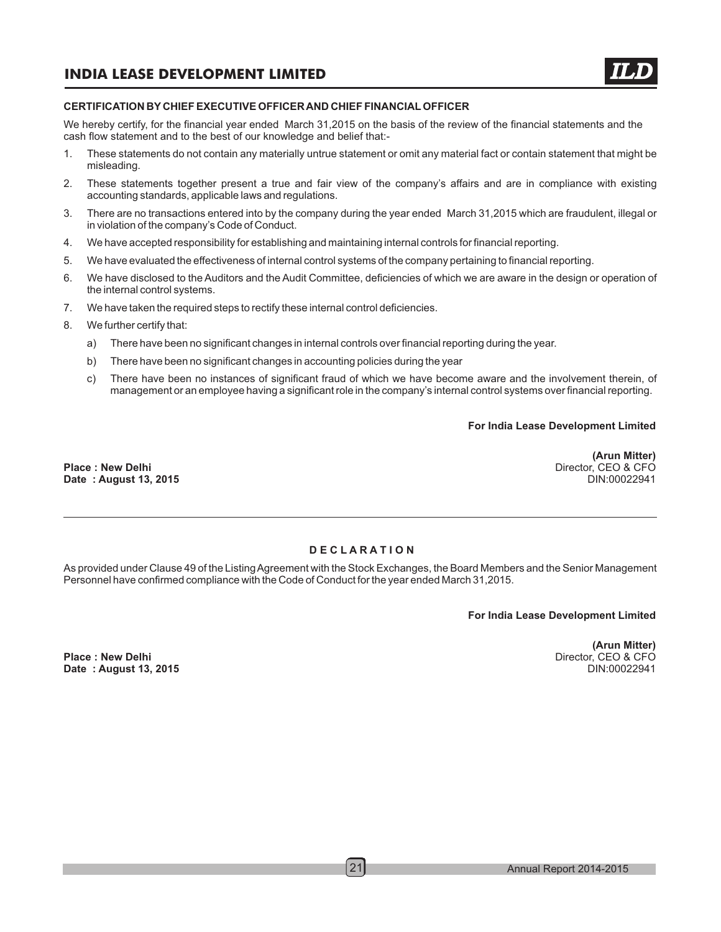#### **CERTIFICATION BY CHIEF EXECUTIVE OFFICER AND CHIEF FINANCIAL OFFICER**

We hereby certify, for the financial year ended March 31,2015 on the basis of the review of the financial statements and the cash flow statement and to the best of our knowledge and belief that:-

- 1. These statements do not contain any materially untrue statement or omit any material fact or contain statement that might be misleading.
- 2. These statements together present a true and fair view of the company's affairs and are in compliance with existing accounting standards, applicable laws and regulations.
- 3. There are no transactions entered into by the company during the year ended March 31,2015 which are fraudulent, illegal or in violation of the company's Code of Conduct.
- 4. We have accepted responsibility for establishing and maintaining internal controls for financial reporting.
- 5. We have evaluated the effectiveness of internal control systems of the company pertaining to financial reporting.
- 6. We have disclosed to the Auditors and the Audit Committee, deficiencies of which we are aware in the design or operation of the internal control systems.
- 7. We have taken the required steps to rectify these internal control deficiencies.
- 8. We further certify that:
	- a) There have been no significant changes in internal controls over financial reporting during the year.
	- b) There have been no significant changes in accounting policies during the year
	- c) There have been no instances of significant fraud of which we have become aware and the involvement therein, of management or an employee having a significant role in the company's internal control systems over financial reporting.

#### **For India Lease Development Limited**

**Place : New Delhi** Director, CEO & CFO Date: August 13, 2015

**(Arun Mitter)** 

#### **D E C L A R A T I O N**

As provided under Clause 49 of the Listing Agreement with the Stock Exchanges, the Board Members and the Senior Management Personnel have confirmed compliance with the Code of Conduct for the year ended March 31,2015.

**For India Lease Development Limited**

**Place : New Delhi** Director, CEO & CFO **Date: August 13, 2015** 

**(Arun Mitter)**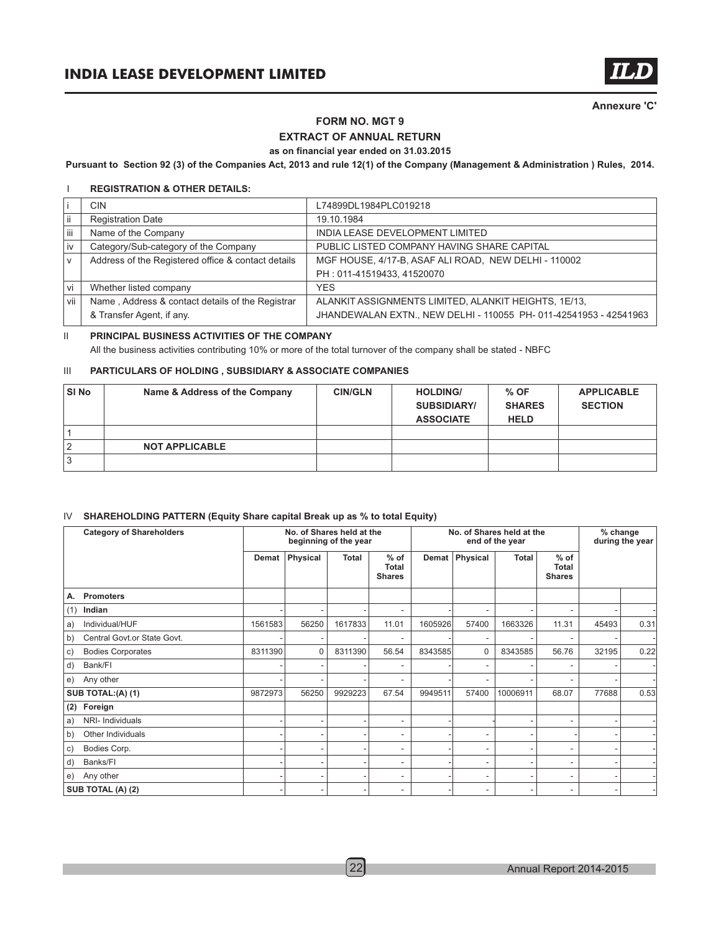

**Annexure 'C'**

#### **FORM NO. MGT 9 EXTRACT OF ANNUAL RETURN**

#### **as on financial year ended on 31.03.2015**

**Pursuant to Section 92 (3) of the Companies Act, 2013 and rule 12(1) of the Company (Management & Administration ) Rules, 2014.**

#### I **REGISTRATION & OTHER DETAILS:**

|     | <b>CIN</b>                                         | L74899DL1984PLC019218                                             |
|-----|----------------------------------------------------|-------------------------------------------------------------------|
|     | <b>Registration Date</b>                           | 19.10.1984                                                        |
| iii | Name of the Company                                | INDIA LEASE DEVELOPMENT LIMITED                                   |
| iv  | Category/Sub-category of the Company               | PUBLIC LISTED COMPANY HAVING SHARE CAPITAL                        |
| v   | Address of the Registered office & contact details | MGF HOUSE, 4/17-B, ASAF ALI ROAD, NEW DELHI - 110002              |
|     |                                                    | PH: 011-41519433, 41520070                                        |
| vi  | Whether listed company                             | <b>YES</b>                                                        |
| vii | Name, Address & contact details of the Registrar   | ALANKIT ASSIGNMENTS LIMITED, ALANKIT HEIGHTS, 1E/13,              |
|     | & Transfer Agent, if any.                          | JHANDEWALAN EXTN., NEW DELHI - 110055 PH- 011-42541953 - 42541963 |

#### II **PRINCIPAL BUSINESS ACTIVITIES OF THE COMPANY**

All the business activities contributing 10% or more of the total turnover of the company shall be stated - NBFC

#### III **PARTICULARS OF HOLDING , SUBSIDIARY & ASSOCIATE COMPANIES**

| SI No | Name & Address of the Company | <b>CIN/GLN</b> | <b>HOLDING/</b><br><b>SUBSIDIARY/</b><br><b>ASSOCIATE</b> | % OF<br><b>SHARES</b><br><b>HELD</b> | <b>APPLICABLE</b><br><b>SECTION</b> |
|-------|-------------------------------|----------------|-----------------------------------------------------------|--------------------------------------|-------------------------------------|
|       |                               |                |                                                           |                                      |                                     |
|       | <b>NOT APPLICABLE</b>         |                |                                                           |                                      |                                     |
| 3     |                               |                |                                                           |                                      |                                     |

#### IV **SHAREHOLDING PATTERN (Equity Share capital Break up as % to total Equity)**

| <b>Category of Shareholders</b><br>No. of Shares held at the<br>beginning of the year |         |          | No. of Shares held at the<br>end of the year |                                         |         |                | % change<br>during the year |                                         |       |      |
|---------------------------------------------------------------------------------------|---------|----------|----------------------------------------------|-----------------------------------------|---------|----------------|-----------------------------|-----------------------------------------|-------|------|
|                                                                                       | Demat   | Physical | Total                                        | $%$ of<br><b>Total</b><br><b>Shares</b> |         | Demat Physical | <b>Total</b>                | $%$ of<br><b>Total</b><br><b>Shares</b> |       |      |
| <b>Promoters</b><br>А.                                                                |         |          |                                              |                                         |         |                |                             |                                         |       |      |
| Indian<br>(1)                                                                         |         |          |                                              | ۰                                       |         | ۰              |                             | ۰                                       |       |      |
| Individual/HUF<br>a)                                                                  | 1561583 | 56250    | 1617833                                      | 11.01                                   | 1605926 | 57400          | 1663326                     | 11.31                                   | 45493 | 0.31 |
| Central Govt.or State Govt.<br>b)                                                     |         |          |                                              | ۰                                       |         |                |                             |                                         |       |      |
| <b>Bodies Corporates</b><br>C)                                                        | 8311390 | 0        | 8311390                                      | 56.54                                   | 8343585 | $\Omega$       | 8343585                     | 56.76                                   | 32195 | 0.22 |
| d)<br>Bank/FI                                                                         |         |          |                                              | ٠                                       |         |                |                             |                                         |       |      |
| Any other<br>e)                                                                       |         |          |                                              | ۰                                       |         | ٠              |                             | ٠                                       |       |      |
| SUB TOTAL:(A)(1)                                                                      | 9872973 | 56250    | 9929223                                      | 67.54                                   | 9949511 | 57400          | 10006911                    | 68.07                                   | 77688 | 0.53 |
| Foreign<br>(2)                                                                        |         |          |                                              |                                         |         |                |                             |                                         |       |      |
| NRI- Individuals<br>a)                                                                |         | -        |                                              | ۰                                       |         |                | ٠                           | ۰                                       |       |      |
| Other Individuals<br>b)                                                               |         |          |                                              | ۰                                       |         |                | ٠                           |                                         |       |      |
| Bodies Corp.<br>c)                                                                    |         |          |                                              | ۰                                       |         | ۰              |                             | ۰                                       |       |      |
| Banks/FI<br>d)                                                                        |         |          |                                              | ۰                                       |         | ۰              |                             | ٠                                       |       |      |
| Any other<br>e)                                                                       |         |          |                                              | ۰                                       |         |                |                             | ۰                                       |       |      |
| SUB TOTAL (A) (2)                                                                     |         |          |                                              | ٠                                       |         |                |                             | ٠                                       |       |      |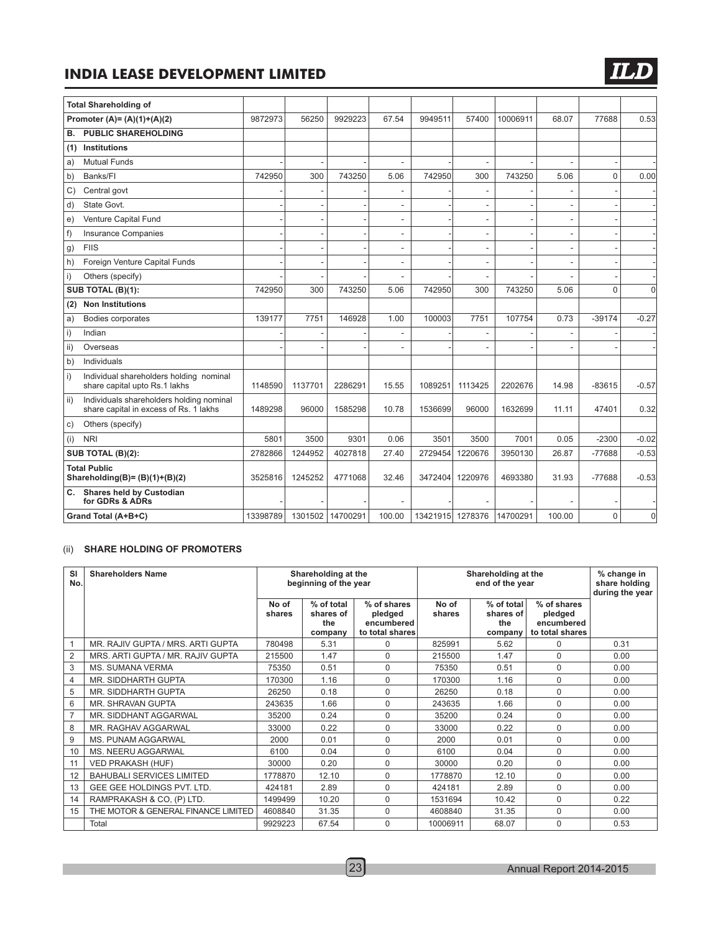|               | <b>Total Shareholding of</b>                                                       |          |                |          |                          |                  |                          |          |        |                              |          |
|---------------|------------------------------------------------------------------------------------|----------|----------------|----------|--------------------------|------------------|--------------------------|----------|--------|------------------------------|----------|
|               | Promoter $(A)=(A)(1)+(A)(2)$                                                       | 9872973  | 56250          | 9929223  | 67.54                    | 9949511          | 57400                    | 10006911 | 68.07  | 77688                        | 0.53     |
| В.            | <b>PUBLIC SHAREHOLDING</b>                                                         |          |                |          |                          |                  |                          |          |        |                              |          |
| (1)           | <b>Institutions</b>                                                                |          |                |          |                          |                  |                          |          |        |                              |          |
| a)            | <b>Mutual Funds</b>                                                                |          |                |          |                          |                  | ä,                       |          |        |                              |          |
| b)            | Banks/FI                                                                           | 742950   | 300            | 743250   | 5.06                     | 742950           | 300                      | 743250   | 5.06   | 0                            | 0.00     |
| C)            | Central govt                                                                       |          | ÷,             |          |                          |                  |                          |          |        |                              |          |
| d)            | State Govt.                                                                        |          | $\overline{a}$ |          | ÷,                       |                  | $\overline{\phantom{a}}$ |          | ÷,     | $\qquad \qquad \blacksquare$ |          |
| e)            | Venture Capital Fund                                                               |          | ÷,             |          | $\overline{\phantom{a}}$ |                  | $\overline{\phantom{a}}$ |          |        |                              |          |
| f)            | <b>Insurance Companies</b>                                                         |          | ÷,             |          | $\overline{\phantom{a}}$ |                  | ä,                       |          | L,     |                              |          |
| g)            | <b>FIIS</b>                                                                        |          | $\overline{a}$ |          | $\overline{a}$           |                  | $\overline{\phantom{a}}$ |          | ÷,     |                              |          |
| h)            | Foreign Venture Capital Funds                                                      |          | ÷,             |          | $\overline{\phantom{a}}$ |                  | ٠                        |          |        |                              |          |
| i)            | Others (specify)                                                                   |          |                |          |                          |                  |                          |          |        |                              |          |
|               | SUB TOTAL (B)(1):                                                                  | 742950   | 300            | 743250   | 5.06                     | 742950           | 300                      | 743250   | 5.06   | $\Omega$                     | $\Omega$ |
| (2)           | <b>Non Institutions</b>                                                            |          |                |          |                          |                  |                          |          |        |                              |          |
| a)            | Bodies corporates                                                                  | 139177   | 7751           | 146928   | 1.00                     | 100003           | 7751                     | 107754   | 0.73   | $-39174$                     | $-0.27$  |
| $\vert$ i)    | Indian                                                                             |          |                |          | $\overline{\phantom{a}}$ |                  | ٠                        |          |        |                              |          |
| ii)           | Overseas                                                                           |          |                |          |                          |                  |                          |          |        |                              |          |
| b)            | Individuals                                                                        |          |                |          |                          |                  |                          |          |        |                              |          |
| $\mathbf{i}$  | Individual shareholders holding nominal<br>share capital upto Rs.1 lakhs           | 1148590  | 1137701        | 2286291  | 15.55                    | 1089251          | 1113425                  | 2202676  | 14.98  | $-83615$                     | $-0.57$  |
| $\mathsf{ii}$ | Individuals shareholders holding nominal<br>share capital in excess of Rs. 1 lakhs | 1489298  | 96000          | 1585298  | 10.78                    | 1536699          | 96000                    | 1632699  | 11.11  | 47401                        | 0.32     |
| c)            | Others (specify)                                                                   |          |                |          |                          |                  |                          |          |        |                              |          |
| (i)           | <b>NRI</b>                                                                         | 5801     | 3500           | 9301     | 0.06                     | 3501             | 3500                     | 7001     | 0.05   | $-2300$                      | $-0.02$  |
|               | SUB TOTAL (B)(2):                                                                  | 2782866  | 1244952        | 4027818  | 27.40                    | 2729454          | 1220676                  | 3950130  | 26.87  | $-77688$                     | $-0.53$  |
|               | <b>Total Public</b><br>Shareholding(B)= (B)(1)+(B)(2)                              | 3525816  | 1245252        | 4771068  | 32.46                    | 3472404          | 1220976                  | 4693380  | 31.93  | $-77688$                     | $-0.53$  |
|               | C. Shares held by Custodian<br>for GDRs & ADRs                                     |          |                |          |                          |                  |                          |          |        |                              |          |
|               | Grand Total (A+B+C)                                                                | 13398789 | 1301502        | 14700291 | 100.00                   | 13421915 1278376 |                          | 14700291 | 100.00 | 0                            | 0        |

## (ii) **SHARE HOLDING OF PROMOTERS**

| <b>SI</b><br>No. | <b>Shareholders Name</b>            | Shareholding at the<br>beginning of the year |                                           |                                                         |                 | Shareholding at the<br>end of the year    | % change in<br>share holding<br>during the year         |      |
|------------------|-------------------------------------|----------------------------------------------|-------------------------------------------|---------------------------------------------------------|-----------------|-------------------------------------------|---------------------------------------------------------|------|
|                  |                                     | No of<br>shares                              | % of total<br>shares of<br>the<br>company | % of shares<br>pledged<br>encumbered<br>to total shares | No of<br>shares | % of total<br>shares of<br>the<br>company | % of shares<br>pledged<br>encumbered<br>to total shares |      |
|                  | MR. RAJIV GUPTA / MRS. ARTI GUPTA   | 780498                                       | 5.31                                      | 0                                                       | 825991          | 5.62                                      | $\Omega$                                                | 0.31 |
| $\overline{2}$   | MRS. ARTI GUPTA / MR. RAJIV GUPTA   | 215500                                       | 1.47                                      | 0                                                       | 215500          | 1.47                                      | 0                                                       | 0.00 |
| 3                | <b>MS. SUMANA VERMA</b>             | 75350                                        | 0.51                                      | $\Omega$                                                | 75350           | 0.51                                      | $\Omega$                                                | 0.00 |
| 4                | MR. SIDDHARTH GUPTA                 | 170300                                       | 1.16                                      | $\Omega$                                                | 170300          | 1.16                                      | 0                                                       | 0.00 |
| 5                | MR. SIDDHARTH GUPTA                 | 26250                                        | 0.18                                      | $\Omega$                                                | 26250           | 0.18                                      | $\Omega$                                                | 0.00 |
| 6                | MR. SHRAVAN GUPTA                   | 243635                                       | 1.66                                      | $\Omega$                                                | 243635          | 1.66                                      | $\Omega$                                                | 0.00 |
|                  | MR. SIDDHANT AGGARWAL               | 35200                                        | 0.24                                      | $\Omega$                                                | 35200           | 0.24                                      | $\Omega$                                                | 0.00 |
| 8                | MR. RAGHAV AGGARWAL                 | 33000                                        | 0.22                                      | $\Omega$                                                | 33000           | 0.22                                      | $\Omega$                                                | 0.00 |
| 9                | MS. PUNAM AGGARWAL                  | 2000                                         | 0.01                                      | $\Omega$                                                | 2000            | 0.01                                      | $\Omega$                                                | 0.00 |
| 10               | <b>MS. NEERU AGGARWAL</b>           | 6100                                         | 0.04                                      | $\Omega$                                                | 6100            | 0.04                                      | $\Omega$                                                | 0.00 |
| 11               | <b>VED PRAKASH (HUF)</b>            | 30000                                        | 0.20                                      | $\Omega$                                                | 30000           | 0.20                                      | $\Omega$                                                | 0.00 |
| 12               | <b>BAHUBALI SERVICES LIMITED</b>    | 1778870                                      | 12.10                                     | $\Omega$                                                | 1778870         | 12.10                                     | 0                                                       | 0.00 |
| 13               | GEE GEE HOLDINGS PVT. LTD.          | 424181                                       | 2.89                                      | $\Omega$                                                | 424181          | 2.89                                      | $\Omega$                                                | 0.00 |
| 14               | RAMPRAKASH & CO, (P) LTD.           | 1499499                                      | 10.20                                     | $\Omega$                                                | 1531694         | 10.42                                     | $\Omega$                                                | 0.22 |
| 15               | THE MOTOR & GENERAL FINANCE LIMITED | 4608840                                      | 31.35                                     | $\Omega$                                                | 4608840         | 31.35                                     | $\Omega$                                                | 0.00 |
|                  | Total                               | 9929223                                      | 67.54                                     | $\Omega$                                                | 10006911        | 68.07                                     | $\Omega$                                                | 0.53 |

**ILD**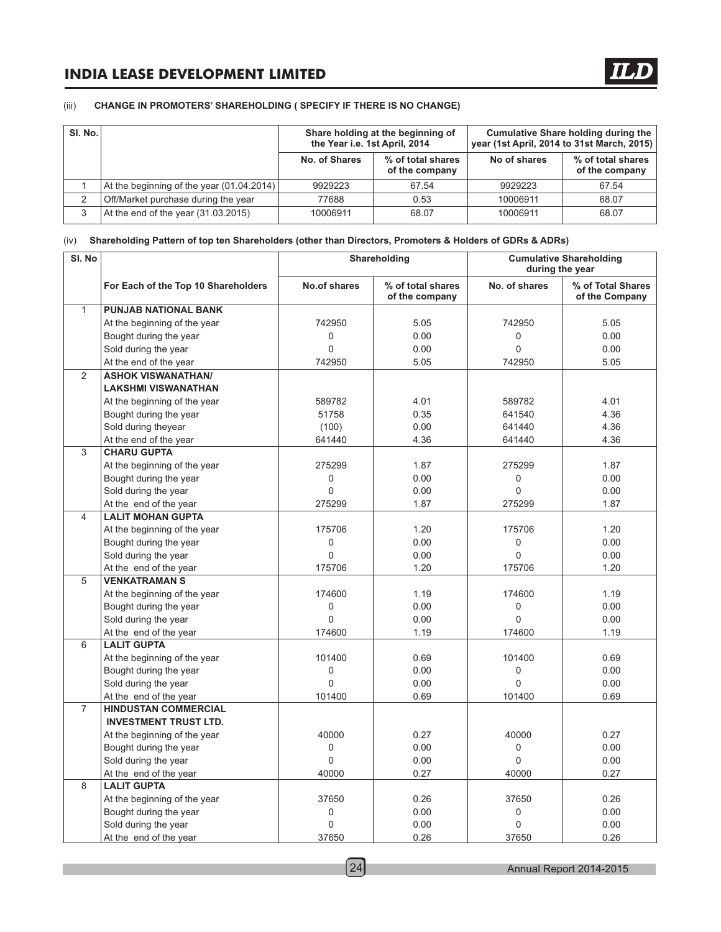#### (iii) **CHANGE IN PROMOTERS' SHAREHOLDING ( SPECIFY IF THERE IS NO CHANGE)**

| SI. No. |                                           | the Year i.e. 1st April, 2014 | Share holding at the beginning of   | <b>Cumulative Share holding during the</b><br>year (1st April, 2014 to 31st March, 2015) |                                     |  |
|---------|-------------------------------------------|-------------------------------|-------------------------------------|------------------------------------------------------------------------------------------|-------------------------------------|--|
|         |                                           | No. of Shares                 | % of total shares<br>of the company | No of shares                                                                             | % of total shares<br>of the company |  |
|         | At the beginning of the year (01.04.2014) | 9929223                       | 67.54                               | 9929223                                                                                  | 67.54                               |  |
|         | Off/Market purchase during the year       | 77688                         | 0.53                                | 10006911                                                                                 | 68.07                               |  |
| 3       | At the end of the year $(31.03.2015)$     | 10006911                      | 68.07                               | 10006911                                                                                 | 68.07                               |  |

| (iv) Shareholding Pattern of top ten Shareholders (other than Directors, Promoters & Holders of GDRs & ADRs) |  |  |
|--------------------------------------------------------------------------------------------------------------|--|--|
|                                                                                                              |  |  |

| SI. No         |                                     |                     | Shareholding                        | <b>Cumulative Shareholding</b><br>during the year |                                     |
|----------------|-------------------------------------|---------------------|-------------------------------------|---------------------------------------------------|-------------------------------------|
|                | For Each of the Top 10 Shareholders | <b>No.of shares</b> | % of total shares<br>of the company | No. of shares                                     | % of Total Shares<br>of the Company |
| $\mathbf{1}$   | <b>PUNJAB NATIONAL BANK</b>         |                     |                                     |                                                   |                                     |
|                | At the beginning of the year        | 742950              | 5.05                                | 742950                                            | 5.05                                |
|                | Bought during the year              | $\mathbf 0$         | 0.00                                | 0                                                 | 0.00                                |
|                | Sold during the year                | $\overline{0}$      | 0.00                                | $\overline{0}$                                    | 0.00                                |
|                | At the end of the year              | 742950              | 5.05                                | 742950                                            | 5.05                                |
| 2              | <b>ASHOK VISWANATHAN/</b>           |                     |                                     |                                                   |                                     |
|                | <b>LAKSHMI VISWANATHAN</b>          |                     |                                     |                                                   |                                     |
|                | At the beginning of the year        | 589782              | 4.01                                | 589782                                            | 4.01                                |
|                | Bought during the year              | 51758               | 0.35                                | 641540                                            | 4.36                                |
|                | Sold during theyear                 | (100)               | 0.00                                | 641440                                            | 4.36                                |
|                | At the end of the year              | 641440              | 4.36                                | 641440                                            | 4.36                                |
| 3              | <b>CHARU GUPTA</b>                  |                     |                                     |                                                   |                                     |
|                | At the beginning of the year        | 275299              | 1.87                                | 275299                                            | 1.87                                |
|                | Bought during the year              | $\Omega$            | 0.00                                | $\mathbf 0$                                       | 0.00                                |
|                | Sold during the year                | $\overline{0}$      | 0.00                                | $\overline{0}$                                    | 0.00                                |
|                | At the end of the year              | 275299              | 1.87                                | 275299                                            | 1.87                                |
| 4              | <b>LALIT MOHAN GUPTA</b>            |                     |                                     |                                                   |                                     |
|                | At the beginning of the year        | 175706              | 1.20                                | 175706                                            | 1.20                                |
|                | Bought during the year              | $\mathbf 0$         | 0.00                                | $\pmb{0}$                                         | 0.00                                |
|                | Sold during the year                | $\overline{0}$      | 0.00                                | $\overline{0}$                                    | 0.00                                |
|                | At the end of the year              | 175706              | 1.20                                | 175706                                            | 1.20                                |
| 5              | <b>VENKATRAMAN S</b>                |                     |                                     |                                                   |                                     |
|                | At the beginning of the year        | 174600              | 1.19                                | 174600                                            | 1.19                                |
|                | Bought during the year              | $\mathbf 0$         | 0.00                                | $\pmb{0}$                                         | 0.00                                |
|                | Sold during the year                | $\overline{0}$      | 0.00                                | $\mathbf 0$                                       | 0.00                                |
|                | At the end of the year              | 174600              | 1.19                                | 174600                                            | 1.19                                |
| 6              | <b>LALIT GUPTA</b>                  |                     |                                     |                                                   |                                     |
|                | At the beginning of the year        | 101400              | 0.69                                | 101400                                            | 0.69                                |
|                | Bought during the year              | $\mathbf 0$         | 0.00                                | $\mathsf 0$                                       | 0.00                                |
|                | Sold during the year                | $\overline{0}$      | 0.00                                | $\overline{0}$                                    | 0.00                                |
|                | At the end of the year              | 101400              | 0.69                                | 101400                                            | 0.69                                |
| $\overline{7}$ | <b>HINDUSTAN COMMERCIAL</b>         |                     |                                     |                                                   |                                     |
|                | <b>INVESTMENT TRUST LTD.</b>        |                     |                                     |                                                   |                                     |
|                | At the beginning of the year        | 40000               | 0.27                                | 40000                                             | 0.27                                |
|                | Bought during the year              | 0                   | 0.00                                | $\mathsf 0$                                       | 0.00                                |
|                | Sold during the year                | $\overline{0}$      | 0.00                                | $\overline{0}$                                    | 0.00                                |
|                | At the end of the year              | 40000               | 0.27                                | 40000                                             | 0.27                                |
| 8              | <b>LALIT GUPTA</b>                  |                     |                                     |                                                   |                                     |
|                | At the beginning of the year        | 37650               | 0.26                                | 37650                                             | 0.26                                |
|                | Bought during the year              | $\mathbf 0$         | 0.00                                | $\mathsf 0$                                       | 0.00                                |
|                | Sold during the year                | $\mathbf 0$         | 0.00                                | $\overline{0}$                                    | 0.00                                |
|                | At the end of the year              | 37650               | 0.26                                | 37650                                             | 0.26                                |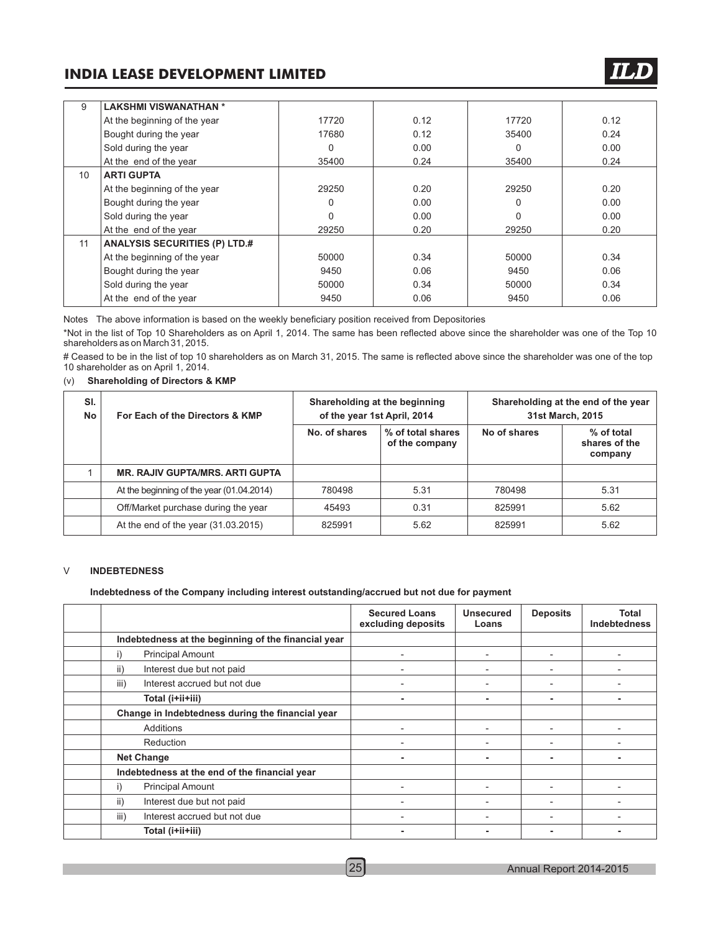| 9  | <b>LAKSHMI VISWANATHAN*</b>          |          |      |          |      |
|----|--------------------------------------|----------|------|----------|------|
|    | At the beginning of the year         | 17720    | 0.12 | 17720    | 0.12 |
|    | Bought during the year               | 17680    | 0.12 | 35400    | 0.24 |
|    | Sold during the year                 | $\Omega$ | 0.00 | 0        | 0.00 |
|    | At the end of the year               | 35400    | 0.24 | 35400    | 0.24 |
| 10 | <b>ARTI GUPTA</b>                    |          |      |          |      |
|    | At the beginning of the year         | 29250    | 0.20 | 29250    | 0.20 |
|    | Bought during the year               |          | 0.00 | 0        | 0.00 |
|    | Sold during the year                 | $\Omega$ | 0.00 | $\Omega$ | 0.00 |
|    | At the end of the year               | 29250    | 0.20 | 29250    | 0.20 |
| 11 | <b>ANALYSIS SECURITIES (P) LTD.#</b> |          |      |          |      |
|    | At the beginning of the year         | 50000    | 0.34 | 50000    | 0.34 |
|    | Bought during the year               | 9450     | 0.06 | 9450     | 0.06 |
|    | Sold during the year                 | 50000    | 0.34 | 50000    | 0.34 |
|    | At the end of the year               | 9450     | 0.06 | 9450     | 0.06 |

Notes The above information is based on the weekly beneficiary position received from Depositories

\*Not in the list of Top 10 Shareholders as on April 1, 2014. The same has been reflected above since the shareholder was one of the Top 10 shareholders as on March 31, 2015.

# Ceased to be in the list of top 10 shareholders as on March 31, 2015. The same is reflected above since the shareholder was one of the top 10 shareholder as on April 1, 2014.

#### (v) **Shareholding of Directors & KMP**

| SI.<br>No | For Each of the Directors & KMP           | Shareholding at the beginning<br>of the year 1st April, 2014 |                                     | Shareholding at the end of the year<br>31st March, 2015 |                                        |  |
|-----------|-------------------------------------------|--------------------------------------------------------------|-------------------------------------|---------------------------------------------------------|----------------------------------------|--|
|           |                                           | No. of shares                                                | % of total shares<br>of the company | No of shares                                            | % of total<br>shares of the<br>company |  |
|           | <b>MR. RAJIV GUPTA/MRS. ARTI GUPTA</b>    |                                                              |                                     |                                                         |                                        |  |
|           | At the beginning of the year (01.04.2014) | 780498                                                       | 5.31                                | 780498                                                  | 5.31                                   |  |
|           | Off/Market purchase during the year       | 45493                                                        | 0.31                                | 825991                                                  | 5.62                                   |  |
|           | At the end of the year (31.03.2015)       | 825991                                                       | 5.62                                | 825991                                                  | 5.62                                   |  |

#### V **INDEBTEDNESS**

**Indebtedness of the Company including interest outstanding/accrued but not due for payment**

|                                                     | <b>Secured Loans</b><br>excluding deposits | Unsecured<br>Loans       | <b>Deposits</b>          | Total<br><b>Indebtedness</b> |
|-----------------------------------------------------|--------------------------------------------|--------------------------|--------------------------|------------------------------|
| Indebtedness at the beginning of the financial year |                                            |                          |                          |                              |
| <b>Principal Amount</b><br>i)                       | $\overline{\phantom{a}}$                   | $\overline{\phantom{a}}$ | ٠                        |                              |
| $\mathsf{ii}$ )<br>Interest due but not paid        |                                            |                          | $\overline{\phantom{0}}$ |                              |
| Interest accrued but not due<br>iii)                |                                            |                          |                          |                              |
| Total (i+ii+iii)                                    | $\blacksquare$                             | ۰                        | ۰                        |                              |
| Change in Indebtedness during the financial year    |                                            |                          |                          |                              |
| Additions                                           |                                            |                          | $\overline{\phantom{0}}$ |                              |
| Reduction                                           | $\overline{\phantom{a}}$                   | $\overline{\phantom{a}}$ | -                        |                              |
| <b>Net Change</b>                                   |                                            |                          | ۰                        |                              |
| Indebtedness at the end of the financial year       |                                            |                          |                          |                              |
| <b>Principal Amount</b><br>i)                       |                                            |                          | $\overline{\phantom{0}}$ |                              |
| ii)<br>Interest due but not paid                    |                                            |                          | -                        |                              |
| Interest accrued but not due<br>iii)                |                                            |                          | $\overline{\phantom{0}}$ |                              |
| Total (i+ii+iii)                                    |                                            |                          |                          |                              |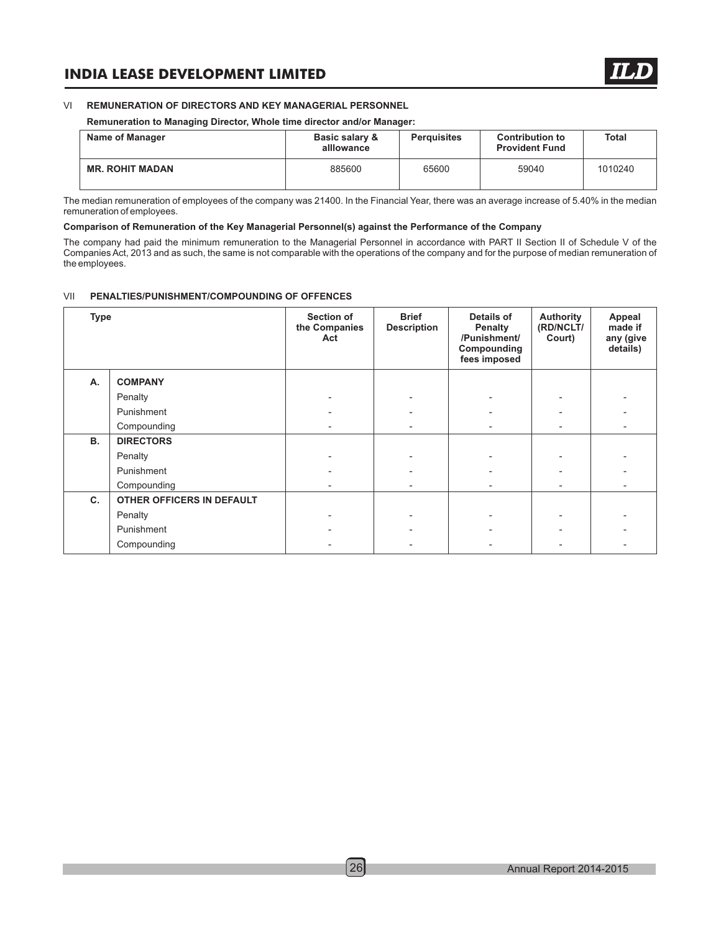#### VI **REMUNERATION OF DIRECTORS AND KEY MANAGERIAL PERSONNEL**

**Remuneration to Managing Director, Whole time director and/or Manager:**

| Name of Manager        | <b>Basic salary &amp;</b><br>alllowance | <b>Perquisites</b> | <b>Contribution to</b><br><b>Provident Fund</b> | Total   |
|------------------------|-----------------------------------------|--------------------|-------------------------------------------------|---------|
| <b>MR. ROHIT MADAN</b> | 885600                                  | 65600              | 59040                                           | 1010240 |

The median remuneration of employees of the company was 21400. In the Financial Year, there was an average increase of 5.40% in the median remuneration of employees.

#### **Comparison of Remuneration of the Key Managerial Personnel(s) against the Performance of the Company**

The company had paid the minimum remuneration to the Managerial Personnel in accordance with PART II Section II of Schedule V of the Companies Act, 2013 and as such, the same is not comparable with the operations of the company and for the purpose of median remuneration of the employees.

#### VII **PENALTIES/PUNISHMENT/COMPOUNDING OF OFFENCES**

| <b>Type</b> |                           | Section of<br>the Companies<br>Act | <b>Brief</b><br><b>Description</b> | Details of<br>Penalty<br>/Punishment/<br>Compounding<br>fees imposed | Authority<br>(RD/NCLT/<br>Court) | Appeal<br>made if<br>any (give<br>details) |
|-------------|---------------------------|------------------------------------|------------------------------------|----------------------------------------------------------------------|----------------------------------|--------------------------------------------|
| Α.          | <b>COMPANY</b>            |                                    |                                    |                                                                      |                                  |                                            |
|             | Penalty                   |                                    |                                    |                                                                      |                                  |                                            |
|             | Punishment                |                                    |                                    |                                                                      |                                  |                                            |
|             | Compounding               |                                    |                                    |                                                                      |                                  |                                            |
| <b>B.</b>   | <b>DIRECTORS</b>          |                                    |                                    |                                                                      |                                  |                                            |
|             | Penalty                   |                                    |                                    |                                                                      |                                  |                                            |
|             | Punishment                |                                    |                                    |                                                                      |                                  |                                            |
|             | Compounding               |                                    |                                    |                                                                      |                                  |                                            |
| C.          | OTHER OFFICERS IN DEFAULT |                                    |                                    |                                                                      |                                  |                                            |
|             | Penalty                   |                                    |                                    |                                                                      |                                  |                                            |
|             | Punishment                |                                    |                                    |                                                                      |                                  |                                            |
|             | Compounding               |                                    |                                    |                                                                      |                                  |                                            |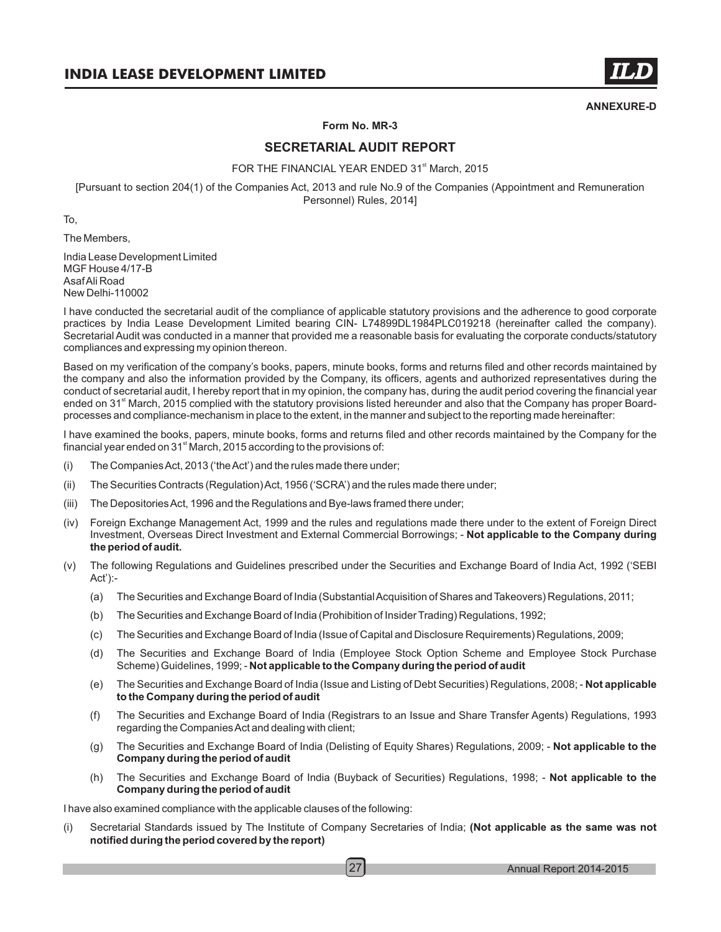

#### **ANNEXURE-D**

**Form No. MR-3**

#### **SECRETARIAL AUDIT REPORT**

#### FOR THE FINANCIAL YEAR ENDED 31<sup>st</sup> March, 2015

[Pursuant to section 204(1) of the Companies Act, 2013 and rule No.9 of the Companies (Appointment and Remuneration Personnel) Rules, 2014]

To,

The Members,

India Lease Development Limited MGF House 4/17-B Asaf Ali Road New Delhi-110002

I have conducted the secretarial audit of the compliance of applicable statutory provisions and the adherence to good corporate practices by India Lease Development Limited bearing CIN- L74899DL1984PLC019218 (hereinafter called the company). Secretarial Audit was conducted in a manner that provided me a reasonable basis for evaluating the corporate conducts/statutory compliances and expressing my opinion thereon.

Based on my verification of the company's books, papers, minute books, forms and returns filed and other records maintained by the company and also the information provided by the Company, its officers, agents and authorized representatives during the conduct of secretarial audit, I hereby report that in my opinion, the company has, during the audit period covering the financial year ended on 31<sup><sup>st</sup> March, 2015 complied with the statutory provisions listed hereunder and also that the Company has proper Board-</sup> processes and compliance-mechanism in place to the extent, in the manner and subject to the reporting made hereinafter:

I have examined the books, papers, minute books, forms and returns filed and other records maintained by the Company for the financial year ended on  $31<sup>st</sup>$  March, 2015 according to the provisions of:

- (i) The Companies Act, 2013 ('the Act') and the rules made there under;
- (ii) The Securities Contracts (Regulation) Act, 1956 ('SCRA') and the rules made there under;
- (iii) The Depositories Act, 1996 and the Regulations and Bye-laws framed there under;
- (iv) Foreign Exchange Management Act, 1999 and the rules and regulations made there under to the extent of Foreign Direct Investment, Overseas Direct Investment and External Commercial Borrowings; - **Not applicable to the Company during the period of audit.**
- (v) The following Regulations and Guidelines prescribed under the Securities and Exchange Board of India Act, 1992 ('SEBI Act'):-
	- (a) The Securities and Exchange Board of India (Substantial Acquisition of Shares and Takeovers) Regulations, 2011;
	- (b) The Securities and Exchange Board of India (Prohibition of Insider Trading) Regulations, 1992;
	- (c) The Securities and Exchange Board of India (Issue of Capital and Disclosure Requirements) Regulations, 2009;
	- (d) The Securities and Exchange Board of India (Employee Stock Option Scheme and Employee Stock Purchase Scheme) Guidelines, 1999; - **Not applicable to the Company during the period of audit**
	- (e) The Securities and Exchange Board of India (Issue and Listing of Debt Securities) Regulations, 2008; **Not applicable to the Company during the period of audit**
	- (f) The Securities and Exchange Board of India (Registrars to an Issue and Share Transfer Agents) Regulations, 1993 regarding the Companies Act and dealing with client;
	- (g) The Securities and Exchange Board of India (Delisting of Equity Shares) Regulations, 2009; **Not applicable to the Company during the period of audit**
	- (h) The Securities and Exchange Board of India (Buyback of Securities) Regulations, 1998; **Not applicable to the Company during the period of audit**

I have also examined compliance with the applicable clauses of the following:

(i) Secretarial Standards issued by The Institute of Company Secretaries of India; **(Not applicable as the same was not notified during the period covered by the report)**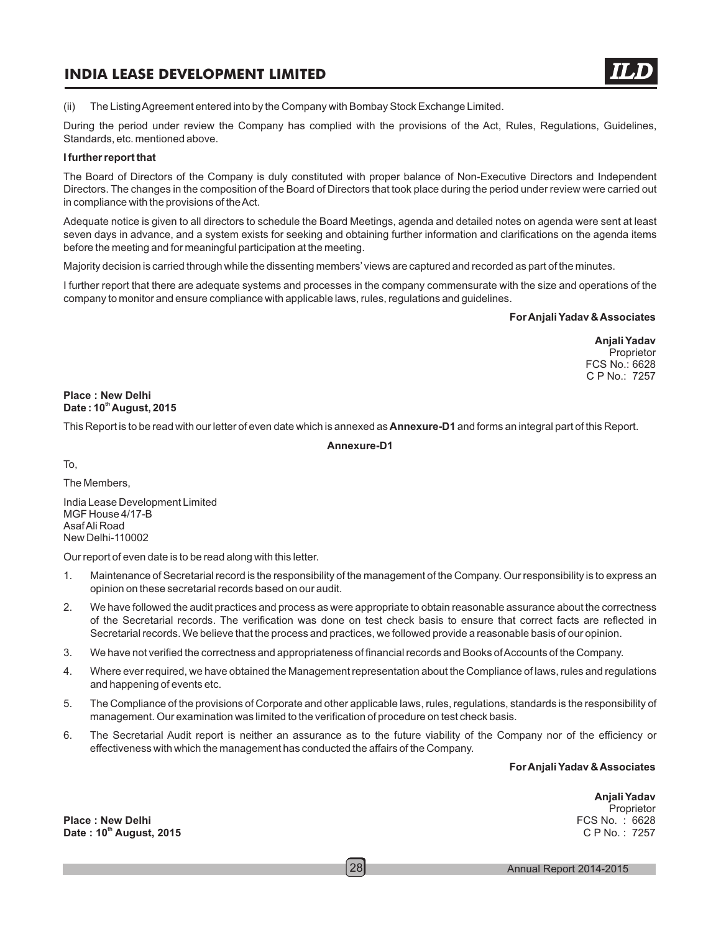

(ii) The Listing Agreement entered into by the Company with Bombay Stock Exchange Limited.

During the period under review the Company has complied with the provisions of the Act, Rules, Regulations, Guidelines, Standards, etc. mentioned above.

#### **I further report that**

The Board of Directors of the Company is duly constituted with proper balance of Non-Executive Directors and Independent Directors. The changes in the composition of the Board of Directors that took place during the period under review were carried out in compliance with the provisions of the Act.

Adequate notice is given to all directors to schedule the Board Meetings, agenda and detailed notes on agenda were sent at least seven days in advance, and a system exists for seeking and obtaining further information and clarifications on the agenda items before the meeting and for meaningful participation at the meeting.

Majority decision is carried through while the dissenting members' views are captured and recorded as part of the minutes.

I further report that there are adequate systems and processes in the company commensurate with the size and operations of the company to monitor and ensure compliance with applicable laws, rules, regulations and guidelines.

#### **For Anjali Yadav & Associates**

**Anjali Yadav** Proprietor FCS No.: 6628 C P No.: 7257

#### **Place : New Delhi Date: 10<sup>th</sup> August, 2015**

This Report is to be read with our letter of even date which is annexed as **Annexure-D1** and forms an integral part of this Report.

#### **Annexure-D1**

To,

The Members,

India Lease Development Limited MGF House 4/17-B Asaf Ali Road New Delhi-110002

Our report of even date is to be read along with this letter.

- 1. Maintenance of Secretarial record is the responsibility of the management of the Company. Our responsibility is to express an opinion on these secretarial records based on our audit.
- 2. We have followed the audit practices and process as were appropriate to obtain reasonable assurance about the correctness of the Secretarial records. The verification was done on test check basis to ensure that correct facts are reflected in Secretarial records. We believe that the process and practices, we followed provide a reasonable basis of our opinion.
- 3. We have not verified the correctness and appropriateness of financial records and Books of Accounts of the Company.
- 4. Where ever required, we have obtained the Management representation about the Compliance of laws, rules and regulations and happening of events etc.
- 5. The Compliance of the provisions of Corporate and other applicable laws, rules, regulations, standards is the responsibility of management. Our examination was limited to the verification of procedure on test check basis.
- 6. The Secretarial Audit report is neither an assurance as to the future viability of the Company nor of the efficiency or effectiveness with which the management has conducted the affairs of the Company.

#### **For Anjali Yadav & Associates**

**Anjali Yadav** Proprietor

**Place : New Delhi** FCS No. : 6628 **that is a contract that the contract of P No. : 7257 C P No. : 7257 C P No. : 7257** 

28 Annual Report 2014-2015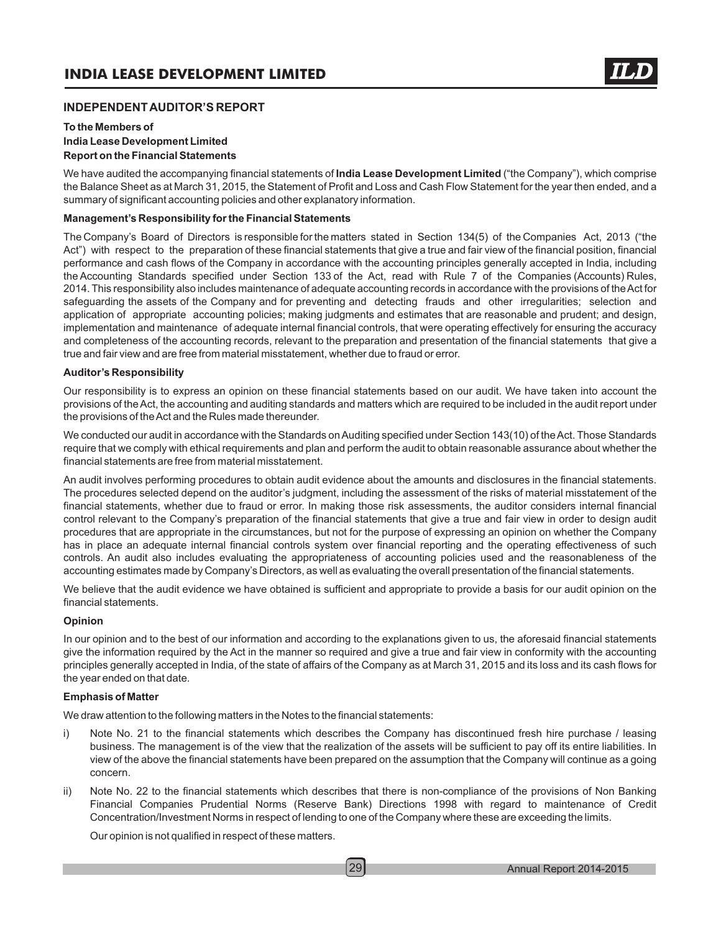

#### **INDEPENDENT AUDITOR'S REPORT**

#### **To the Members of India Lease Development Limited Report on the Financial Statements**

We have audited the accompanying financial statements of **India Lease Development Limited** ("the Company"), which comprise the Balance Sheet as at March 31, 2015, the Statement of Profit and Loss and Cash Flow Statement for the year then ended, and a summary of significant accounting policies and other explanatory information.

#### **Management's Responsibility for the Financial Statements**

The Company's Board of Directors is responsible for the matters stated in Section 134(5) of the Companies Act, 2013 ("the Act") with respect to the preparation of these financial statements that give a true and fair view of the financial position, financial performance and cash flows of the Company in accordance with the accounting principles generally accepted in India, including the Accounting Standards specified under Section 133 of the Act, read with Rule 7 of the Companies (Accounts) Rules, 2014. This responsibility also includes maintenance of adequate accounting records in accordance with the provisions of the Act for safeguarding the assets of the Company and for preventing and detecting frauds and other irregularities; selection and application of appropriate accounting policies; making judgments and estimates that are reasonable and prudent; and design, implementation and maintenance of adequate internal financial controls, that were operating effectively for ensuring the accuracy and completeness of the accounting records, relevant to the preparation and presentation of the financial statements that give a true and fair view and are free from material misstatement, whether due to fraud or error.

#### **Auditor's Responsibility**

Our responsibility is to express an opinion on these financial statements based on our audit. We have taken into account the provisions of the Act, the accounting and auditing standards and matters which are required to be included in the audit report under the provisions of the Act and the Rules made thereunder.

We conducted our audit in accordance with the Standards on Auditing specified under Section 143(10) of the Act. Those Standards require that we comply with ethical requirements and plan and perform the audit to obtain reasonable assurance about whether the financial statements are free from material misstatement.

An audit involves performing procedures to obtain audit evidence about the amounts and disclosures in the financial statements. The procedures selected depend on the auditor's judgment, including the assessment of the risks of material misstatement of the financial statements, whether due to fraud or error. In making those risk assessments, the auditor considers internal financial control relevant to the Company's preparation of the financial statements that give a true and fair view in order to design audit procedures that are appropriate in the circumstances, but not for the purpose of expressing an opinion on whether the Company has in place an adequate internal financial controls system over financial reporting and the operating effectiveness of such controls. An audit also includes evaluating the appropriateness of accounting policies used and the reasonableness of the accounting estimates made by Company's Directors, as well as evaluating the overall presentation of the financial statements.

We believe that the audit evidence we have obtained is sufficient and appropriate to provide a basis for our audit opinion on the financial statements.

#### **Opinion**

In our opinion and to the best of our information and according to the explanations given to us, the aforesaid financial statements give the information required by the Act in the manner so required and give a true and fair view in conformity with the accounting principles generally accepted in India, of the state of affairs of the Company as at March 31, 2015 and its loss and its cash flows for the year ended on that date.

#### **Emphasis of Matter**

We draw attention to the following matters in the Notes to the financial statements:

- i) Note No. 21 to the financial statements which describes the Company has discontinued fresh hire purchase / leasing business. The management is of the view that the realization of the assets will be sufficient to pay off its entire liabilities. In view of the above the financial statements have been prepared on the assumption that the Company will continue as a going concern.
- ii) Note No. 22 to the financial statements which describes that there is non-compliance of the provisions of Non Banking Financial Companies Prudential Norms (Reserve Bank) Directions 1998 with regard to maintenance of Credit Concentration/Investment Norms in respect of lending to one of the Company where these are exceeding the limits.

Our opinion is not qualified in respect of these matters.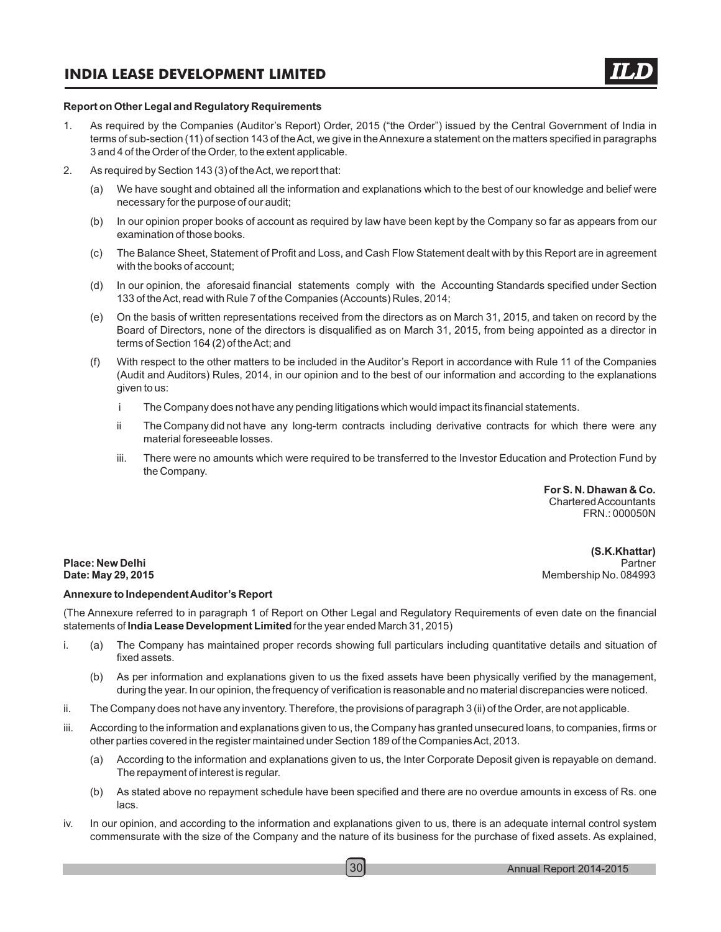

#### **Report on Other Legal and Regulatory Requirements**

- 1. As required by the Companies (Auditor's Report) Order, 2015 ("the Order") issued by the Central Government of India in terms of sub-section (11) of section 143 of the Act, we give in the Annexure a statement on the matters specified in paragraphs 3 and 4 of the Order of the Order, to the extent applicable.
- 2. As required by Section 143 (3) of the Act, we report that:
	- (a) We have sought and obtained all the information and explanations which to the best of our knowledge and belief were necessary for the purpose of our audit;
	- (b) In our opinion proper books of account as required by law have been kept by the Company so far as appears from our examination of those books.
	- (c) The Balance Sheet, Statement of Profit and Loss, and Cash Flow Statement dealt with by this Report are in agreement with the books of account;
	- (d) In our opinion, the aforesaid financial statements comply with the Accounting Standards specified under Section 133 of the Act, read with Rule 7 of the Companies (Accounts) Rules, 2014;
	- (e) On the basis of written representations received from the directors as on March 31, 2015, and taken on record by the Board of Directors, none of the directors is disqualified as on March 31, 2015, from being appointed as a director in terms of Section 164 (2) of the Act; and
	- (f) With respect to the other matters to be included in the Auditor's Report in accordance with Rule 11 of the Companies (Audit and Auditors) Rules, 2014, in our opinion and to the best of our information and according to the explanations given to us:
		- i The Company does not have any pending litigations which would impact its financial statements.
		- ii The Company did not have any long-term contracts including derivative contracts for which there were any material foreseeable losses.
		- iii. There were no amounts which were required to be transferred to the Investor Education and Protection Fund by the Company.

**For S. N. Dhawan & Co.** Chartered Accountants FRN.: 000050N

# **Place: New Delhi<br>Date: May 29, 2015**

**(S.K.Khattar)** Membership No. 084993

#### **Annexure to Independent Auditor's Report**

(The Annexure referred to in paragraph 1 of Report on Other Legal and Regulatory Requirements of even date on the financial statements of **India Lease Development Limited** for the year ended March 31, 2015)

- i. (a) The Company has maintained proper records showing full particulars including quantitative details and situation of fixed assets.
	- (b) As per information and explanations given to us the fixed assets have been physically verified by the management, during the year. In our opinion, the frequency of verification is reasonable and no material discrepancies were noticed.
- ii. The Company does not have any inventory. Therefore, the provisions of paragraph 3 (ii) of the Order, are not applicable.
- iii. According to the information and explanations given to us, the Company has granted unsecured loans, to companies, firms or other parties covered in the register maintained under Section 189 of the Companies Act, 2013.
	- (a) According to the information and explanations given to us, the Inter Corporate Deposit given is repayable on demand. The repayment of interest is regular.
	- (b) As stated above no repayment schedule have been specified and there are no overdue amounts in excess of Rs. one lacs.
- iv. In our opinion, and according to the information and explanations given to us, there is an adequate internal control system commensurate with the size of the Company and the nature of its business for the purchase of fixed assets. As explained,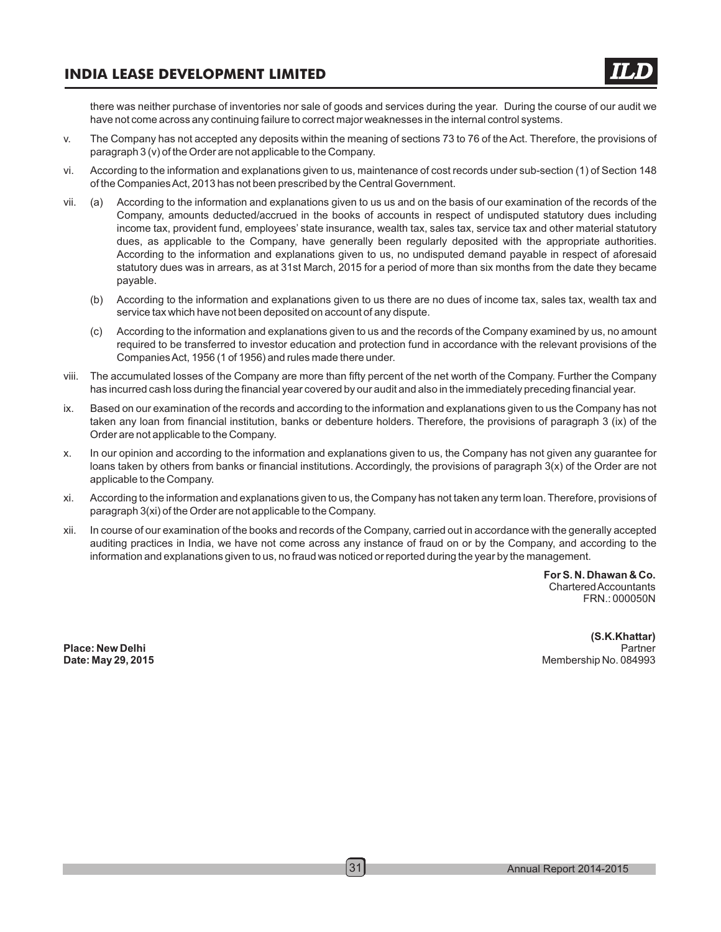there was neither purchase of inventories nor sale of goods and services during the year. During the course of our audit we have not come across any continuing failure to correct major weaknesses in the internal control systems.

- v. The Company has not accepted any deposits within the meaning of sections 73 to 76 of the Act. Therefore, the provisions of paragraph 3 (v) of the Order are not applicable to the Company.
- vi. According to the information and explanations given to us, maintenance of cost records under sub-section (1) of Section 148 of the Companies Act, 2013 has not been prescribed by the Central Government.
- vii. (a) According to the information and explanations given to us us and on the basis of our examination of the records of the Company, amounts deducted/accrued in the books of accounts in respect of undisputed statutory dues including income tax, provident fund, employees' state insurance, wealth tax, sales tax, service tax and other material statutory dues, as applicable to the Company, have generally been regularly deposited with the appropriate authorities. According to the information and explanations given to us, no undisputed demand payable in respect of aforesaid statutory dues was in arrears, as at 31st March, 2015 for a period of more than six months from the date they became payable.
	- (b) According to the information and explanations given to us there are no dues of income tax, sales tax, wealth tax and service tax which have not been deposited on account of any dispute.
	- (c) According to the information and explanations given to us and the records of the Company examined by us, no amount required to be transferred to investor education and protection fund in accordance with the relevant provisions of the Companies Act, 1956 (1 of 1956) and rules made there under.
- viii. The accumulated losses of the Company are more than fifty percent of the net worth of the Company. Further the Company has incurred cash loss during the financial year covered by our audit and also in the immediately preceding financial year.
- ix. Based on our examination of the records and according to the information and explanations given to us the Company has not taken any loan from financial institution, banks or debenture holders. Therefore, the provisions of paragraph 3 (ix) of the Order are not applicable to the Company.
- x. In our opinion and according to the information and explanations given to us, the Company has not given any guarantee for loans taken by others from banks or financial institutions. Accordingly, the provisions of paragraph 3(x) of the Order are not applicable to the Company.
- xi. According to the information and explanations given to us, the Company has not taken any term loan. Therefore, provisions of paragraph 3(xi) of the Order are not applicable to the Company.
- xii. In course of our examination of the books and records of the Company, carried out in accordance with the generally accepted auditing practices in India, we have not come across any instance of fraud on or by the Company, and according to the information and explanations given to us, no fraud was noticed or reported during the year by the management.

**For S. N. Dhawan & Co.** Chartered Accountants FRN.: 000050N

**(S.K.Khattar) Place: New Delhi** Partner **Date: May 29, 2015** Membership No. 084993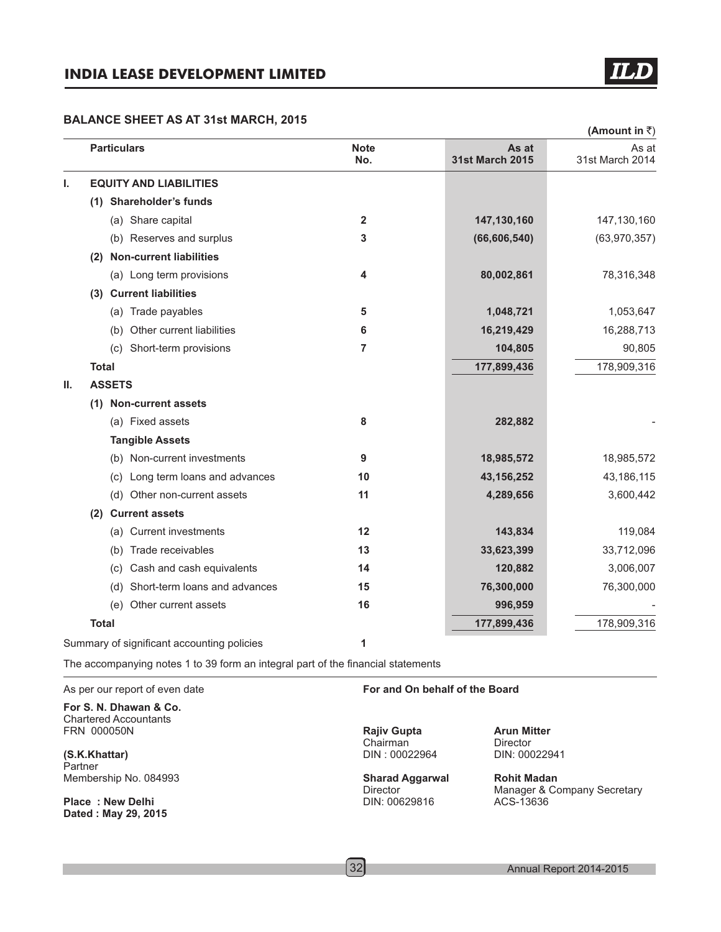#### **BALANCE SHEET AS AT 31st MARCH, 2015**

|    | = 0.1 = = 1 AV AT 0.3 t MAI                |                    |                                 | (Amount in $\bar{z}$ )   |
|----|--------------------------------------------|--------------------|---------------------------------|--------------------------|
|    | <b>Particulars</b>                         | <b>Note</b><br>No. | As at<br><b>31st March 2015</b> | As at<br>31st March 2014 |
| ı. | <b>EQUITY AND LIABILITIES</b>              |                    |                                 |                          |
|    | (1) Shareholder's funds                    |                    |                                 |                          |
|    | (a) Share capital                          | $\overline{2}$     | 147,130,160                     | 147,130,160              |
|    | (b) Reserves and surplus                   | 3                  | (66, 606, 540)                  | (63, 970, 357)           |
|    | (2) Non-current liabilities                |                    |                                 |                          |
|    | (a) Long term provisions                   | 4                  | 80,002,861                      | 78,316,348               |
|    | (3) Current liabilities                    |                    |                                 |                          |
|    | (a) Trade payables                         | $5\phantom{.0}$    | 1,048,721                       | 1,053,647                |
|    | Other current liabilities<br>(b)           | 6                  | 16,219,429                      | 16,288,713               |
|    | Short-term provisions<br>(c)               | $\overline{7}$     | 104,805                         | 90,805                   |
|    | <b>Total</b>                               |                    | 177,899,436                     | 178,909,316              |
| Ш. | <b>ASSETS</b>                              |                    |                                 |                          |
|    | (1) Non-current assets                     |                    |                                 |                          |
|    | (a) Fixed assets                           | 8                  | 282,882                         |                          |
|    | <b>Tangible Assets</b>                     |                    |                                 |                          |
|    | (b) Non-current investments                | 9                  | 18,985,572                      | 18,985,572               |
|    | (c) Long term loans and advances           | 10                 | 43,156,252                      | 43,186,115               |
|    | (d) Other non-current assets               | 11                 | 4,289,656                       | 3,600,442                |
|    | (2) Current assets                         |                    |                                 |                          |
|    | (a) Current investments                    | 12                 | 143,834                         | 119,084                  |
|    | Trade receivables<br>(b)                   | 13                 | 33,623,399                      | 33,712,096               |
|    | Cash and cash equivalents<br>(c)           | 14                 | 120,882                         | 3,006,007                |
|    | Short-term loans and advances<br>(d)       | 15                 | 76,300,000                      | 76,300,000               |
|    | Other current assets<br>(e)                | 16                 | 996,959                         |                          |
|    | <b>Total</b>                               |                    | 177,899,436                     | 178,909,316              |
|    | Summary of significant accounting policies | 1                  |                                 |                          |

The accompanying notes 1 to 39 form an integral part of the financial statements

**For S. N. Dhawan & Co.** Chartered Accountants FRN 000050N **Rajiv Gupta Arun Mitter**

**(S.K.Khattar)** DIN : 00022964 DIN: 00022941 **Partner** 

**Place : New Delhi Dated : May 29, 2015**

As per our report of even date **For and On behalf of the Board** 

Chairman Director<br>DIN : 00022964 DIN: 00022941

Membership No. 084993 **Sharad Aggarwal Rohit Madan** Rembership No. 084993 **Sharad Aggarwal** Rohit Madan **Rembership** No. 084993

Director Manager & Company Secretary<br>
DIN: 00629816 ACS-13636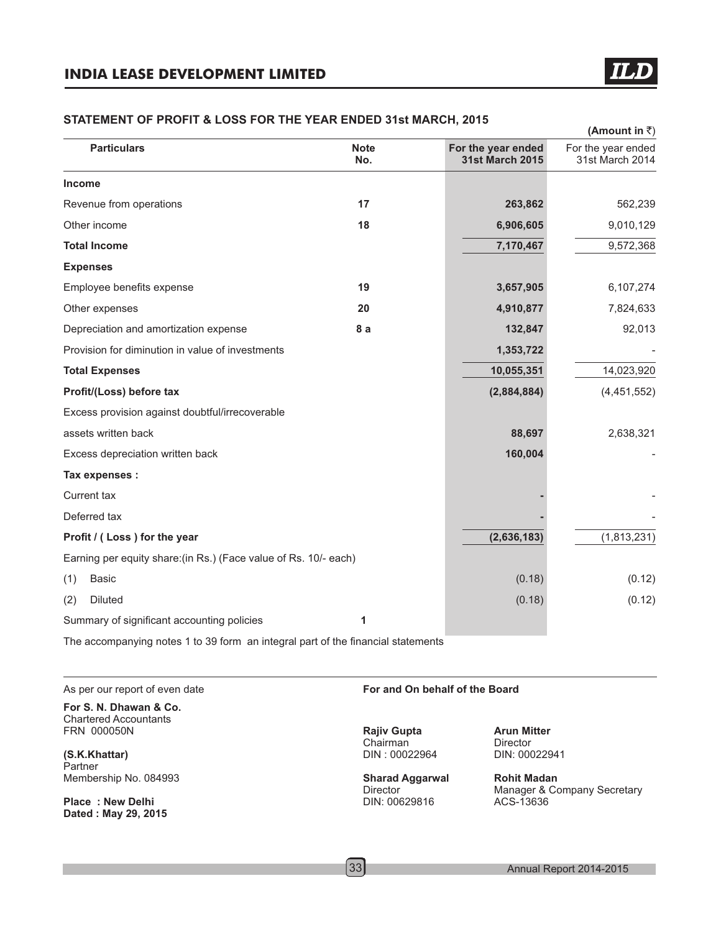|                                                                  |                    |                                              | (Amount in $\bar{z}$ )                |
|------------------------------------------------------------------|--------------------|----------------------------------------------|---------------------------------------|
| <b>Particulars</b>                                               | <b>Note</b><br>No. | For the year ended<br><b>31st March 2015</b> | For the year ended<br>31st March 2014 |
| <b>Income</b>                                                    |                    |                                              |                                       |
| Revenue from operations                                          | 17                 | 263,862                                      | 562,239                               |
| Other income                                                     | 18                 | 6,906,605                                    | 9,010,129                             |
| <b>Total Income</b>                                              |                    | 7,170,467                                    | 9,572,368                             |
| <b>Expenses</b>                                                  |                    |                                              |                                       |
| Employee benefits expense                                        | 19                 | 3,657,905                                    | 6,107,274                             |
| Other expenses                                                   | 20                 | 4,910,877                                    | 7,824,633                             |
| Depreciation and amortization expense                            | 8 a                | 132,847                                      | 92,013                                |
| Provision for diminution in value of investments                 |                    | 1,353,722                                    |                                       |
| <b>Total Expenses</b>                                            |                    | 10,055,351                                   | 14,023,920                            |
| Profit/(Loss) before tax                                         |                    | (2,884,884)                                  | (4,451,552)                           |
| Excess provision against doubtful/irrecoverable                  |                    |                                              |                                       |
| assets written back                                              |                    | 88,697                                       | 2,638,321                             |
| Excess depreciation written back                                 |                    | 160,004                                      |                                       |
| Tax expenses :                                                   |                    |                                              |                                       |
| Current tax                                                      |                    |                                              |                                       |
| Deferred tax                                                     |                    |                                              |                                       |
| Profit / (Loss) for the year                                     |                    | (2,636,183)                                  | (1,813,231)                           |
| Earning per equity share: (in Rs.) (Face value of Rs. 10/- each) |                    |                                              |                                       |
| <b>Basic</b><br>(1)                                              |                    | (0.18)                                       | (0.12)                                |
| <b>Diluted</b><br>(2)                                            |                    | (0.18)                                       | (0.12)                                |
| Summary of significant accounting policies                       | 1                  |                                              |                                       |

#### **STATEMENT OF PROFIT & LOSS FOR THE YEAR ENDED 31st MARCH, 2015**

The accompanying notes 1 to 39 form an integral part of the financial statements

**For S. N. Dhawan & Co.** Chartered Accountants FRN 000050N **Rajiv Gupta Arun Mitter**

**(S.K.Khattar)** DIN : 00022964 DIN: 00022941 **Partner** 

**Place : New Delhi Dated : May 29, 2015**

As per our report of even date **For and On behalf of the Board**

Chairman Director<br>DIN : 00022964 DIN: 00022941

Membership No. 084993 **Sharad Aggarwal Rohit Madan** Rembership No. 084993 **Sharad Aggarwal** Rohit Madan **Rembership** No. 084993

Director COM Manager & Company Secretary<br>
DIN: 00629816 ACS-13636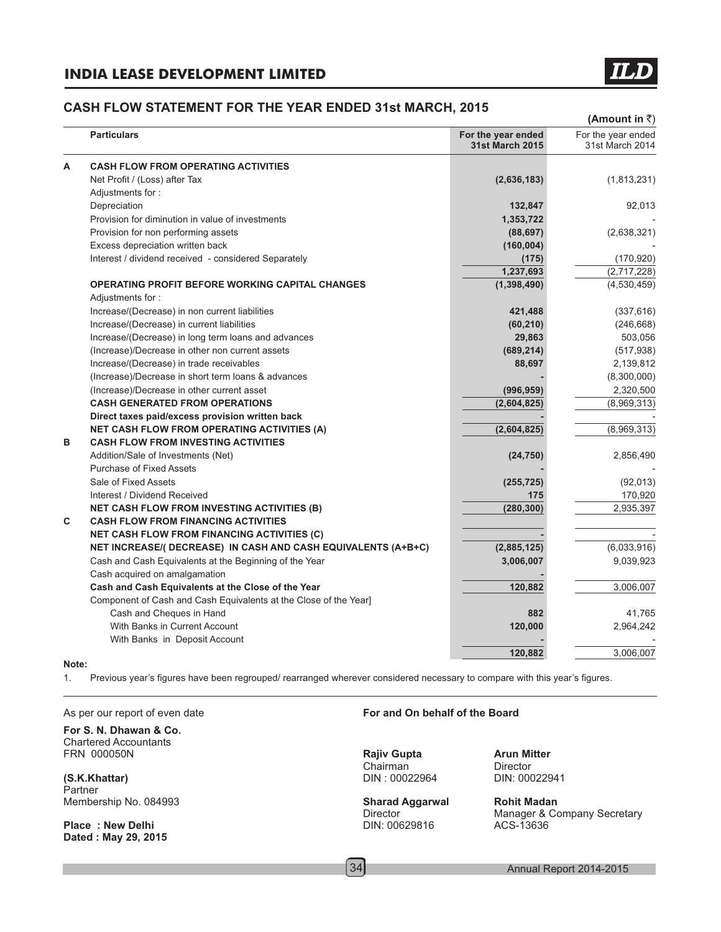### **CASH FLOW STATEMENT FOR THE YEAR ENDED 31st MARCH, 2015**

|   |                                                                  |                                              | (Amount in ₹)                         |
|---|------------------------------------------------------------------|----------------------------------------------|---------------------------------------|
|   | <b>Particulars</b>                                               | For the year ended<br><b>31st March 2015</b> | For the year ended<br>31st March 2014 |
| А | <b>CASH FLOW FROM OPERATING ACTIVITIES</b>                       |                                              |                                       |
|   | Net Profit / (Loss) after Tax                                    | (2,636,183)                                  | (1,813,231)                           |
|   | Adjustments for:                                                 |                                              |                                       |
|   | Depreciation                                                     | 132,847                                      | 92,013                                |
|   | Provision for diminution in value of investments                 | 1,353,722                                    |                                       |
|   | Provision for non performing assets                              | (88, 697)                                    | (2,638,321)                           |
|   | Excess depreciation written back                                 | (160, 004)                                   |                                       |
|   | Interest / dividend received - considered Separately             | (175)                                        | (170, 920)                            |
|   |                                                                  | 1,237,693                                    | (2,717,228)                           |
|   | <b>OPERATING PROFIT BEFORE WORKING CAPITAL CHANGES</b>           | (1, 398, 490)                                | (4,530,459)                           |
|   | Adjustments for:                                                 |                                              |                                       |
|   | Increase/(Decrease) in non current liabilities                   | 421,488                                      | (337, 616)                            |
|   | Increase/(Decrease) in current liabilities                       | (60, 210)                                    | (246, 668)                            |
|   | Increase/(Decrease) in long term loans and advances              | 29,863                                       | 503,056                               |
|   | (Increase)/Decrease in other non current assets                  | (689, 214)                                   | (517, 938)                            |
|   | Increase/(Decrease) in trade receivables                         | 88,697                                       | 2,139,812                             |
|   | (Increase)/Decrease in short term loans & advances               |                                              | (8,300,000)                           |
|   | (Increase)/Decrease in other current asset                       | (996, 959)                                   | 2,320,500                             |
|   | <b>CASH GENERATED FROM OPERATIONS</b>                            | (2,604,825)                                  | (8,969,313)                           |
|   | Direct taxes paid/excess provision written back                  |                                              |                                       |
|   | <b>NET CASH FLOW FROM OPERATING ACTIVITIES (A)</b>               | (2,604,825)                                  | (8,969,313)                           |
| в | <b>CASH FLOW FROM INVESTING ACTIVITIES</b>                       |                                              |                                       |
|   | Addition/Sale of Investments (Net)                               | (24, 750)                                    | 2,856,490                             |
|   | <b>Purchase of Fixed Assets</b>                                  |                                              |                                       |
|   | Sale of Fixed Assets                                             | (255, 725)                                   | (92, 013)                             |
|   | Interest / Dividend Received                                     | 175                                          | 170,920                               |
|   | <b>NET CASH FLOW FROM INVESTING ACTIVITIES (B)</b>               | (280, 300)                                   | 2,935,397                             |
| C | <b>CASH FLOW FROM FINANCING ACTIVITIES</b>                       |                                              |                                       |
|   | <b>NET CASH FLOW FROM FINANCING ACTIVITIES (C)</b>               |                                              |                                       |
|   | NET INCREASE/(DECREASE) IN CASH AND CASH EQUIVALENTS (A+B+C)     | (2,885,125)                                  | (6,033,916)                           |
|   | Cash and Cash Equivalents at the Beginning of the Year           | 3,006,007                                    | 9,039,923                             |
|   | Cash acquired on amalgamation                                    |                                              |                                       |
|   | Cash and Cash Equivalents at the Close of the Year               | 120,882                                      | 3,006,007                             |
|   | Component of Cash and Cash Equivalents at the Close of the Year] |                                              |                                       |
|   | Cash and Cheques in Hand                                         | 882                                          | 41,765                                |
|   | With Banks in Current Account                                    | 120,000                                      | 2,964,242                             |
|   | With Banks in Deposit Account                                    |                                              |                                       |
|   |                                                                  | 120,882                                      | 3,006,007                             |

#### **Note:**

1. Previous year's figures have been regrouped/ rearranged wherever considered necessary to compare with this year's figures.

**For S. N. Dhawan & Co.** Chartered Accountants FRN 000050N **Rajiv Gupta Arun Mitter**

**(S.K.Khattar)** DIN : 00022964 DIN: 00022941 **Partner** 

**Place : New Delhi Dated : May 29, 2015**

#### As per our report of even date **For and On behalf of the Board**

Chairman Director<br>
DIN: 00022964 DIN: 00022941

Membership No. 084993 **Sharad Aggarwal Rohit Madan Rohit Madan Research Aggarwal Rohit Madan Manager & Consearch Aggarwal** 

Director Manager & Company Secretary<br>
DIN: 00629816 ACS-13636

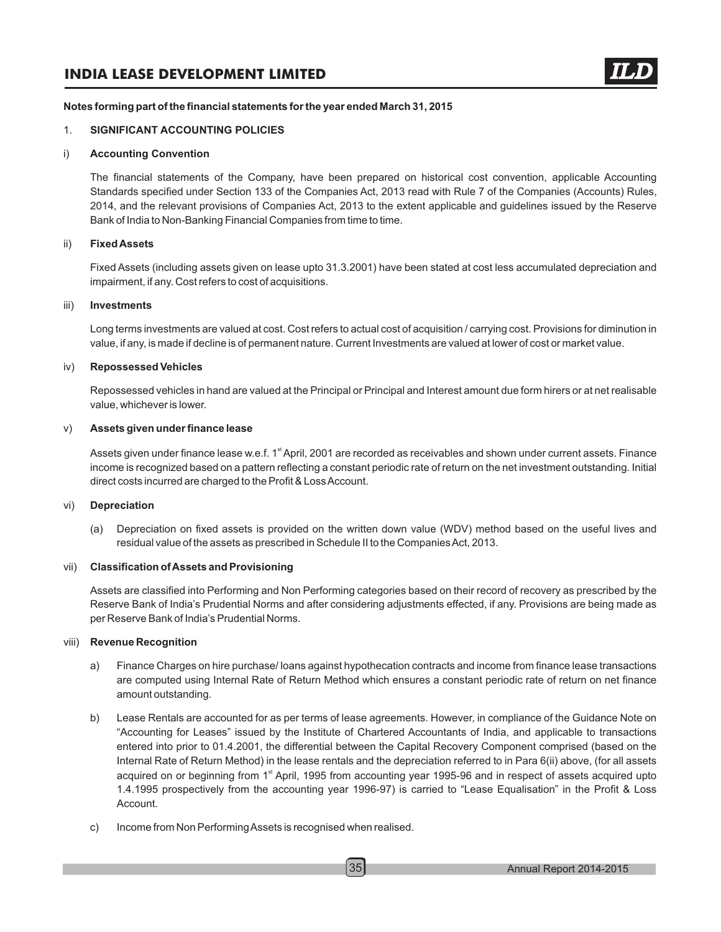

#### **Notes forming part of the financial statements for the year ended March 31, 2015**

#### 1. **SIGNIFICANT ACCOUNTING POLICIES**

#### i) **Accounting Convention**

The financial statements of the Company, have been prepared on historical cost convention, applicable Accounting Standards specified under Section 133 of the Companies Act, 2013 read with Rule 7 of the Companies (Accounts) Rules, 2014, and the relevant provisions of Companies Act, 2013 to the extent applicable and guidelines issued by the Reserve Bank of India to Non-Banking Financial Companies from time to time.

#### ii) **Fixed Assets**

Fixed Assets (including assets given on lease upto 31.3.2001) have been stated at cost less accumulated depreciation and impairment, if any. Cost refers to cost of acquisitions.

#### iii) **Investments**

Long terms investments are valued at cost. Cost refers to actual cost of acquisition / carrying cost. Provisions for diminution in value, if any, is made if decline is of permanent nature. Current Investments are valued at lower of cost or market value.

#### iv) **Repossessed Vehicles**

Repossessed vehicles in hand are valued at the Principal or Principal and Interest amount due form hirers or at net realisable value, whichever is lower.

#### v) **Assets given under finance lease**

Assets given under finance lease w.e.f. 1<sup>st</sup> April, 2001 are recorded as receivables and shown under current assets. Finance income is recognized based on a pattern reflecting a constant periodic rate of return on the net investment outstanding. Initial direct costs incurred are charged to the Profit & Loss Account.

#### vi) **Depreciation**

(a) Depreciation on fixed assets is provided on the written down value (WDV) method based on the useful lives and residual value of the assets as prescribed in Schedule II to the Companies Act, 2013.

#### vii) **Classification of Assets and Provisioning**

Assets are classified into Performing and Non Performing categories based on their record of recovery as prescribed by the Reserve Bank of India's Prudential Norms and after considering adjustments effected, if any. Provisions are being made as per Reserve Bank of India's Prudential Norms.

#### viii) **Revenue Recognition**

- a) Finance Charges on hire purchase/ loans against hypothecation contracts and income from finance lease transactions are computed using Internal Rate of Return Method which ensures a constant periodic rate of return on net finance amount outstanding.
- b) Lease Rentals are accounted for as per terms of lease agreements. However, in compliance of the Guidance Note on "Accounting for Leases" issued by the Institute of Chartered Accountants of India, and applicable to transactions entered into prior to 01.4.2001, the differential between the Capital Recovery Component comprised (based on the Internal Rate of Return Method) in the lease rentals and the depreciation referred to in Para 6(ii) above, (for all assets acquired on or beginning from 1<sup>st</sup> April, 1995 from accounting year 1995-96 and in respect of assets acquired upto 1.4.1995 prospectively from the accounting year 1996-97) is carried to "Lease Equalisation" in the Profit & Loss Account.
- c) Income from Non Performing Assets is recognised when realised.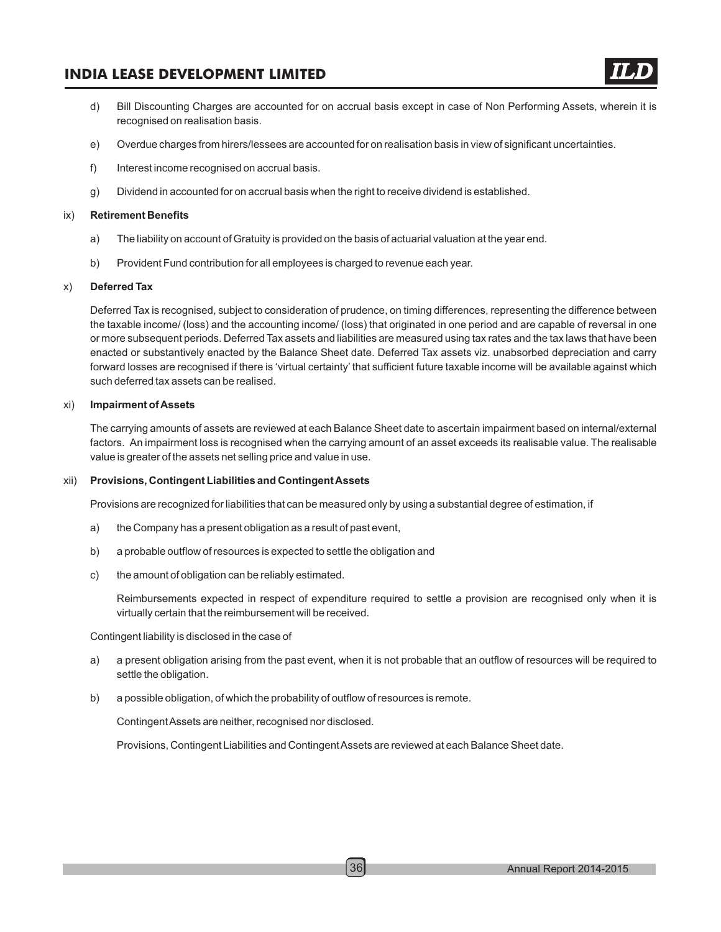- d) Bill Discounting Charges are accounted for on accrual basis except in case of Non Performing Assets, wherein it is recognised on realisation basis.
- e) Overdue charges from hirers/lessees are accounted for on realisation basis in view of significant uncertainties.
- f) Interest income recognised on accrual basis.
- g) Dividend in accounted for on accrual basis when the right to receive dividend is established.

#### ix) **Retirement Benefits**

- a) The liability on account of Gratuity is provided on the basis of actuarial valuation at the year end.
- b) Provident Fund contribution for all employees is charged to revenue each year.

#### x) **Deferred Tax**

Deferred Tax is recognised, subject to consideration of prudence, on timing differences, representing the difference between the taxable income/ (loss) and the accounting income/ (loss) that originated in one period and are capable of reversal in one or more subsequent periods. Deferred Tax assets and liabilities are measured using tax rates and the tax laws that have been enacted or substantively enacted by the Balance Sheet date. Deferred Tax assets viz. unabsorbed depreciation and carry forward losses are recognised if there is 'virtual certainty' that sufficient future taxable income will be available against which such deferred tax assets can be realised.

#### xi) **Impairment of Assets**

The carrying amounts of assets are reviewed at each Balance Sheet date to ascertain impairment based on internal/external factors. An impairment loss is recognised when the carrying amount of an asset exceeds its realisable value. The realisable value is greater of the assets net selling price and value in use.

#### xii) **Provisions, Contingent Liabilities and Contingent Assets**

Provisions are recognized for liabilities that can be measured only by using a substantial degree of estimation, if

- a) the Company has a present obligation as a result of past event,
- b) a probable outflow of resources is expected to settle the obligation and
- c) the amount of obligation can be reliably estimated.

Reimbursements expected in respect of expenditure required to settle a provision are recognised only when it is virtually certain that the reimbursement will be received.

#### Contingent liability is disclosed in the case of

- a) a present obligation arising from the past event, when it is not probable that an outflow of resources will be required to settle the obligation.
- b) a possible obligation, of which the probability of outflow of resources is remote.

Contingent Assets are neither, recognised nor disclosed.

Provisions, Contingent Liabilities and Contingent Assets are reviewed at each Balance Sheet date.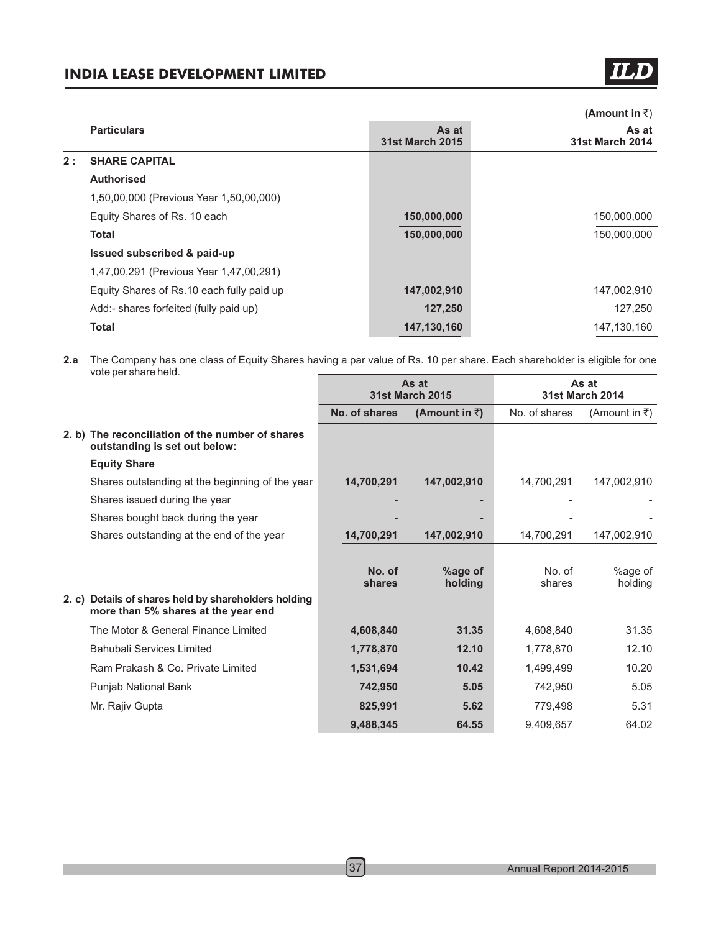

| (Amount in $\bar{z}$ ) |  |  |
|------------------------|--|--|
|------------------------|--|--|

|    | <b>Particulars</b>                        | As at<br><b>31st March 2015</b> | As at<br><b>31st March 2014</b> |
|----|-------------------------------------------|---------------------------------|---------------------------------|
| 2: | <b>SHARE CAPITAL</b>                      |                                 |                                 |
|    | <b>Authorised</b>                         |                                 |                                 |
|    | 1,50,00,000 (Previous Year 1,50,00,000)   |                                 |                                 |
|    | Equity Shares of Rs. 10 each              | 150,000,000                     | 150,000,000                     |
|    | <b>Total</b>                              | 150,000,000                     | 150,000,000                     |
|    | Issued subscribed & paid-up               |                                 |                                 |
|    | 1,47,00,291 (Previous Year 1,47,00,291)   |                                 |                                 |
|    | Equity Shares of Rs.10 each fully paid up | 147,002,910                     | 147,002,910                     |
|    | Add:- shares forfeited (fully paid up)    | 127,250                         | 127,250                         |
|    | <b>Total</b>                              | 147,130,160                     | 147,130,160                     |
|    |                                           |                                 |                                 |

**2.a** The Company has one class of Equity Shares having a par value of Rs. 10 per share. Each shareholder is eligible for one vote per share held. 

|      |                                                                                       |                  | As at<br><b>31st March 2015</b> |                  | As at<br><b>31st March 2014</b> |
|------|---------------------------------------------------------------------------------------|------------------|---------------------------------|------------------|---------------------------------|
|      |                                                                                       | No. of shares    | (Amount in $\bar{z}$ )          | No. of shares    | (Amount in ₹)                   |
|      | 2. b) The reconciliation of the number of shares<br>outstanding is set out below:     |                  |                                 |                  |                                 |
|      | <b>Equity Share</b>                                                                   |                  |                                 |                  |                                 |
|      | Shares outstanding at the beginning of the year                                       | 14,700,291       | 147,002,910                     | 14,700,291       | 147,002,910                     |
|      | Shares issued during the year                                                         |                  |                                 |                  |                                 |
|      | Shares bought back during the year                                                    |                  |                                 |                  |                                 |
|      | Shares outstanding at the end of the year                                             | 14,700,291       | 147,002,910                     | 14,700,291       | 147,002,910                     |
|      |                                                                                       |                  |                                 |                  |                                 |
|      |                                                                                       | No. of<br>shares | %age of<br>holding              | No. of<br>shares | %age of<br>holding              |
| 2.c. | Details of shares held by shareholders holding<br>more than 5% shares at the year end |                  |                                 |                  |                                 |
|      | The Motor & General Finance Limited                                                   | 4,608,840        | 31.35                           | 4,608,840        | 31.35                           |
|      | <b>Bahubali Services Limited</b>                                                      | 1,778,870        | 12.10                           | 1,778,870        | 12.10                           |
|      | Ram Prakash & Co. Private Limited                                                     | 1,531,694        | 10.42                           | 1,499,499        | 10.20                           |
|      | Punjab National Bank                                                                  | 742,950          | 5.05                            | 742,950          | 5.05                            |
|      | Mr. Rajiv Gupta                                                                       | 825,991          | 5.62                            | 779,498          | 5.31                            |
|      |                                                                                       | 9,488,345        | 64.55                           | 9,409,657        | 64.02                           |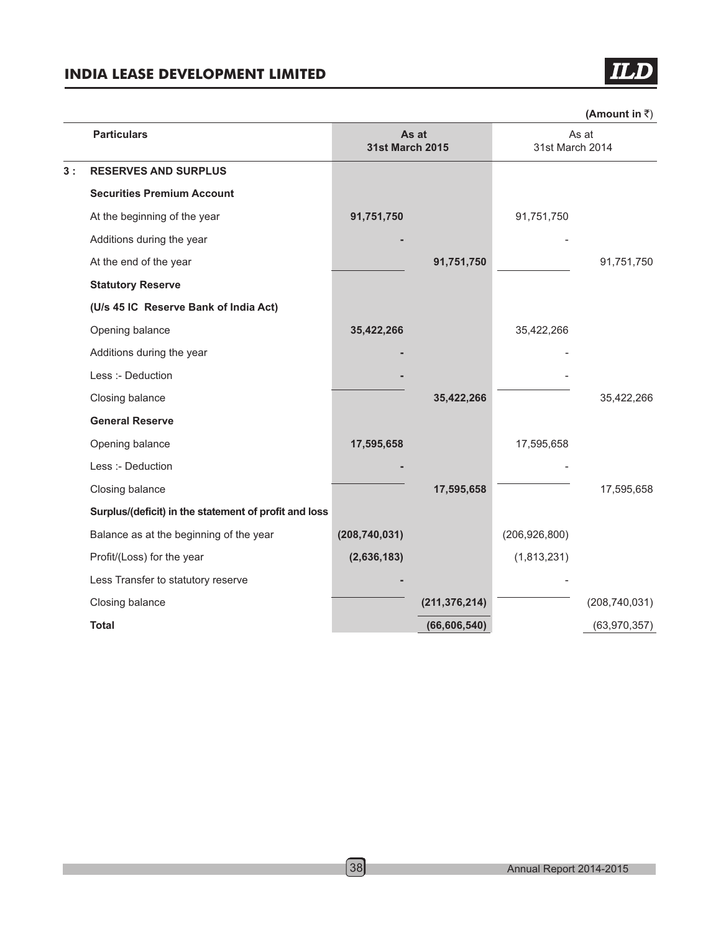

**(Amount in ₹)** 

|    | <b>Particulars</b>                                    | <b>31st March 2015</b> | As at           | 31st March 2014 | As at           |
|----|-------------------------------------------------------|------------------------|-----------------|-----------------|-----------------|
| 3: | <b>RESERVES AND SURPLUS</b>                           |                        |                 |                 |                 |
|    | <b>Securities Premium Account</b>                     |                        |                 |                 |                 |
|    | At the beginning of the year                          | 91,751,750             |                 | 91,751,750      |                 |
|    | Additions during the year                             |                        |                 |                 |                 |
|    | At the end of the year                                |                        | 91,751,750      |                 | 91,751,750      |
|    | <b>Statutory Reserve</b>                              |                        |                 |                 |                 |
|    | (U/s 45 IC Reserve Bank of India Act)                 |                        |                 |                 |                 |
|    | Opening balance                                       | 35,422,266             |                 | 35,422,266      |                 |
|    | Additions during the year                             |                        |                 |                 |                 |
|    | Less :- Deduction                                     |                        |                 |                 |                 |
|    | Closing balance                                       |                        | 35,422,266      |                 | 35,422,266      |
|    | <b>General Reserve</b>                                |                        |                 |                 |                 |
|    | Opening balance                                       | 17,595,658             |                 | 17,595,658      |                 |
|    | Less :- Deduction                                     |                        |                 |                 |                 |
|    | Closing balance                                       |                        | 17,595,658      |                 | 17,595,658      |
|    | Surplus/(deficit) in the statement of profit and loss |                        |                 |                 |                 |
|    | Balance as at the beginning of the year               | (208, 740, 031)        |                 | (206, 926, 800) |                 |
|    | Profit/(Loss) for the year                            | (2,636,183)            |                 | (1,813,231)     |                 |
|    | Less Transfer to statutory reserve                    |                        |                 |                 |                 |
|    | Closing balance                                       |                        | (211, 376, 214) |                 | (208, 740, 031) |
|    | <b>Total</b>                                          |                        | (66, 606, 540)  |                 | (63, 970, 357)  |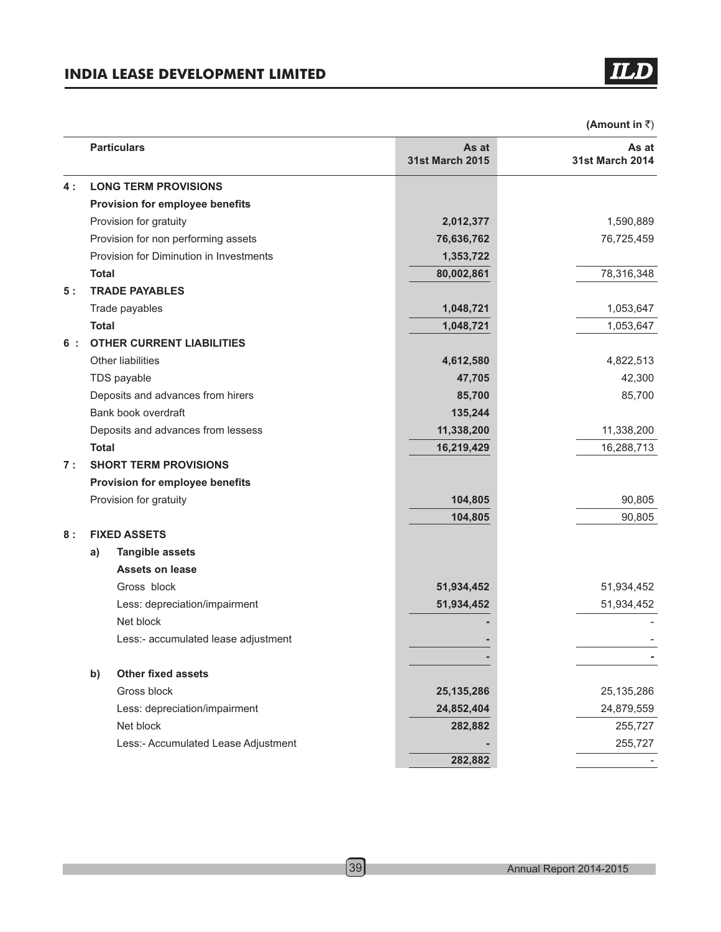

**(Amount in ₹)** 

|     | <b>Particulars</b>                      | As at<br><b>31st March 2015</b> | As at<br><b>31st March 2014</b> |
|-----|-----------------------------------------|---------------------------------|---------------------------------|
| 4 : | <b>LONG TERM PROVISIONS</b>             |                                 |                                 |
|     | Provision for employee benefits         |                                 |                                 |
|     | Provision for gratuity                  | 2,012,377                       | 1,590,889                       |
|     | Provision for non performing assets     | 76,636,762                      | 76,725,459                      |
|     | Provision for Diminution in Investments | 1,353,722                       |                                 |
|     | <b>Total</b>                            | 80,002,861                      | 78,316,348                      |
| 5:  | <b>TRADE PAYABLES</b>                   |                                 |                                 |
|     | Trade payables                          | 1,048,721                       | 1,053,647                       |
|     | <b>Total</b>                            | 1,048,721                       | 1,053,647                       |
| 6 : | <b>OTHER CURRENT LIABILITIES</b>        |                                 |                                 |
|     | Other liabilities                       | 4,612,580                       | 4,822,513                       |
|     | TDS payable                             | 47,705                          | 42,300                          |
|     | Deposits and advances from hirers       | 85,700                          | 85,700                          |
|     | Bank book overdraft                     | 135,244                         |                                 |
|     | Deposits and advances from lessess      | 11,338,200                      | 11,338,200                      |
|     | <b>Total</b>                            | 16,219,429                      | 16,288,713                      |
| 7:  | <b>SHORT TERM PROVISIONS</b>            |                                 |                                 |
|     | Provision for employee benefits         |                                 |                                 |
|     | Provision for gratuity                  | 104,805                         | 90,805                          |
|     |                                         | 104,805                         | 90,805                          |
| 8:  | <b>FIXED ASSETS</b>                     |                                 |                                 |
|     | <b>Tangible assets</b><br>a)            |                                 |                                 |
|     | <b>Assets on lease</b>                  |                                 |                                 |
|     | Gross block                             | 51,934,452                      | 51,934,452                      |
|     | Less: depreciation/impairment           | 51,934,452                      | 51,934,452                      |
|     | Net block                               |                                 |                                 |
|     | Less:- accumulated lease adjustment     |                                 |                                 |
|     |                                         |                                 |                                 |
|     | <b>Other fixed assets</b><br>b)         |                                 |                                 |
|     | Gross block                             | 25, 135, 286                    | 25, 135, 286                    |
|     | Less: depreciation/impairment           | 24,852,404                      | 24,879,559                      |
|     | Net block                               | 282,882                         | 255,727                         |
|     | Less:- Accumulated Lease Adjustment     |                                 | 255,727                         |
|     |                                         | 282,882                         |                                 |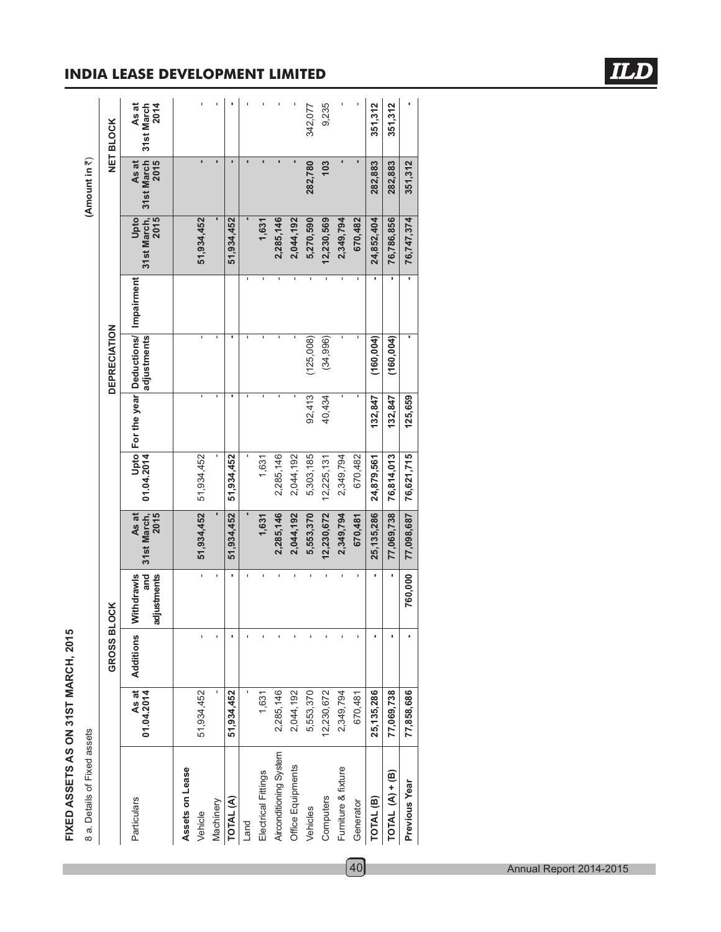| ؛           |  |
|-------------|--|
| J<br>J      |  |
| ļ<br>ì<br>أ |  |
| ï           |  |
| ļ           |  |
|             |  |

8 a. Details of Fixed assets 8 a. Details of Fixed assets

| 8 a. Details of Fixed assets |                     |                  |                                  |                              |            |         |                                                  |            |                     | (Amount in $\overline{z}$ ) |                             |
|------------------------------|---------------------|------------------|----------------------------------|------------------------------|------------|---------|--------------------------------------------------|------------|---------------------|-----------------------------|-----------------------------|
|                              |                     | <b>GROSS BL</b>  | <b>OCK</b>                       |                              |            |         | <b>DEPRECIATION</b>                              |            |                     |                             | NET BLOCK                   |
| Particulars                  | As at<br>01.04.2014 | <b>Additions</b> | and<br>Withdrawls<br>adjustments | 31st March,<br>As at<br>2015 | 01.04.2014 |         | Upto   For the year   Deductions/<br>adjustments | Impairment | 31st March,<br>Upto | 31st March<br>2015<br>As at | 31st March<br>2014<br>As at |
| Assets on Lease              |                     |                  |                                  |                              |            |         |                                                  |            |                     |                             |                             |
| Vehicle                      | 51,934,452          | ı                | ï                                | 51,934,452                   | 51,934,452 | ٠       |                                                  |            | 51,934,452          | ı                           |                             |
| Machinery                    |                     |                  |                                  |                              |            | ٠       |                                                  |            |                     |                             |                             |
| TOTAL (A)                    | 51,934,452          |                  | ı                                | 51,934,452                   | 51,934,452 | ٠       |                                                  |            | 51,934,452          | I.                          |                             |
| Land                         |                     |                  | ı                                |                              |            | ı       |                                                  |            |                     |                             |                             |
| Electrical Fittings          | 1,631               |                  | ı                                | 1,631                        | 1,631      | ı       |                                                  |            | 1,631               |                             |                             |
| Airconditioning System       | 2,285,146           |                  |                                  | 2,285,146                    | 2,285,146  |         |                                                  | ï          | 2,285,146           |                             |                             |
| Office Equipments            | 2,044,192           |                  |                                  | 2,044,192                    | 2,044,192  |         |                                                  |            | 2,044,192           |                             |                             |
| Vehicles                     | 5,553,370           |                  | ı                                | 5,553,370                    | 5,303,185  | 92,413  | (125,008)                                        |            | 5,270,590           | 282,780                     | 342,077                     |
| Computers                    | 12,230,672          |                  | ı                                | 12,230,672                   | 12,225,131 | 40,434  | (34,996)                                         |            | 12,230,569          | 103                         | 9,235                       |
| Furniture & fixture          | 2,349,794           |                  |                                  | 2,349,794                    | 2,349,794  |         |                                                  |            | 2,349,794           |                             |                             |
| Generator                    | 670,481             |                  | ı                                | 670,481                      | 670,482    |         |                                                  |            | 670,482             | ı                           | ı                           |
| TOTAL <sup>(B)</sup>         | 25,135,286          |                  | ı                                | 25,135,286                   | 24,879,561 | 132,847 | (160, 004)                                       |            | 24,852,404          | 282,883                     | 351,312                     |
| TOTAL $(A) + (B)$            | 77,069,738          |                  |                                  | 77,069,738                   | 76,814,013 | 132,847 | (160,004)                                        |            | 76,786,856          | 282,883                     | 351,312                     |
| <b>Previous Year</b>         | 77,858,686          |                  | 760,000                          | 77,098,687                   | 76,621,715 | 125,659 |                                                  |            | 76,747,374          | 351,312                     |                             |
|                              |                     |                  |                                  |                              |            |         |                                                  |            |                     |                             |                             |

## **INDIA LEASE DEVELOPMENT LIMITED**

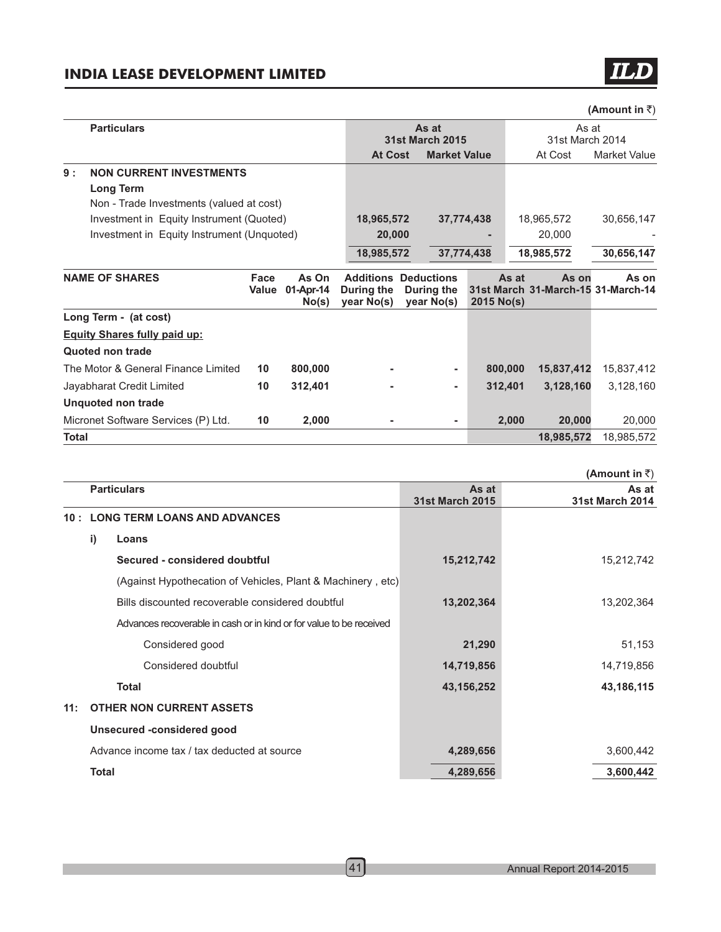

**(Amount in ₹)** 

|              | <b>Particulars</b>                         |               |                             |                                              | As at<br><b>31st March 2015</b>               |                     |            | As at<br>31st March 2014                    |
|--------------|--------------------------------------------|---------------|-----------------------------|----------------------------------------------|-----------------------------------------------|---------------------|------------|---------------------------------------------|
|              |                                            |               |                             | <b>At Cost</b>                               | <b>Market Value</b>                           |                     | At Cost    | <b>Market Value</b>                         |
| 9:           | <b>NON CURRENT INVESTMENTS</b>             |               |                             |                                              |                                               |                     |            |                                             |
|              | <b>Long Term</b>                           |               |                             |                                              |                                               |                     |            |                                             |
|              | Non - Trade Investments (valued at cost)   |               |                             |                                              |                                               |                     |            |                                             |
|              | Investment in Equity Instrument (Quoted)   |               |                             | 18,965,572                                   | 37,774,438                                    |                     | 18,965,572 | 30,656,147                                  |
|              | Investment in Equity Instrument (Unquoted) |               |                             | 20,000                                       |                                               |                     | 20,000     |                                             |
|              |                                            |               |                             | 18,985,572                                   | 37,774,438                                    |                     | 18,985,572 | 30,656,147                                  |
|              | <b>NAME OF SHARES</b>                      | Face<br>Value | As On<br>01-Apr-14<br>No(s) | <b>Additions</b><br>During the<br>year No(s) | <b>Deductions</b><br>During the<br>year No(s) | As at<br>2015 No(s) | As on      | As on<br>31st March 31-March-15 31-March-14 |
|              | Long Term - (at cost)                      |               |                             |                                              |                                               |                     |            |                                             |
|              | <b>Equity Shares fully paid up:</b>        |               |                             |                                              |                                               |                     |            |                                             |
|              | <b>Quoted non trade</b>                    |               |                             |                                              |                                               |                     |            |                                             |
|              | The Motor & General Finance Limited        | 10            | 800,000                     |                                              | ٠                                             | 800,000             | 15,837,412 | 15,837,412                                  |
|              | Jayabharat Credit Limited                  | 10            | 312,401                     |                                              | ۰                                             | 312,401             | 3,128,160  | 3,128,160                                   |
|              | <b>Unquoted non trade</b>                  |               |                             |                                              |                                               |                     |            |                                             |
|              | Micronet Software Services (P) Ltd.        | 10            | 2,000                       |                                              | ۰                                             | 2,000               | 20,000     | 20,000                                      |
| <b>Total</b> |                                            |               |                             |                                              |                                               |                     | 18,985,572 | 18,985,572                                  |

|     |       |                                                                     |                                 | (Amount in $\bar{z}$ )          |
|-----|-------|---------------------------------------------------------------------|---------------------------------|---------------------------------|
|     |       | <b>Particulars</b>                                                  | As at<br><b>31st March 2015</b> | As at<br><b>31st March 2014</b> |
| 10: |       | <b>LONG TERM LOANS AND ADVANCES</b>                                 |                                 |                                 |
|     | i)    | Loans                                                               |                                 |                                 |
|     |       | Secured - considered doubtful                                       | 15,212,742                      | 15,212,742                      |
|     |       | (Against Hypothecation of Vehicles, Plant & Machinery, etc)         |                                 |                                 |
|     |       | Bills discounted recoverable considered doubtful                    | 13,202,364                      | 13,202,364                      |
|     |       | Advances recoverable in cash or in kind or for value to be received |                                 |                                 |
|     |       | Considered good                                                     | 21,290                          | 51,153                          |
|     |       | Considered doubtful                                                 | 14,719,856                      | 14,719,856                      |
|     |       | <b>Total</b>                                                        | 43, 156, 252                    | 43,186,115                      |
| 11: |       | <b>OTHER NON CURRENT ASSETS</b>                                     |                                 |                                 |
|     |       | <b>Unsecured -considered good</b>                                   |                                 |                                 |
|     |       | Advance income tax / tax deducted at source                         | 4,289,656                       | 3,600,442                       |
|     | Total |                                                                     | 4,289,656                       | 3,600,442                       |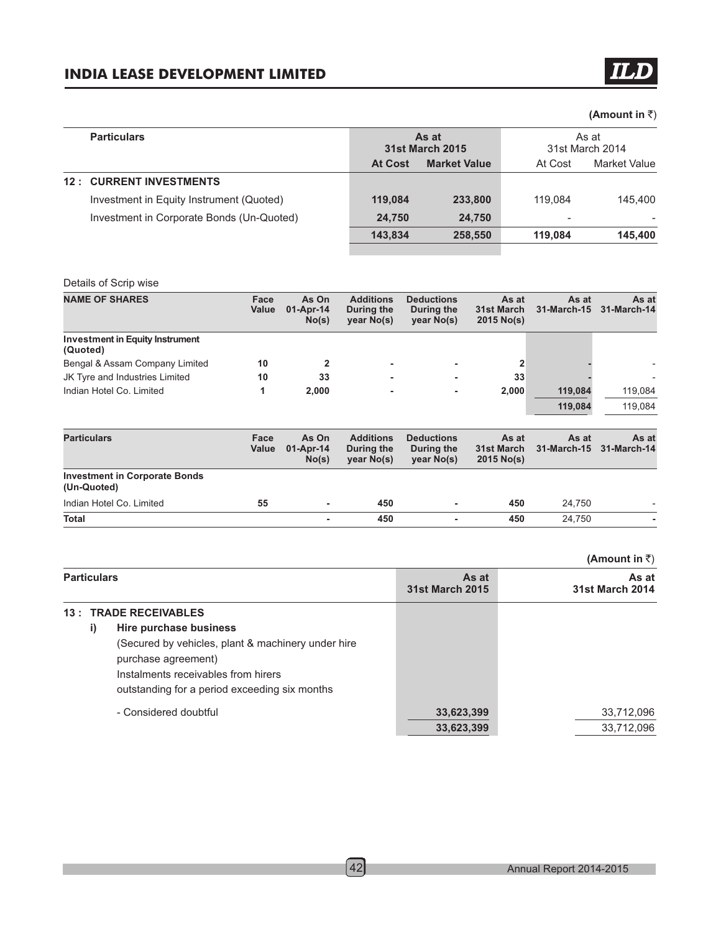# **ILD**

#### **(Amount in ₹)**

| <b>Particulars</b>                        |                | As at<br>31st March 2015 | As at<br>31st March 2014 |              |
|-------------------------------------------|----------------|--------------------------|--------------------------|--------------|
|                                           | <b>At Cost</b> | <b>Market Value</b>      | At Cost                  | Market Value |
| 12: CURRENT INVESTMENTS                   |                |                          |                          |              |
| Investment in Equity Instrument (Quoted)  | 119.084        | 233,800                  | 119.084                  | 145.400      |
| Investment in Corporate Bonds (Un-Quoted) | 24.750         | 24.750                   | $\overline{\phantom{a}}$ |              |
|                                           | 143.834        | 258,550                  | 119.084                  | 145.400      |

#### Details of Scrip wise

| <b>NAME OF SHARES</b>                               | Face<br>Value | As On<br>01-Apr-14<br>No(s) | <b>Additions</b><br>During the<br>year No(s) | <b>Deductions</b><br>During the<br>year No(s) | As at<br><b>31st March</b><br>2015 No(s)   | As at<br>31-March-15 | As at<br>31-March-14 |
|-----------------------------------------------------|---------------|-----------------------------|----------------------------------------------|-----------------------------------------------|--------------------------------------------|----------------------|----------------------|
| <b>Investment in Equity Instrument</b><br>(Quoted)  |               |                             |                                              |                                               |                                            |                      |                      |
| Bengal & Assam Company Limited                      | 10            | 2                           | $\blacksquare$                               | ٠                                             |                                            |                      |                      |
| JK Tyre and Industries Limited                      | 10            | 33                          | ۰                                            | $\blacksquare$                                | 33                                         |                      |                      |
| Indian Hotel Co. Limited                            | 1             | 2,000                       |                                              |                                               | 2,000                                      | 119,084              | 119,084              |
|                                                     |               |                             |                                              |                                               |                                            | 119,084              | 119,084              |
| <b>Particulars</b>                                  | Face<br>Value | As On<br>01-Apr-14<br>No(s) | <b>Additions</b><br>During the<br>year No(s) | <b>Deductions</b><br>During the<br>year No(s) | As at<br><b>31st March</b><br>$2015$ No(s) | As at<br>31-March-15 | As at<br>31-March-14 |
| <b>Investment in Corporate Bonds</b><br>(Un-Quoted) |               |                             |                                              |                                               |                                            |                      |                      |
| Indian Hotel Co. Limited                            | 55            | ۰                           | 450                                          | ٠                                             | 450                                        | 24,750               |                      |
| Total                                               |               | ۰                           | 450                                          | ٠                                             | 450                                        | 24,750               |                      |

### **(Amount in ₹)**

| <b>Particulars</b>                                                                                                                                                                                | As at<br>31st March 2015 | As at<br><b>31st March 2014</b> |
|---------------------------------------------------------------------------------------------------------------------------------------------------------------------------------------------------|--------------------------|---------------------------------|
| 13 : TRADE RECEIVABLES                                                                                                                                                                            |                          |                                 |
| Hire purchase business<br>i)<br>(Secured by vehicles, plant & machinery under hire<br>purchase agreement)<br>Instalments receivables from hirers<br>outstanding for a period exceeding six months |                          |                                 |
| - Considered doubtful                                                                                                                                                                             | 33,623,399               | 33,712,096                      |
|                                                                                                                                                                                                   | 33,623,399               | 33,712,096                      |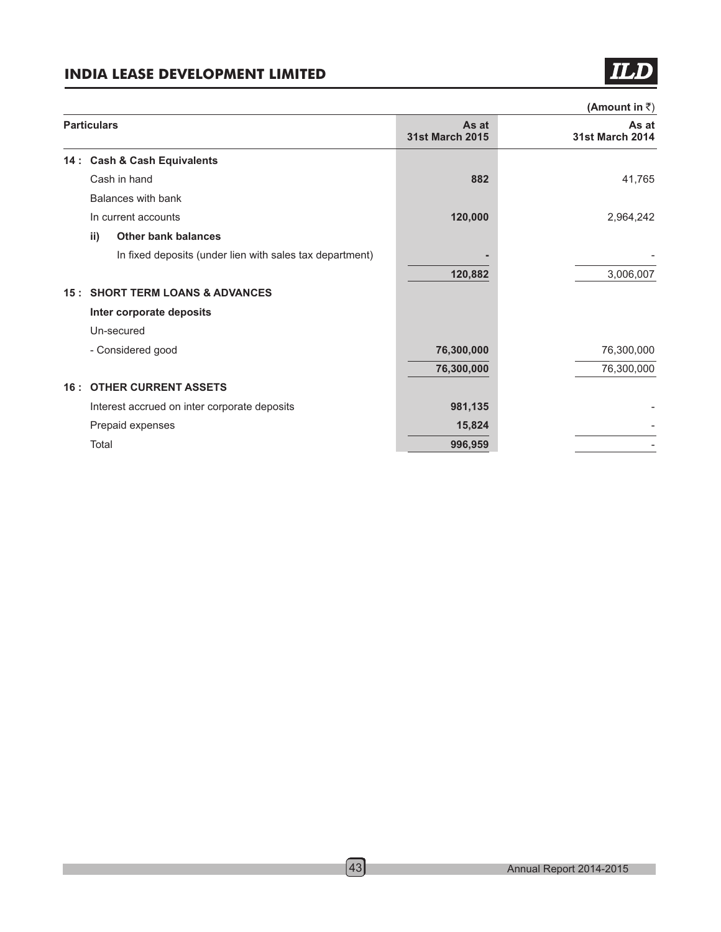

|     |                                                          |                                 | (Amount in $\bar{z}$ )          |
|-----|----------------------------------------------------------|---------------------------------|---------------------------------|
|     | <b>Particulars</b>                                       | As at<br><b>31st March 2015</b> | As at<br><b>31st March 2014</b> |
|     | 14 : Cash & Cash Equivalents                             |                                 |                                 |
|     | Cash in hand                                             | 882                             | 41,765                          |
|     | Balances with bank                                       |                                 |                                 |
|     | In current accounts                                      | 120,000                         | 2,964,242                       |
|     | <b>Other bank balances</b><br>ii)                        |                                 |                                 |
|     | In fixed deposits (under lien with sales tax department) |                                 |                                 |
|     |                                                          | 120,882                         | 3,006,007                       |
| 15: | <b>SHORT TERM LOANS &amp; ADVANCES</b>                   |                                 |                                 |
|     | Inter corporate deposits                                 |                                 |                                 |
|     | Un-secured                                               |                                 |                                 |
|     | - Considered good                                        | 76,300,000                      | 76,300,000                      |
|     |                                                          | 76,300,000                      | 76,300,000                      |
| 16: | <b>OTHER CURRENT ASSETS</b>                              |                                 |                                 |
|     | Interest accrued on inter corporate deposits             | 981,135                         |                                 |
|     | Prepaid expenses                                         | 15,824                          |                                 |
|     | Total                                                    | 996,959                         |                                 |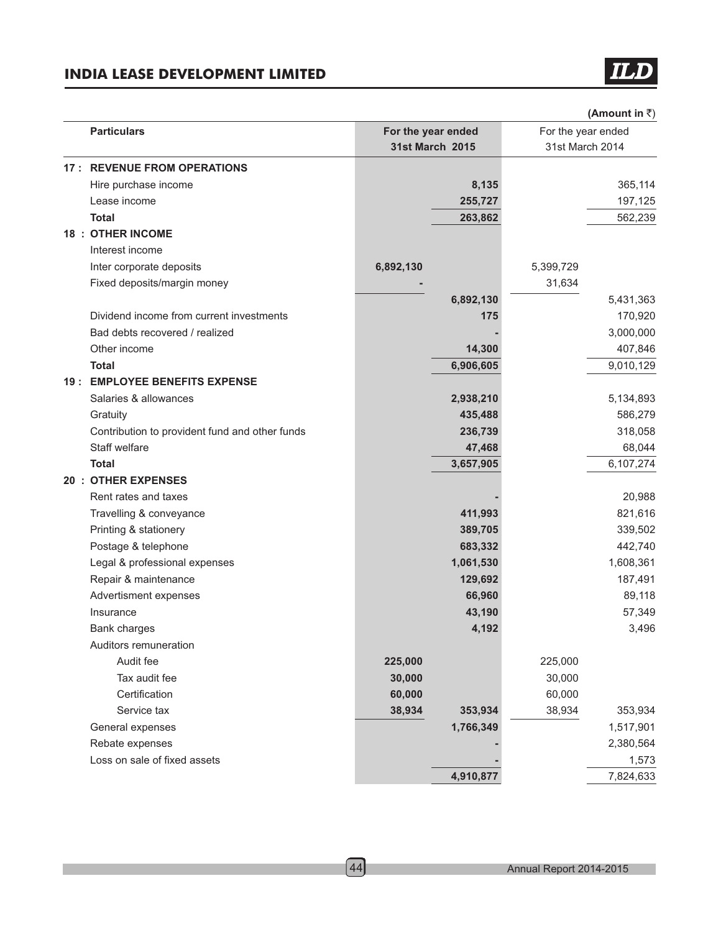

|                                                |                    |                 |                    | (Amount in $\bar{z}$ ) |
|------------------------------------------------|--------------------|-----------------|--------------------|------------------------|
| <b>Particulars</b>                             | For the year ended |                 | For the year ended |                        |
|                                                |                    | 31st March 2015 | 31st March 2014    |                        |
| 17 : REVENUE FROM OPERATIONS                   |                    |                 |                    |                        |
| Hire purchase income                           |                    | 8,135           |                    | 365,114                |
| Lease income                                   |                    | 255,727         |                    | 197,125                |
| <b>Total</b>                                   |                    | 263,862         |                    | 562,239                |
| <b>18 : OTHER INCOME</b>                       |                    |                 |                    |                        |
| Interest income                                |                    |                 |                    |                        |
| Inter corporate deposits                       | 6,892,130          |                 | 5,399,729          |                        |
| Fixed deposits/margin money                    |                    |                 | 31,634             |                        |
|                                                |                    | 6,892,130       |                    | 5,431,363              |
| Dividend income from current investments       |                    | 175             |                    | 170,920                |
| Bad debts recovered / realized                 |                    |                 |                    | 3,000,000              |
| Other income                                   |                    | 14,300          |                    | 407,846                |
| <b>Total</b>                                   |                    | 6,906,605       |                    | 9,010,129              |
| 19: EMPLOYEE BENEFITS EXPENSE                  |                    |                 |                    |                        |
| Salaries & allowances                          |                    | 2,938,210       |                    | 5,134,893              |
| Gratuity                                       |                    | 435,488         |                    | 586,279                |
| Contribution to provident fund and other funds |                    | 236,739         |                    | 318,058                |
| Staff welfare                                  |                    | 47,468          |                    | 68,044                 |
| <b>Total</b>                                   |                    | 3,657,905       |                    | 6,107,274              |
| 20: OTHER EXPENSES                             |                    |                 |                    |                        |
| Rent rates and taxes                           |                    |                 |                    | 20,988                 |
| Travelling & conveyance                        |                    | 411,993         |                    | 821,616                |
| Printing & stationery                          |                    | 389,705         |                    | 339,502                |
| Postage & telephone                            |                    | 683,332         |                    | 442,740                |
| Legal & professional expenses                  |                    | 1,061,530       |                    | 1,608,361              |
| Repair & maintenance                           |                    | 129,692         |                    | 187,491                |
| Advertisment expenses                          |                    | 66,960          |                    | 89,118                 |
| Insurance                                      |                    | 43,190          |                    | 57,349                 |
| Bank charges                                   |                    | 4,192           |                    | 3,496                  |
| Auditors remuneration                          |                    |                 |                    |                        |
| Audit fee                                      | 225,000            |                 | 225,000            |                        |
| Tax audit fee                                  | 30,000             |                 | 30,000             |                        |
| Certification                                  | 60,000             |                 | 60,000             |                        |
| Service tax                                    | 38,934             | 353,934         | 38,934             | 353,934                |
| General expenses                               |                    | 1,766,349       |                    | 1,517,901              |
| Rebate expenses                                |                    |                 |                    | 2,380,564              |
| Loss on sale of fixed assets                   |                    |                 |                    | 1,573                  |
|                                                |                    | 4,910,877       |                    | 7,824,633              |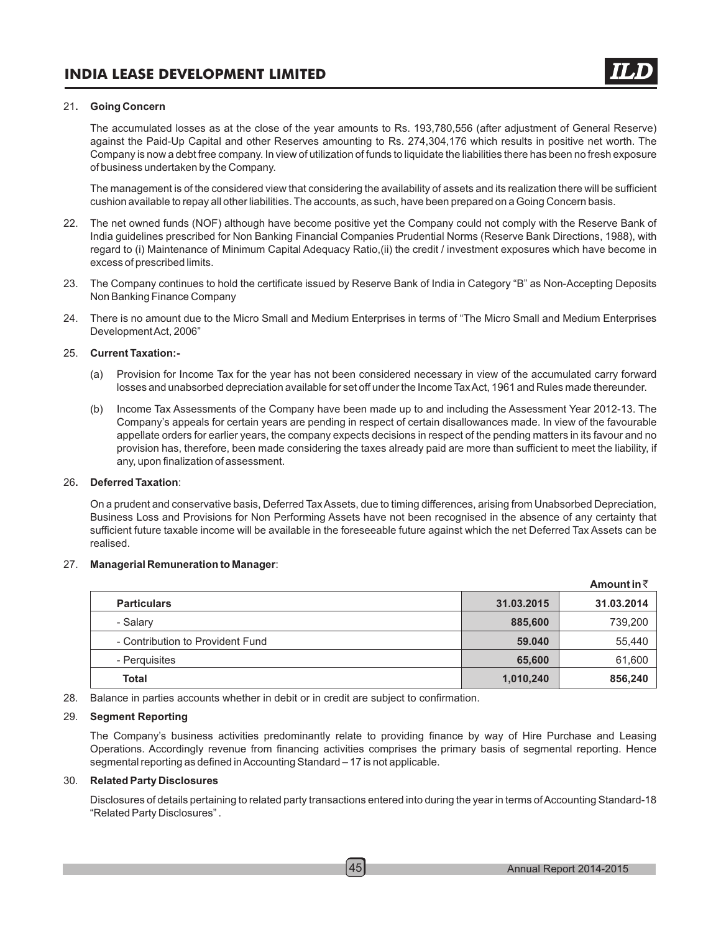

#### 21**. Going Concern**

The accumulated losses as at the close of the year amounts to Rs. 193,780,556 (after adjustment of General Reserve) against the Paid-Up Capital and other Reserves amounting to Rs. 274,304,176 which results in positive net worth. The Company is now a debt free company. In view of utilization of funds to liquidate the liabilities there has been no fresh exposure of business undertaken by the Company.

The management is of the considered view that considering the availability of assets and its realization there will be sufficient cushion available to repay all other liabilities. The accounts, as such, have been prepared on a Going Concern basis.

- 22. The net owned funds (NOF) although have become positive yet the Company could not comply with the Reserve Bank of India guidelines prescribed for Non Banking Financial Companies Prudential Norms (Reserve Bank Directions, 1988), with regard to (i) Maintenance of Minimum Capital Adequacy Ratio,(ii) the credit / investment exposures which have become in excess of prescribed limits.
- 23. The Company continues to hold the certificate issued by Reserve Bank of India in Category "B" as Non-Accepting Deposits Non Banking Finance Company
- 24. There is no amount due to the Micro Small and Medium Enterprises in terms of "The Micro Small and Medium Enterprises Development Act, 2006"

#### 25. **Current Taxation:-**

- (a) Provision for Income Tax for the year has not been considered necessary in view of the accumulated carry forward losses and unabsorbed depreciation available for set off under the Income Tax Act, 1961 and Rules made thereunder.
- (b) Income Tax Assessments of the Company have been made up to and including the Assessment Year 2012-13. The Company's appeals for certain years are pending in respect of certain disallowances made. In view of the favourable appellate orders for earlier years, the company expects decisions in respect of the pending matters in its favour and no provision has, therefore, been made considering the taxes already paid are more than sufficient to meet the liability, if any, upon finalization of assessment.

#### 26**. Deferred Taxation**:

On a prudent and conservative basis, Deferred Tax Assets, due to timing differences, arising from Unabsorbed Depreciation, Business Loss and Provisions for Non Performing Assets have not been recognised in the absence of any certainty that sufficient future taxable income will be available in the foreseeable future against which the net Deferred Tax Assets can be realised.

#### 27. **Managerial Remuneration to Manager**:

|                                  |            | Amount in $\bar{z}$ |
|----------------------------------|------------|---------------------|
| <b>Particulars</b>               | 31.03.2015 | 31.03.2014          |
| - Salary                         | 885,600    | 739,200             |
| - Contribution to Provident Fund | 59.040     | 55,440              |
| - Perquisites                    | 65,600     | 61,600              |
| <b>Total</b>                     | 1,010,240  | 856,240             |

28. Balance in parties accounts whether in debit or in credit are subject to confirmation.

#### 29. **Segment Reporting**

The Company's business activities predominantly relate to providing finance by way of Hire Purchase and Leasing Operations. Accordingly revenue from financing activities comprises the primary basis of segmental reporting. Hence segmental reporting as defined in Accounting Standard – 17 is not applicable.

#### 30. **Related Party Disclosures**

Disclosures of details pertaining to related party transactions entered into during the year in terms of Accounting Standard-18 "Related Party Disclosures" .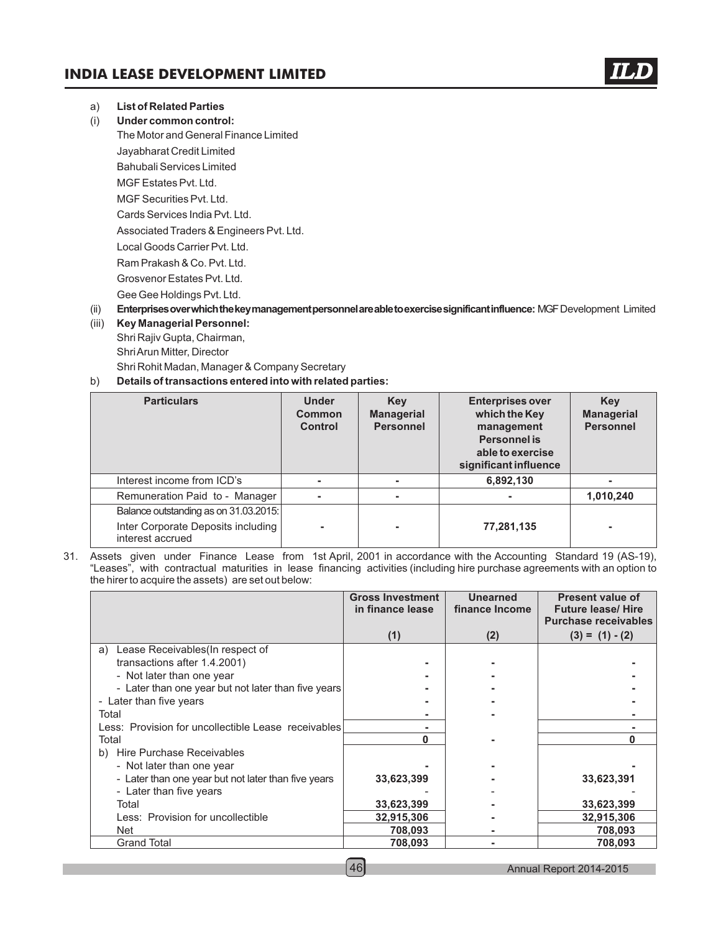

a) **List of Related Parties**

(i) **Under common control:** The Motor and General Finance Limited Jayabharat Credit Limited Bahubali Services Limited MGF Estates Pvt. Ltd. MGF Securities Pvt. Ltd. Cards Services India Pvt. Ltd. Associated Traders & Engineers Pvt. Ltd. Local Goods Carrier Pvt. Ltd. Ram Prakash & Co. Pvt. Ltd. Grosvenor Estates Pvt. Ltd. Gee Gee Holdings Pvt. Ltd.

- (ii) **Enterprises over which the key management personnel are able to exercise significant influence:** MGF Development Limited
- (iii) **Key Managerial Personnel:** Shri Rajiv Gupta, Chairman, Shri Arun Mitter, Director Shri Rohit Madan, Manager & Company Secretary

#### b) **Details of transactions entered into with related parties:**

| <b>Particulars</b>                                     | <b>Under</b><br><b>Common</b><br>Control | <b>Key</b><br><b>Managerial</b><br><b>Personnel</b> | <b>Enterprises over</b><br>which the Key<br>management<br><b>Personnel is</b><br>able to exercise<br>significant influence | Key<br><b>Managerial</b><br><b>Personnel</b> |
|--------------------------------------------------------|------------------------------------------|-----------------------------------------------------|----------------------------------------------------------------------------------------------------------------------------|----------------------------------------------|
| Interest income from ICD's                             |                                          | ۰                                                   | 6,892,130                                                                                                                  |                                              |
| Remuneration Paid to - Manager                         |                                          | ۰                                                   |                                                                                                                            | 1,010,240                                    |
| Balance outstanding as on 31.03.2015:                  |                                          |                                                     |                                                                                                                            |                                              |
| Inter Corporate Deposits including<br>interest accrued | ۰                                        | ۰                                                   | 77,281,135                                                                                                                 | ۰                                            |

31. Assets given under Finance Lease from 1st April, 2001 in accordance with the Accounting Standard 19 (AS-19), "Leases", with contractual maturities in lease financing activities (including hire purchase agreements with an option to the hirer to acquire the assets) are set out below:

|                                                     | <b>Gross Investment</b><br>in finance lease | Unearned<br>finance Income | <b>Present value of</b><br><b>Future lease/ Hire</b><br><b>Purchase receivables</b> |
|-----------------------------------------------------|---------------------------------------------|----------------------------|-------------------------------------------------------------------------------------|
|                                                     | (1)                                         | (2)                        | $(3) = (1) - (2)$                                                                   |
| Lease Receivables (In respect of<br>a)              |                                             |                            |                                                                                     |
| transactions after 1.4.2001)                        |                                             |                            |                                                                                     |
| - Not later than one year                           |                                             |                            |                                                                                     |
| - Later than one year but not later than five years |                                             |                            |                                                                                     |
| - Later than five years                             |                                             |                            |                                                                                     |
| Total                                               |                                             |                            |                                                                                     |
| Less: Provision for uncollectible Lease receivables |                                             |                            |                                                                                     |
| Total                                               | 0                                           |                            | n                                                                                   |
| b) Hire Purchase Receivables                        |                                             |                            |                                                                                     |
| - Not later than one year                           |                                             |                            |                                                                                     |
| - Later than one year but not later than five years | 33,623,399                                  |                            | 33,623,391                                                                          |
| - Later than five years                             |                                             |                            |                                                                                     |
| Total                                               | 33,623,399                                  |                            | 33,623,399                                                                          |
| Less: Provision for uncollectible                   | 32,915,306                                  |                            | 32,915,306                                                                          |
| Net                                                 | 708,093                                     |                            | 708,093                                                                             |
| <b>Grand Total</b>                                  | 708,093                                     |                            | 708,093                                                                             |

46 Annual Report 2014-2015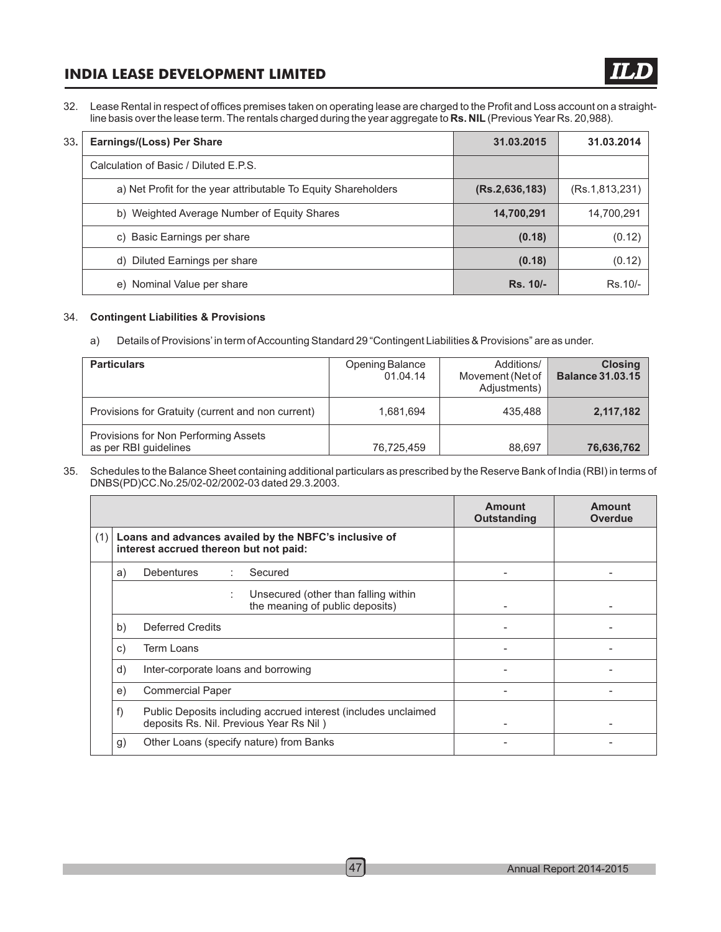32. Lease Rental in respect of offices premises taken on operating lease are charged to the Profit and Loss account on a straightline basis over the lease term. The rentals charged during the year aggregate to **Rs. NIL** (Previous Year Rs. 20,988).

| 33. | <b>Earnings/(Loss) Per Share</b>                               | 31.03.2015     | 31.03.2014     |
|-----|----------------------------------------------------------------|----------------|----------------|
|     | Calculation of Basic / Diluted E.P.S.                          |                |                |
|     | a) Net Profit for the year attributable To Equity Shareholders | (Rs.2,636,183) | (Rs.1,813,231) |
|     | b) Weighted Average Number of Equity Shares                    | 14,700,291     | 14,700,291     |
|     | c) Basic Earnings per share                                    | (0.18)         | (0.12)         |
|     | d) Diluted Earnings per share                                  | (0.18)         | (0.12)         |
|     | e) Nominal Value per share                                     | Rs. 10/-       | Rs.10/-        |

#### 34. **Contingent Liabilities & Provisions**

a) Details of Provisions' in term of Accounting Standard 29 "Contingent Liabilities & Provisions" are as under.

| <b>Particulars</b>                                            | Opening Balance<br>01.04.14 | Additions/<br>Movement (Net of<br>Adjustments) | <b>Closing</b><br><b>Balance 31.03.15</b> |
|---------------------------------------------------------------|-----------------------------|------------------------------------------------|-------------------------------------------|
| Provisions for Gratuity (current and non current)             | 1.681.694                   | 435.488                                        | 2,117,182                                 |
| Provisions for Non Performing Assets<br>as per RBI guidelines | 76,725,459                  | 88,697                                         | 76,636,762                                |

35. Schedules to the Balance Sheet containing additional particulars as prescribed by the Reserve Bank of India (RBI) in terms of DNBS(PD)CC.No.25/02-02/2002-03 dated 29.3.2003.

|     |    |                                                                                                           | Amount<br><b>Outstanding</b> | Amount<br><b>Overdue</b> |
|-----|----|-----------------------------------------------------------------------------------------------------------|------------------------------|--------------------------|
| (1) |    | Loans and advances availed by the NBFC's inclusive of<br>interest accrued thereon but not paid:           |                              |                          |
|     | a) | <b>Debentures</b><br>Secured                                                                              |                              |                          |
|     |    | Unsecured (other than falling within<br>the meaning of public deposits)                                   |                              |                          |
|     | b) | <b>Deferred Credits</b>                                                                                   |                              |                          |
|     | C) | Term Loans                                                                                                |                              |                          |
|     | d) | Inter-corporate loans and borrowing                                                                       |                              |                          |
|     | e) | <b>Commercial Paper</b>                                                                                   |                              |                          |
|     | f) | Public Deposits including accrued interest (includes unclaimed<br>deposits Rs. Nil. Previous Year Rs Nil) |                              |                          |
|     | g) | Other Loans (specify nature) from Banks                                                                   |                              |                          |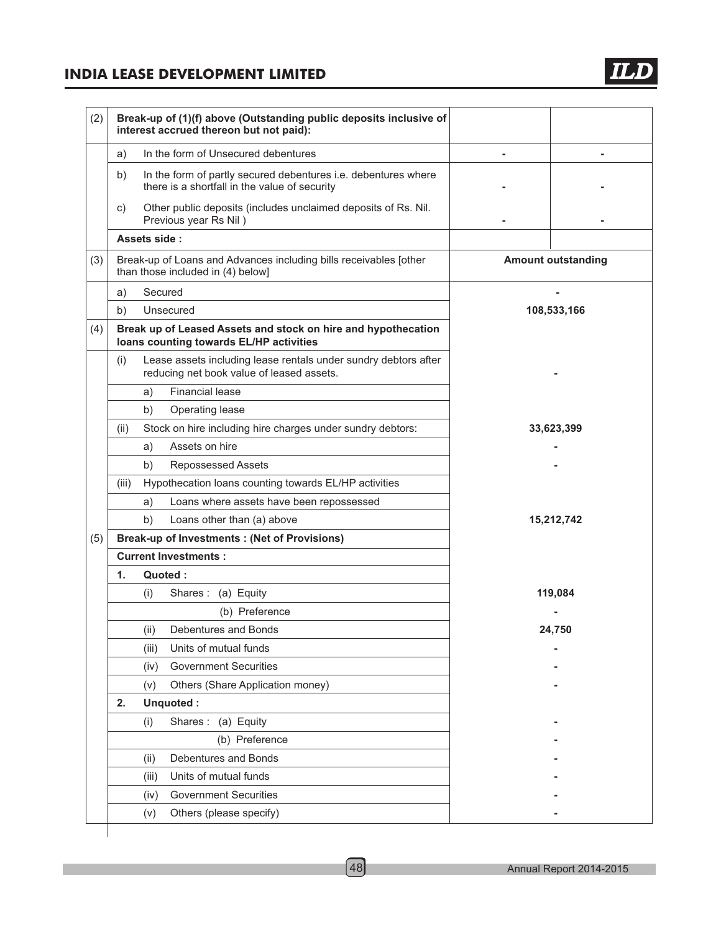

| (2) |       | Break-up of (1)(f) above (Outstanding public deposits inclusive of<br>interest accrued thereon but not paid):   |                           |
|-----|-------|-----------------------------------------------------------------------------------------------------------------|---------------------------|
|     | a)    | In the form of Unsecured debentures                                                                             |                           |
|     | b)    | In the form of partly secured debentures i.e. debentures where<br>there is a shortfall in the value of security |                           |
|     | C)    | Other public deposits (includes unclaimed deposits of Rs. Nil.<br>Previous year Rs Nil)                         |                           |
|     |       | Assets side:                                                                                                    |                           |
| (3) |       | Break-up of Loans and Advances including bills receivables [other<br>than those included in (4) below]          | <b>Amount outstanding</b> |
|     | a)    | Secured                                                                                                         |                           |
|     | b)    | Unsecured                                                                                                       | 108,533,166               |
| (4) |       | Break up of Leased Assets and stock on hire and hypothecation<br>loans counting towards EL/HP activities        |                           |
|     | (i)   | Lease assets including lease rentals under sundry debtors after<br>reducing net book value of leased assets.    |                           |
|     |       | <b>Financial lease</b><br>a)                                                                                    |                           |
|     |       | b)<br>Operating lease                                                                                           |                           |
|     | (ii)  | Stock on hire including hire charges under sundry debtors:                                                      | 33,623,399                |
|     |       | Assets on hire<br>a)                                                                                            |                           |
|     |       | <b>Repossessed Assets</b><br>b)                                                                                 |                           |
|     | (iii) | Hypothecation loans counting towards EL/HP activities                                                           |                           |
|     |       | Loans where assets have been repossessed<br>a)                                                                  |                           |
|     |       | b)<br>Loans other than (a) above                                                                                | 15,212,742                |
| (5) |       | <b>Break-up of Investments: (Net of Provisions)</b>                                                             |                           |
|     |       | <b>Current Investments:</b>                                                                                     |                           |
|     | 1.    | Quoted:                                                                                                         |                           |
|     |       | (i)<br>Shares: (a) Equity                                                                                       | 119,084                   |
|     |       | (b) Preference                                                                                                  |                           |
|     |       | Debentures and Bonds<br>(ii)                                                                                    | 24,750                    |
|     |       | Units of mutual funds<br>(iii)                                                                                  |                           |
|     |       | <b>Government Securities</b><br>(iv)                                                                            |                           |
|     |       | Others (Share Application money)<br>(v)                                                                         |                           |
|     | 2.    | Unquoted:                                                                                                       |                           |
|     |       | Shares: (a) Equity<br>(i)                                                                                       |                           |
|     |       | (b) Preference                                                                                                  |                           |
|     |       | Debentures and Bonds<br>(ii)                                                                                    |                           |
|     |       | Units of mutual funds<br>(iii)                                                                                  |                           |
|     |       | <b>Government Securities</b><br>(iv)                                                                            |                           |
|     |       | Others (please specify)<br>(v)                                                                                  |                           |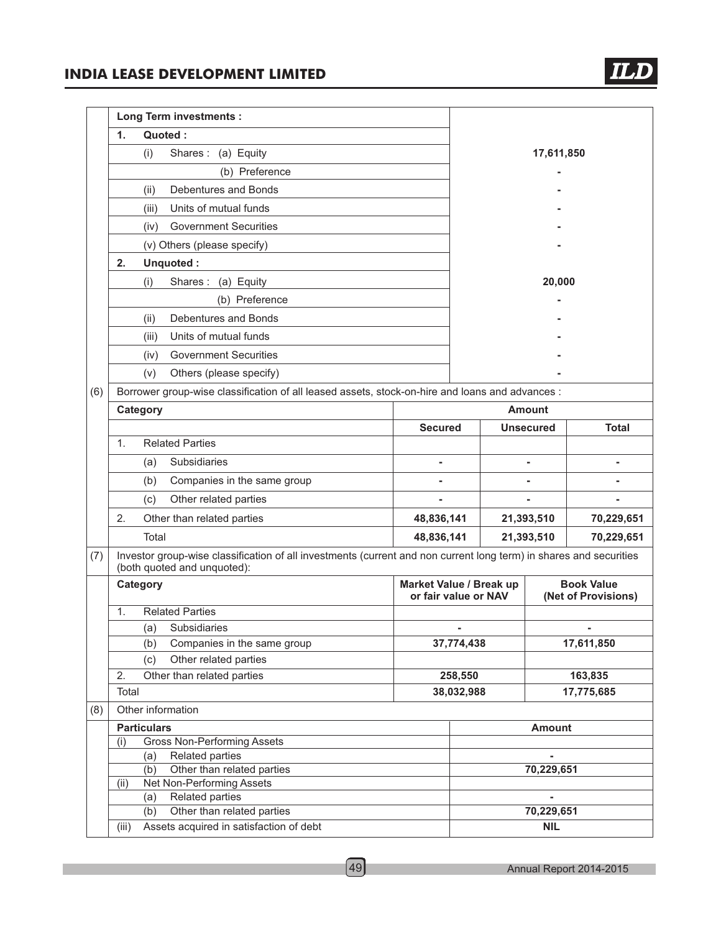

|     |                                                  | <b>Long Term investments:</b>                                                                                                                     |                         |            |            |                  |                     |
|-----|--------------------------------------------------|---------------------------------------------------------------------------------------------------------------------------------------------------|-------------------------|------------|------------|------------------|---------------------|
|     | 1.                                               | Quoted:                                                                                                                                           |                         |            |            |                  |                     |
|     | Shares: (a) Equity<br>(i)                        |                                                                                                                                                   |                         |            |            | 17,611,850       |                     |
|     | (b) Preference                                   |                                                                                                                                                   |                         |            |            |                  |                     |
|     | Debentures and Bonds<br>(ii)                     |                                                                                                                                                   |                         |            |            |                  |                     |
|     | Units of mutual funds<br>(iii)                   |                                                                                                                                                   |                         |            |            |                  |                     |
|     |                                                  | <b>Government Securities</b><br>(iv)                                                                                                              |                         |            |            |                  |                     |
|     |                                                  | (v) Others (please specify)                                                                                                                       |                         |            |            |                  |                     |
|     | 2.<br>Unquoted:                                  |                                                                                                                                                   |                         |            |            |                  |                     |
|     |                                                  | Shares:<br>(a) Equity<br>(i)                                                                                                                      |                         |            |            | 20,000           |                     |
|     |                                                  | (b) Preference                                                                                                                                    |                         |            |            |                  |                     |
|     |                                                  | Debentures and Bonds                                                                                                                              |                         |            |            |                  |                     |
|     |                                                  | (ii)                                                                                                                                              |                         |            |            |                  |                     |
|     |                                                  | Units of mutual funds<br>(iii)                                                                                                                    |                         |            |            |                  |                     |
|     |                                                  | <b>Government Securities</b><br>(iv)                                                                                                              |                         |            |            |                  |                     |
|     |                                                  | (v)<br>Others (please specify)                                                                                                                    |                         |            |            |                  |                     |
| (6) |                                                  | Borrower group-wise classification of all leased assets, stock-on-hire and loans and advances :                                                   |                         |            |            |                  |                     |
|     |                                                  | Category                                                                                                                                          |                         |            |            | <b>Amount</b>    |                     |
|     |                                                  |                                                                                                                                                   | <b>Secured</b>          |            |            | <b>Unsecured</b> | <b>Total</b>        |
|     | 1.                                               | <b>Related Parties</b>                                                                                                                            |                         |            |            |                  |                     |
|     |                                                  | Subsidiaries<br>(a)                                                                                                                               |                         |            |            |                  |                     |
|     |                                                  | (b)<br>Companies in the same group                                                                                                                |                         |            |            |                  |                     |
|     |                                                  | Other related parties<br>(c)                                                                                                                      |                         |            |            |                  |                     |
|     | 2.                                               | Other than related parties                                                                                                                        | 48,836,141              |            |            | 21,393,510       | 70,229,651          |
|     |                                                  | Total                                                                                                                                             | 48,836,141              |            |            | 21,393,510       | 70,229,651          |
| (7) |                                                  | Investor group-wise classification of all investments (current and non current long term) in shares and securities<br>(both quoted and unquoted): |                         |            |            |                  |                     |
|     |                                                  | Category                                                                                                                                          | Market Value / Break up |            |            |                  | <b>Book Value</b>   |
|     |                                                  |                                                                                                                                                   | or fair value or NAV    |            |            |                  | (Net of Provisions) |
|     | 1.                                               | <b>Related Parties</b><br>Subsidiaries                                                                                                            |                         |            |            |                  |                     |
|     |                                                  | (a)<br>Companies in the same group<br>(b)                                                                                                         | 37,774,438              |            | 17,611,850 |                  |                     |
|     |                                                  | Other related parties<br>(c)                                                                                                                      |                         |            |            |                  |                     |
|     | 2.                                               | Other than related parties                                                                                                                        | 258,550                 |            |            | 163,835          |                     |
|     | Total                                            |                                                                                                                                                   |                         | 38,032,988 |            |                  | 17,775,685          |
| (8) |                                                  | Other information                                                                                                                                 |                         |            |            |                  |                     |
|     |                                                  | <b>Particulars</b>                                                                                                                                |                         |            |            | <b>Amount</b>    |                     |
|     | (i)                                              | <b>Gross Non-Performing Assets</b>                                                                                                                |                         |            |            |                  |                     |
|     |                                                  | Related parties<br>(a)                                                                                                                            |                         |            |            |                  |                     |
|     |                                                  | Other than related parties<br>(b)                                                                                                                 |                         |            |            | 70,229,651       |                     |
|     | (ii)                                             | Net Non-Performing Assets<br>Related parties<br>(a)                                                                                               |                         |            |            |                  |                     |
|     |                                                  | Other than related parties<br>(b)                                                                                                                 |                         | 70,229,651 |            |                  |                     |
|     | Assets acquired in satisfaction of debt<br>(iii) |                                                                                                                                                   |                         | <b>NIL</b> |            |                  |                     |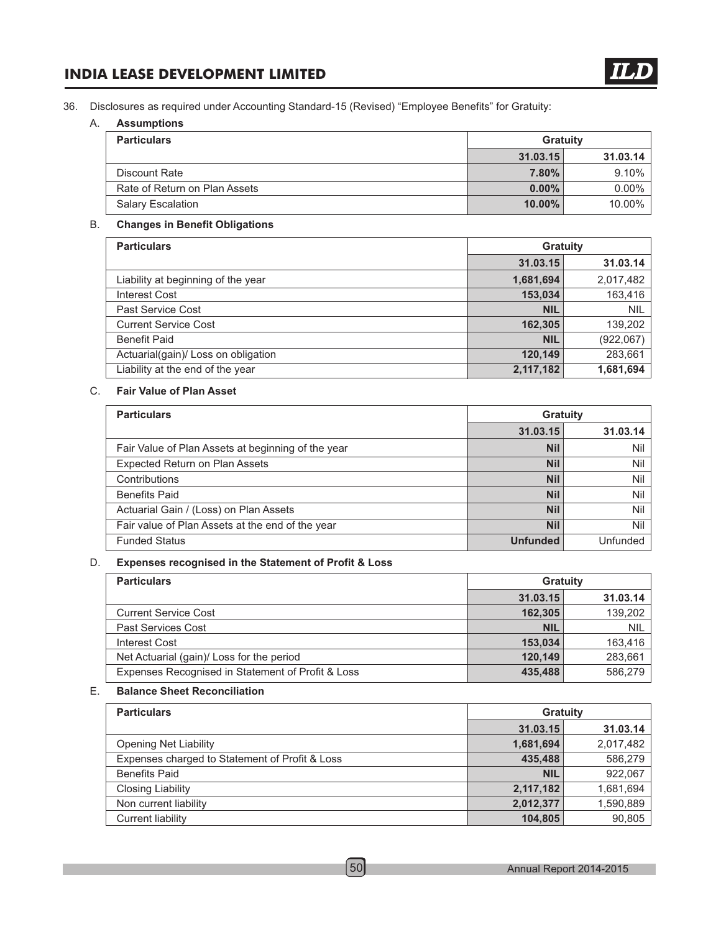36. Disclosures as required under Accounting Standard-15 (Revised) "Employee Benefits" for Gratuity:

#### A. **Assumptions**

| <b>Particulars</b>            | Gratuity  |          |
|-------------------------------|-----------|----------|
|                               | 31.03.15  | 31.03.14 |
| Discount Rate                 | 7.80%     | 9.10%    |
| Rate of Return on Plan Assets | $0.00\%$  | $0.00\%$ |
| <b>Salary Escalation</b>      | $10.00\%$ | 10.00%   |

#### B. **Changes in Benefit Obligations**

| <b>Particulars</b>                  | <b>Gratuity</b> |            |
|-------------------------------------|-----------------|------------|
|                                     | 31.03.15        | 31.03.14   |
| Liability at beginning of the year  | 1,681,694       | 2,017,482  |
| <b>Interest Cost</b>                | 153,034         | 163,416    |
| Past Service Cost                   | <b>NIL</b>      | <b>NIL</b> |
| <b>Current Service Cost</b>         | 162,305         | 139,202    |
| <b>Benefit Paid</b>                 | <b>NIL</b>      | (922, 067) |
| Actuarial(gain)/ Loss on obligation | 120.149         | 283,661    |
| Liability at the end of the year    | 2,117,182       | 1,681,694  |

### C. **Fair Value of Plan Asset**

| <b>Particulars</b>                                 | <b>Gratuity</b> |          |
|----------------------------------------------------|-----------------|----------|
|                                                    | 31.03.15        | 31.03.14 |
| Fair Value of Plan Assets at beginning of the year | <b>Nil</b>      | Nil      |
| <b>Expected Return on Plan Assets</b>              | <b>Nil</b>      | Nil      |
| Contributions                                      | <b>Nil</b>      | Nil      |
| <b>Benefits Paid</b>                               | <b>Nil</b>      | Nil      |
| Actuarial Gain / (Loss) on Plan Assets             | <b>Nil</b>      | Nil      |
| Fair value of Plan Assets at the end of the year   | <b>Nil</b>      | Nil      |
| <b>Funded Status</b>                               | <b>Unfunded</b> | Unfunded |

### D. **Expenses recognised in the Statement of Profit & Loss**

| <b>Particulars</b>                                | <b>Gratuity</b> |            |
|---------------------------------------------------|-----------------|------------|
|                                                   | 31.03.15        | 31.03.14   |
| <b>Current Service Cost</b>                       | 162,305         | 139,202    |
| Past Services Cost                                | <b>NIL</b>      | <b>NIL</b> |
| <b>Interest Cost</b>                              | 153,034         | 163,416    |
| Net Actuarial (gain)/ Loss for the period         | 120,149         | 283,661    |
| Expenses Recognised in Statement of Profit & Loss | 435,488         | 586,279    |

### E. **Balance Sheet Reconciliation**

| <b>Particulars</b>                             | <b>Gratuity</b> |           |
|------------------------------------------------|-----------------|-----------|
|                                                | 31.03.15        | 31.03.14  |
| Opening Net Liability                          | 1,681,694       | 2,017,482 |
| Expenses charged to Statement of Profit & Loss | 435,488         | 586,279   |
| <b>Benefits Paid</b>                           | <b>NIL</b>      | 922.067   |
| <b>Closing Liability</b>                       | 2,117,182       | 1,681,694 |
| Non current liability                          | 2,012,377       | 1,590,889 |
| <b>Current liability</b>                       | 104.805         | 90,805    |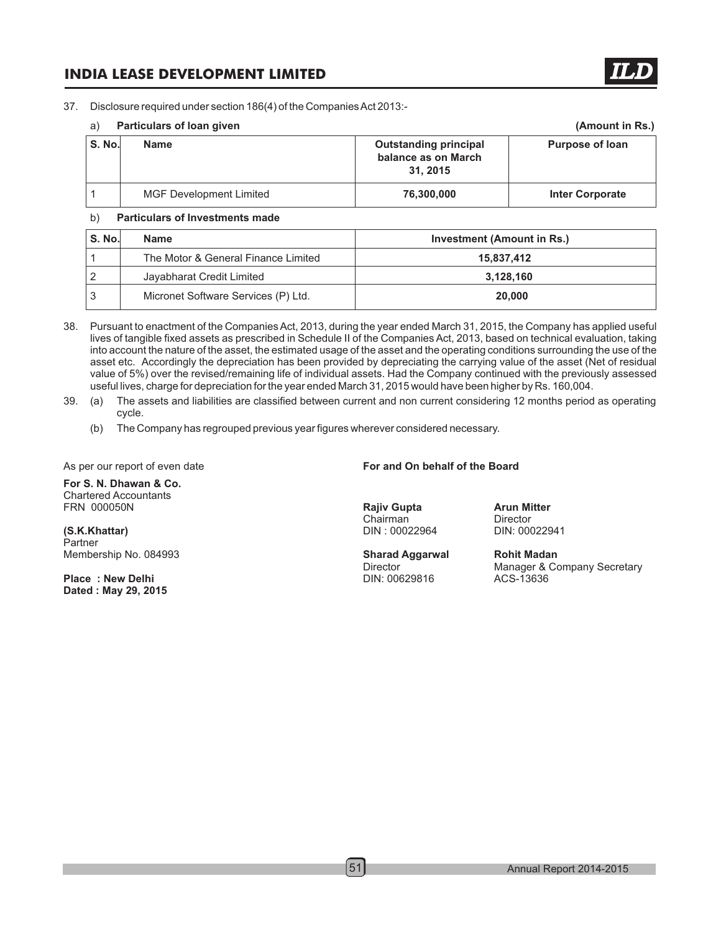37. Disclosure required under section 186(4) of the Companies Act 2013:-

| a)     | (Amount in Rs.)<br><b>Particulars of loan given</b> |                                                                |                        |
|--------|-----------------------------------------------------|----------------------------------------------------------------|------------------------|
| S. No. | <b>Name</b>                                         | <b>Outstanding principal</b><br>balance as on March<br>31.2015 | <b>Purpose of loan</b> |
|        | <b>MGF Development Limited</b>                      | 76,300,000                                                     | <b>Inter Corporate</b> |

#### b) **Particulars of Investments made**

| <b>S. No.</b> | <b>Name</b>                         | Investment (Amount in Rs.) |
|---------------|-------------------------------------|----------------------------|
|               | The Motor & General Finance Limited | 15.837.412                 |
|               | Jayabharat Credit Limited           | 3,128,160                  |
| 3             | Micronet Software Services (P) Ltd. | 20,000                     |

- 38. Pursuant to enactment of the Companies Act, 2013, during the year ended March 31, 2015, the Company has applied useful lives of tangible fixed assets as prescribed in Schedule II of the Companies Act, 2013, based on technical evaluation, taking into account the nature of the asset, the estimated usage of the asset and the operating conditions surrounding the use of the asset etc. Accordingly the depreciation has been provided by depreciating the carrying value of the asset (Net of residual value of 5%) over the revised/remaining life of individual assets. Had the Company continued with the previously assessed useful lives, charge for depreciation for the year ended March 31, 2015 would have been higher by Rs. 160,004.
- 39. (a) The assets and liabilities are classified between current and non current considering 12 months period as operating cycle.
	- (b) The Company has regrouped previous year figures wherever considered necessary.

**For S. N. Dhawan & Co.** Chartered Accountants FRN 000050N **Rajiv Gupta Arun Mitter**

**(S.K.Khattar)** DIN : 00022964 Partner

**Place : New Delhi Dated : May 29, 2015**

As per our report of even date **For and On behalf of the Board**

Chairman Director<br>DIN: 00022964 DIN: 00022941

Membership No. 084993 **Sharad Aggarwal Rohit Madan** Rembership No. 084993

Director Tennis Manager & Company Secretary<br>
DIN: 00629816 ACS-13636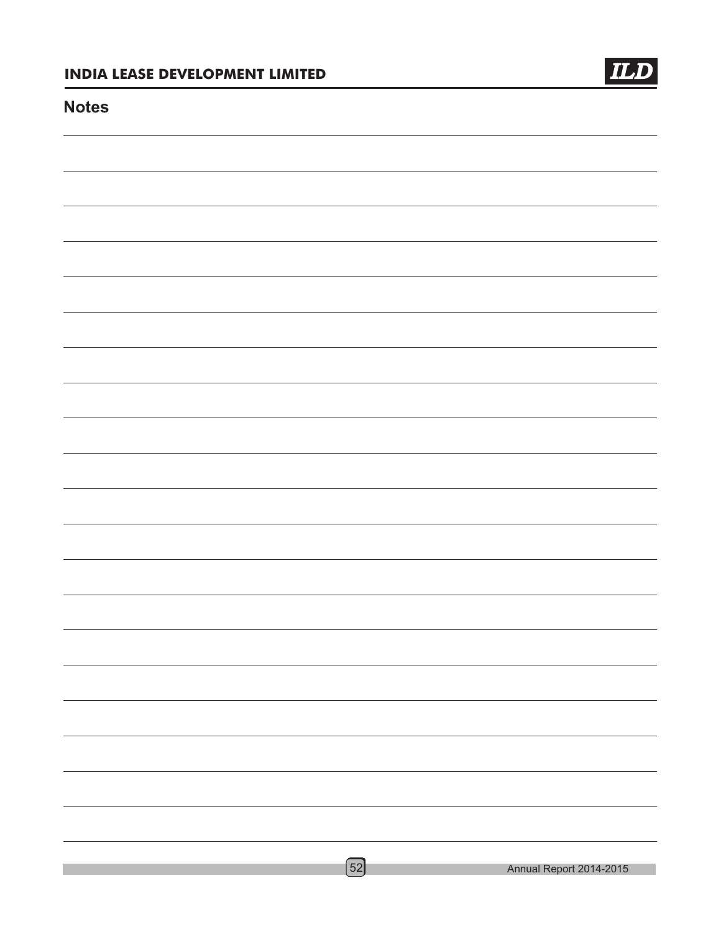

## **Notes**

|             | $\bar{\mathcal{L}}$      |
|-------------|--------------------------|
|             |                          |
|             |                          |
|             |                          |
|             |                          |
|             |                          |
|             |                          |
|             |                          |
|             |                          |
|             |                          |
|             |                          |
|             |                          |
|             |                          |
|             |                          |
|             |                          |
|             |                          |
|             |                          |
|             |                          |
|             | $\overline{\phantom{a}}$ |
|             |                          |
| $\sqrt{52}$ |                          |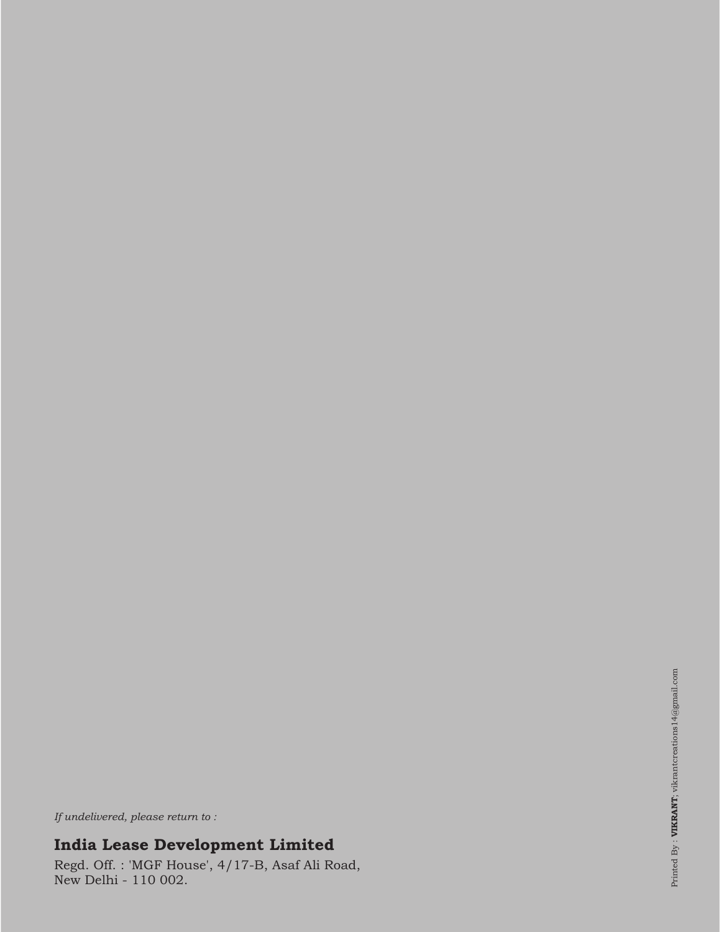*If undelivered, please return to :*

## India Lease Development Limited

Regd. Off. : 'MGF House', 4/17-B, Asaf Ali Road, New Delhi - 110 002.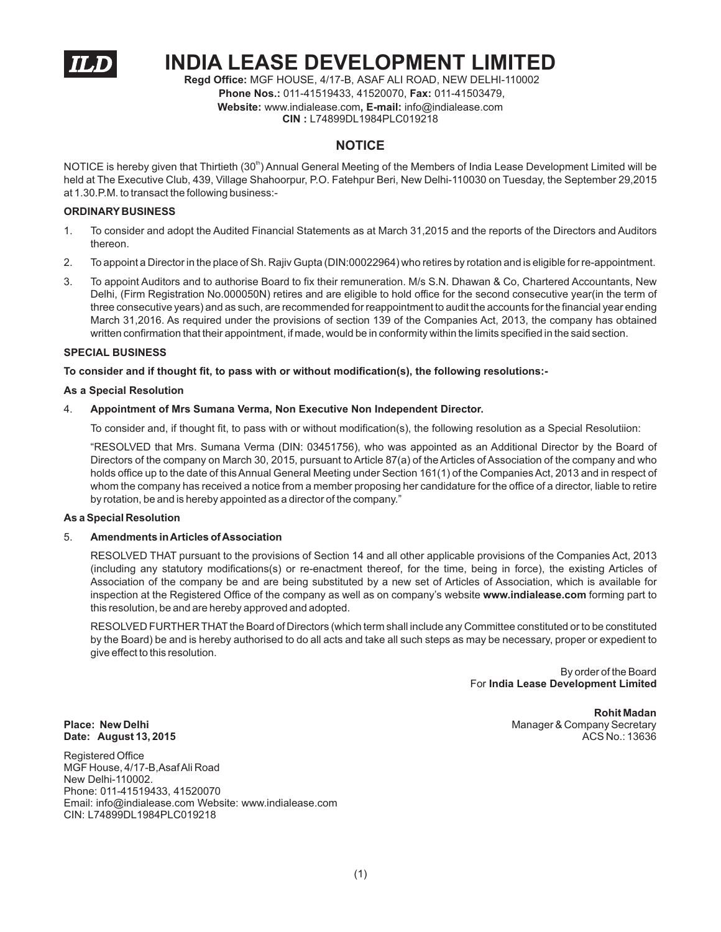

 **Regd Office:** MGF HOUSE, 4/17-B, ASAF ALI ROAD, NEW DELHI-110002  **Phone Nos.:** 011-41519433, 41520070, **Fax:** 011-41503479, **Website:** www.indialease.com**, E-mail:** info@indialease.com

**CIN :** L74899DL1984PLC019218

## **NOTICE**

NOTICE is hereby given that Thirtieth (30<sup>th</sup>) Annual General Meeting of the Members of India Lease Development Limited will be held at The Executive Club, 439, Village Shahoorpur, P.O. Fatehpur Beri, New Delhi-110030 on Tuesday, the September 29,2015 at 1.30.P.M. to transact the following business:-

#### **ORDINARY BUSINESS**

- 1. To consider and adopt the Audited Financial Statements as at March 31,2015 and the reports of the Directors and Auditors thereon.
- 2. To appoint a Director in the place of Sh. Rajiv Gupta (DIN:00022964) who retires by rotation and is eligible for re-appointment.
- 3. To appoint Auditors and to authorise Board to fix their remuneration. M/s S.N. Dhawan & Co, Chartered Accountants, New Delhi, (Firm Registration No.000050N) retires and are eligible to hold office for the second consecutive year(in the term of three consecutive years) and as such, are recommended for reappointment to audit the accounts for the financial year ending March 31,2016. As required under the provisions of section 139 of the Companies Act, 2013, the company has obtained written confirmation that their appointment, if made, would be in conformity within the limits specified in the said section.

#### **SPECIAL BUSINESS**

#### **To consider and if thought fit, to pass with or without modification(s), the following resolutions:-**

#### **As a Special Resolution**

#### 4. **Appointment of Mrs Sumana Verma, Non Executive Non Independent Director.**

To consider and, if thought fit, to pass with or without modification(s), the following resolution as a Special Resolutiion:

"RESOLVED that Mrs. Sumana Verma (DIN: 03451756), who was appointed as an Additional Director by the Board of Directors of the company on March 30, 2015, pursuant to Article 87(a) of the Articles of Association of the company and who holds office up to the date of this Annual General Meeting under Section 161(1) of the Companies Act, 2013 and in respect of whom the company has received a notice from a member proposing her candidature for the office of a director, liable to retire by rotation, be and is hereby appointed as a director of the company."

#### **As a Special Resolution**

#### 5. **Amendments in Articles of Association**

RESOLVED THAT pursuant to the provisions of Section 14 and all other applicable provisions of the Companies Act, 2013 (including any statutory modifications(s) or re-enactment thereof, for the time, being in force), the existing Articles of Association of the company be and are being substituted by a new set of Articles of Association, which is available for inspection at the Registered Office of the company as well as on company's website **www.indialease.com** forming part to this resolution, be and are hereby approved and adopted.

RESOLVED FURTHER THAT the Board of Directors (which term shall include any Committee constituted or to be constituted by the Board) be and is hereby authorised to do all acts and take all such steps as may be necessary, proper or expedient to give effect to this resolution.

> By order of the Board For **India Lease Development Limited**

**Date: August 13, 2015** 

Registered Office MGF House, 4/17-B,Asaf Ali Road New Delhi-110002. Phone: 011-41519433, 41520070 Email: info@indialease.com Website: www.indialease.com CIN: L74899DL1984PLC019218

 **Rohit Madan Place: New Delhi** Manager & Company Secretary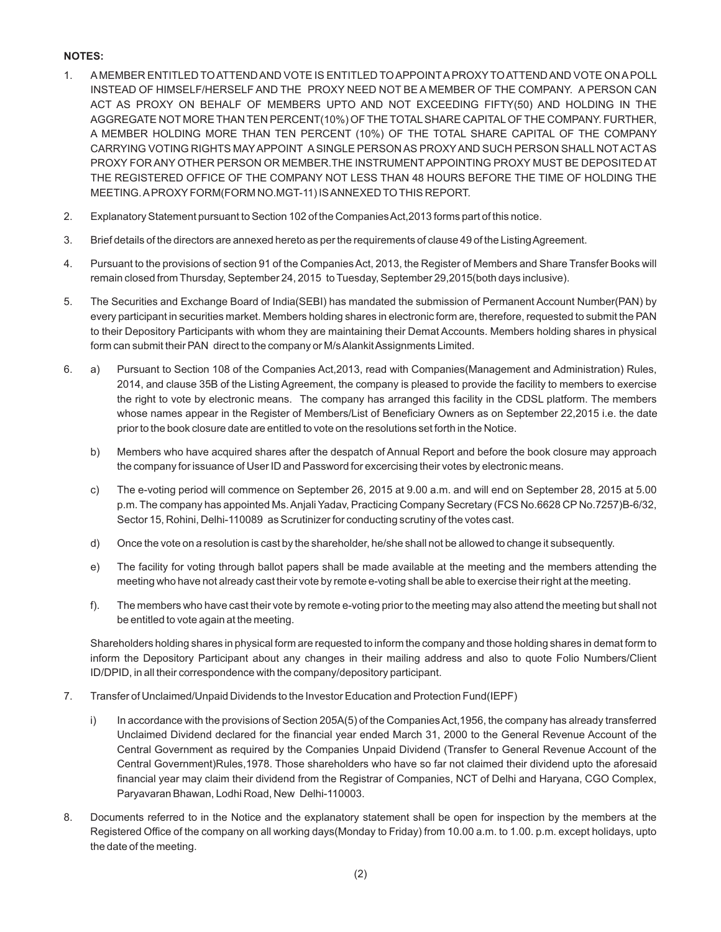#### **NOTES:**

- 1. A MEMBER ENTITLED TO ATTEND AND VOTE IS ENTITLED TO APPOINT A PROXY TO ATTEND AND VOTE ON A POLL INSTEAD OF HIMSELF/HERSELF AND THE PROXY NEED NOT BE A MEMBER OF THE COMPANY. A PERSON CAN ACT AS PROXY ON BEHALF OF MEMBERS UPTO AND NOT EXCEEDING FIFTY(50) AND HOLDING IN THE AGGREGATE NOT MORE THAN TEN PERCENT(10%) OF THE TOTAL SHARE CAPITAL OF THE COMPANY. FURTHER, A MEMBER HOLDING MORE THAN TEN PERCENT (10%) OF THE TOTAL SHARE CAPITAL OF THE COMPANY CARRYING VOTING RIGHTS MAY APPOINT A SINGLE PERSON AS PROXY AND SUCH PERSON SHALL NOT ACT AS PROXY FOR ANY OTHER PERSON OR MEMBER.THE INSTRUMENT APPOINTING PROXY MUST BE DEPOSITED AT THE REGISTERED OFFICE OF THE COMPANY NOT LESS THAN 48 HOURS BEFORE THE TIME OF HOLDING THE MEETING. A PROXY FORM(FORM NO.MGT-11) IS ANNEXED TO THIS REPORT.
- 2. Explanatory Statement pursuant to Section 102 of the Companies Act,2013 forms part of this notice.
- 3. Brief details of the directors are annexed hereto as per the requirements of clause 49 of the Listing Agreement.
- 4. Pursuant to the provisions of section 91 of the Companies Act, 2013, the Register of Members and Share Transfer Books will remain closed from Thursday, September 24, 2015 to Tuesday, September 29,2015(both days inclusive).
- 5. The Securities and Exchange Board of India(SEBI) has mandated the submission of Permanent Account Number(PAN) by every participant in securities market. Members holding shares in electronic form are, therefore, requested to submit the PAN to their Depository Participants with whom they are maintaining their Demat Accounts. Members holding shares in physical form can submit their PAN direct to the company or M/s Alankit Assignments Limited.
- 6. a) Pursuant to Section 108 of the Companies Act,2013, read with Companies(Management and Administration) Rules, 2014, and clause 35B of the Listing Agreement, the company is pleased to provide the facility to members to exercise the right to vote by electronic means. The company has arranged this facility in the CDSL platform. The members whose names appear in the Register of Members/List of Beneficiary Owners as on September 22,2015 i.e. the date prior to the book closure date are entitled to vote on the resolutions set forth in the Notice.
	- b) Members who have acquired shares after the despatch of Annual Report and before the book closure may approach the company for issuance of User ID and Password for excercising their votes by electronic means.
	- c) The e-voting period will commence on September 26, 2015 at 9.00 a.m. and will end on September 28, 2015 at 5.00 p.m. The company has appointed Ms. Anjali Yadav, Practicing Company Secretary (FCS No.6628 CP No.7257)B-6/32, Sector 15, Rohini, Delhi-110089 as Scrutinizer for conducting scrutiny of the votes cast.
	- d) Once the vote on a resolution is cast by the shareholder, he/she shall not be allowed to change it subsequently.
	- e) The facility for voting through ballot papers shall be made available at the meeting and the members attending the meeting who have not already cast their vote by remote e-voting shall be able to exercise their right at the meeting.
	- f). The members who have cast their vote by remote e-voting prior to the meeting may also attend the meeting but shall not be entitled to vote again at the meeting.

Shareholders holding shares in physical form are requested to inform the company and those holding shares in demat form to inform the Depository Participant about any changes in their mailing address and also to quote Folio Numbers/Client ID/DPID, in all their correspondence with the company/depository participant.

- 7. Transfer of Unclaimed/Unpaid Dividends to the Investor Education and Protection Fund(IEPF)
	- i) In accordance with the provisions of Section 205A(5) of the Companies Act,1956, the company has already transferred Unclaimed Dividend declared for the financial year ended March 31, 2000 to the General Revenue Account of the Central Government as required by the Companies Unpaid Dividend (Transfer to General Revenue Account of the Central Government)Rules,1978. Those shareholders who have so far not claimed their dividend upto the aforesaid financial year may claim their dividend from the Registrar of Companies, NCT of Delhi and Haryana, CGO Complex, Paryavaran Bhawan, Lodhi Road, New Delhi-110003.
- 8. Documents referred to in the Notice and the explanatory statement shall be open for inspection by the members at the Registered Office of the company on all working days(Monday to Friday) from 10.00 a.m. to 1.00. p.m. except holidays, upto the date of the meeting.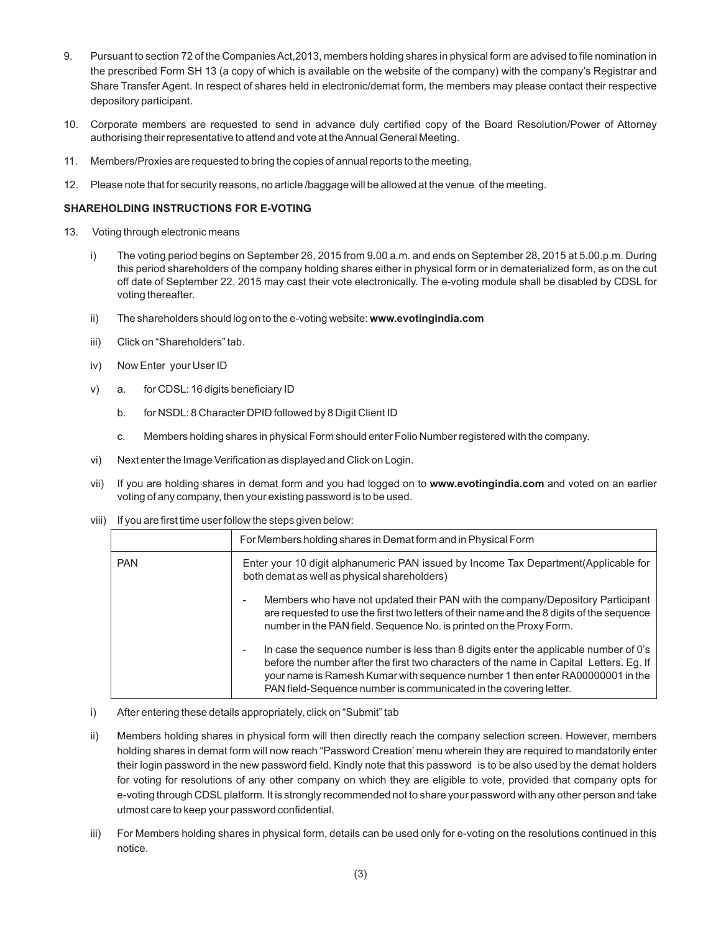- 9. Pursuant to section 72 of the Companies Act,2013, members holding shares in physical form are advised to file nomination in the prescribed Form SH 13 (a copy of which is available on the website of the company) with the company's Registrar and Share Transfer Agent. In respect of shares held in electronic/demat form, the members may please contact their respective depository participant.
- 10. Corporate members are requested to send in advance duly certified copy of the Board Resolution/Power of Attorney authorising their representative to attend and vote at the Annual General Meeting.
- 11. Members/Proxies are requested to bring the copies of annual reports to the meeting.
- 12. Please note that for security reasons, no article /baggage will be allowed at the venue of the meeting.

#### **SHAREHOLDING INSTRUCTIONS FOR E-VOTING**

- 13. Voting through electronic means
	- i) The voting period begins on September 26, 2015 from 9.00 a.m. and ends on September 28, 2015 at 5.00.p.m. During this period shareholders of the company holding shares either in physical form or in dematerialized form, as on the cut off date of September 22, 2015 may cast their vote electronically. The e-voting module shall be disabled by CDSL for voting thereafter.
	- ii) The shareholders should log on to the e-voting website: **www.evotingindia.com**
	- iii) Click on "Shareholders" tab.
	- iv) Now Enter your User ID
	- v) a. for CDSL: 16 digits beneficiary ID
		- b. for NSDL: 8 Character DPID followed by 8 Digit Client ID
		- c. Members holding shares in physical Form should enter Folio Number registered with the company.
	- vi) Next enter the Image Verification as displayed and Click on Login.
	- vii) If you are holding shares in demat form and you had logged on to **www.evotingindia.com** and voted on an earlier voting of any company, then your existing password is to be used.
	- viii) If you are first time user follow the steps given below:

|            | For Members holding shares in Demat form and in Physical Form                                                                                                                                                                                                                                                                                                     |
|------------|-------------------------------------------------------------------------------------------------------------------------------------------------------------------------------------------------------------------------------------------------------------------------------------------------------------------------------------------------------------------|
| <b>PAN</b> | Enter your 10 digit alphanumeric PAN issued by Income Tax Department(Applicable for<br>both demat as well as physical shareholders)                                                                                                                                                                                                                               |
|            | Members who have not updated their PAN with the company/Depository Participant<br>$\overline{\phantom{a}}$<br>are requested to use the first two letters of their name and the 8 digits of the sequence<br>number in the PAN field. Sequence No. is printed on the Proxy Form.                                                                                    |
|            | In case the sequence number is less than 8 digits enter the applicable number of 0's<br>$\overline{\phantom{a}}$<br>before the number after the first two characters of the name in Capital Letters. Eq. If<br>your name is Ramesh Kumar with sequence number 1 then enter RA00000001 in the<br>PAN field-Sequence number is communicated in the covering letter. |

- i) After entering these details appropriately, click on "Submit" tab
- ii) Members holding shares in physical form will then directly reach the company selection screen. However, members holding shares in demat form will now reach "Password Creation' menu wherein they are required to mandatorily enter their login password in the new password field. Kindly note that this password is to be also used by the demat holders for voting for resolutions of any other company on which they are eligible to vote, provided that company opts for e-voting through CDSL platform. It is strongly recommended not to share your password with any other person and take utmost care to keep your password confidential.
- iii) For Members holding shares in physical form, details can be used only for e-voting on the resolutions continued in this notice.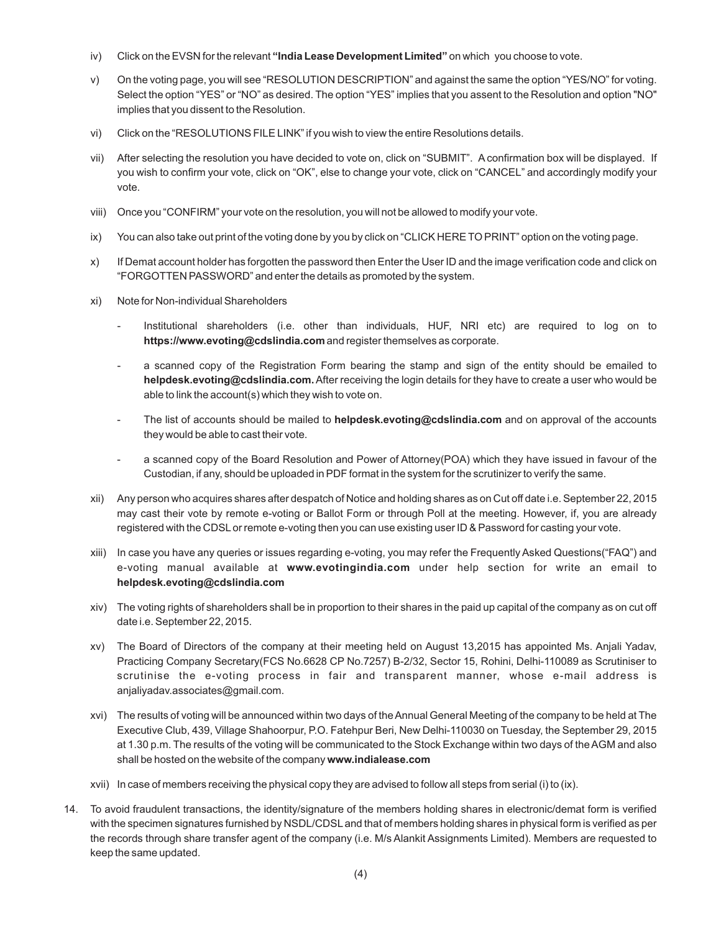- iv) Click on the EVSN for the relevant **"India Lease Development Limited"** on which you choose to vote.
- v) On the voting page, you will see "RESOLUTION DESCRIPTION" and against the same the option "YES/NO" for voting. Select the option "YES" or "NO" as desired. The option "YES" implies that you assent to the Resolution and option "NO" implies that you dissent to the Resolution.
- vi) Click on the "RESOLUTIONS FILE LINK" if you wish to view the entire Resolutions details.
- vii) After selecting the resolution you have decided to vote on, click on "SUBMIT". A confirmation box will be displayed. If you wish to confirm your vote, click on "OK", else to change your vote, click on "CANCEL" and accordingly modify your vote.
- viii) Once you "CONFIRM" your vote on the resolution, you will not be allowed to modify your vote.
- ix) You can also take out print of the voting done by you by click on "CLICK HERE TO PRINT" option on the voting page.
- x) If Demat account holder has forgotten the password then Enter the User ID and the image verification code and click on "FORGOTTEN PASSWORD" and enter the details as promoted by the system.
- xi) Note for Non-individual Shareholders
	- Institutional shareholders (i.e. other than individuals, HUF, NRI etc) are required to log on to **https://www.evoting@cdslindia.com** and register themselves as corporate.
	- a scanned copy of the Registration Form bearing the stamp and sign of the entity should be emailed to **helpdesk.evoting@cdslindia.com.** After receiving the login details for they have to create a user who would be able to link the account(s) which they wish to vote on.
	- The list of accounts should be mailed to **helpdesk.evoting@cdslindia.com** and on approval of the accounts they would be able to cast their vote.
	- a scanned copy of the Board Resolution and Power of Attorney(POA) which they have issued in favour of the Custodian, if any, should be uploaded in PDF format in the system for the scrutinizer to verify the same.
- xii) Any person who acquires shares after despatch of Notice and holding shares as on Cut off date i.e. September 22, 2015 may cast their vote by remote e-voting or Ballot Form or through Poll at the meeting. However, if, you are already registered with the CDSL or remote e-voting then you can use existing user ID & Password for casting your vote.
- xiii) In case you have any queries or issues regarding e-voting, you may refer the Frequently Asked Questions("FAQ") and e-voting manual available at **www.evotingindia.com** under help section for write an email to **helpdesk.evoting@cdslindia.com**
- xiv) The voting rights of shareholders shall be in proportion to their shares in the paid up capital of the company as on cut off date i.e. September 22, 2015.
- xv) The Board of Directors of the company at their meeting held on August 13,2015 has appointed Ms. Anjali Yadav, Practicing Company Secretary(FCS No.6628 CP No.7257) B-2/32, Sector 15, Rohini, Delhi-110089 as Scrutiniser to scrutinise the e-voting process in fair and transparent manner, whose e-mail address is anjaliyadav.associates@gmail.com.
- xvi) The results of voting will be announced within two days of the Annual General Meeting of the company to be held at The Executive Club, 439, Village Shahoorpur, P.O. Fatehpur Beri, New Delhi-110030 on Tuesday, the September 29, 2015 at 1.30 p.m. The results of the voting will be communicated to the Stock Exchange within two days of the AGM and also shall be hosted on the website of the company **www.indialease.com**
- xvii) In case of members receiving the physical copy they are advised to follow all steps from serial (i) to (ix).
- 14. To avoid fraudulent transactions, the identity/signature of the members holding shares in electronic/demat form is verified with the specimen signatures furnished by NSDL/CDSL and that of members holding shares in physical form is verified as per the records through share transfer agent of the company (i.e. M/s Alankit Assignments Limited). Members are requested to keep the same updated.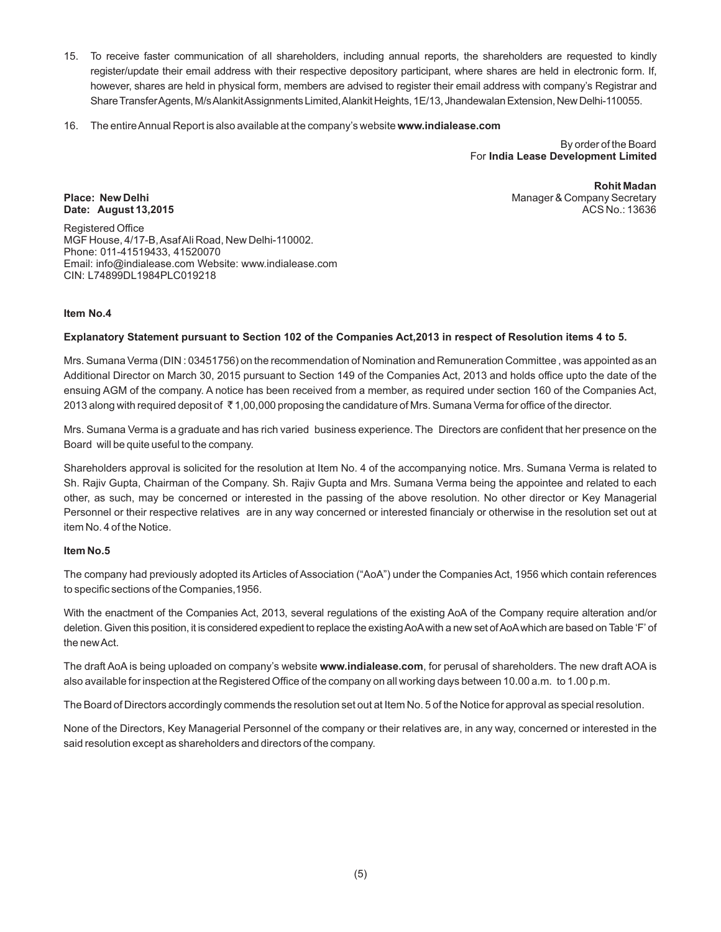- 15. To receive faster communication of all shareholders, including annual reports, the shareholders are requested to kindly register/update their email address with their respective depository participant, where shares are held in electronic form. If, however, shares are held in physical form, members are advised to register their email address with company's Registrar and Share Transfer Agents, M/s Alankit Assignments Limited, Alankit Heights, 1E/13, Jhandewalan Extension, New Delhi-110055.
- 16. The entire Annual Report is also available at the company's website **www.indialease.com**

By order of the Board For **India Lease Development Limited**

 **Rohit Madan Place: New Delhi Place: New Delhi National Secretary Company Secretary Manager & Company Secretary Date: August 13,2015** ACS No.: 13636

Registered Office MGF House, 4/17-B, Asaf Ali Road, New Delhi-110002. Phone: 011-41519433, 41520070 Email: info@indialease.com Website: www.indialease.com CIN: L74899DL1984PLC019218

#### **Item No.4**

#### **Explanatory Statement pursuant to Section 102 of the Companies Act,2013 in respect of Resolution items 4 to 5.**

Mrs. Sumana Verma (DIN : 03451756) on the recommendation of Nomination and Remuneration Committee , was appointed as an Additional Director on March 30, 2015 pursuant to Section 149 of the Companies Act, 2013 and holds office upto the date of the ensuing AGM of the company. A notice has been received from a member, as required under section 160 of the Companies Act, 2013 along with required deposit of  $\bar{\tau}$  1,00,000 proposing the candidature of Mrs. Sumana Verma for office of the director.

Mrs. Sumana Verma is a graduate and has rich varied business experience. The Directors are confident that her presence on the Board will be quite useful to the company.

Shareholders approval is solicited for the resolution at Item No. 4 of the accompanying notice. Mrs. Sumana Verma is related to Sh. Rajiv Gupta, Chairman of the Company. Sh. Rajiv Gupta and Mrs. Sumana Verma being the appointee and related to each other, as such, may be concerned or interested in the passing of the above resolution. No other director or Key Managerial Personnel or their respective relatives are in any way concerned or interested financialy or otherwise in the resolution set out at item No. 4 of the Notice.

#### **Item No.5**

The company had previously adopted its Articles of Association ("AoA") under the Companies Act, 1956 which contain references to specific sections of the Companies,1956.

With the enactment of the Companies Act, 2013, several regulations of the existing AoA of the Company require alteration and/or deletion. Given this position, it is considered expedient to replace the existing AoA with a new set of AoA which are based on Table 'F' of the new Act.

The draft AoA is being uploaded on company's website **www.indialease.com**, for perusal of shareholders. The new draft AOA is also available for inspection at the Registered Office of the company on all working days between 10.00 a.m. to 1.00 p.m.

The Board of Directors accordingly commends the resolution set out at Item No. 5 of the Notice for approval as special resolution.

None of the Directors, Key Managerial Personnel of the company or their relatives are, in any way, concerned or interested in the said resolution except as shareholders and directors of the company.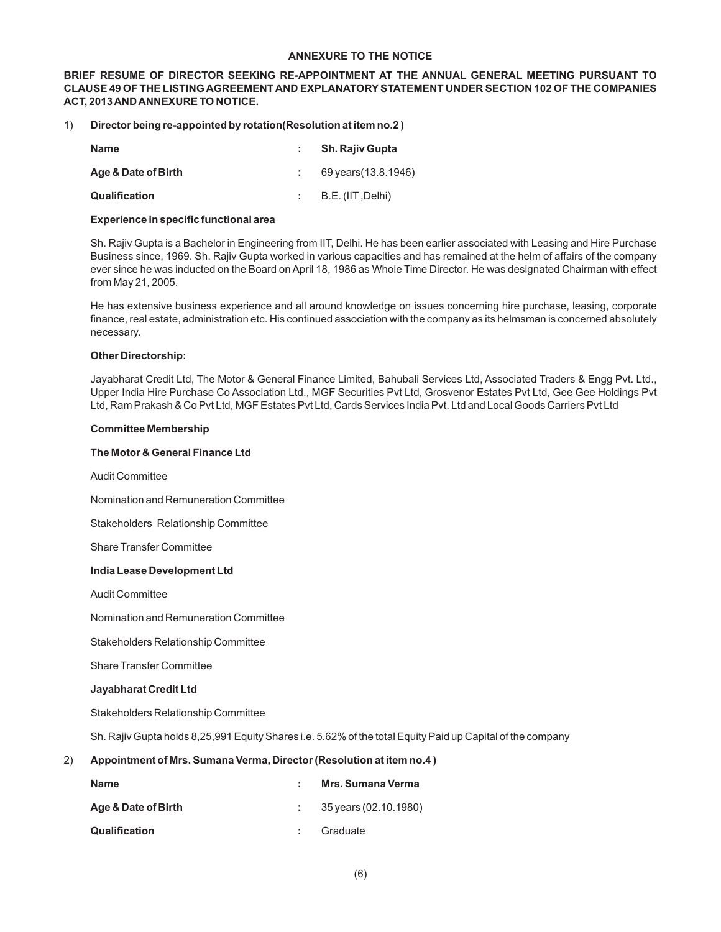#### **ANNEXURE TO THE NOTICE**

**BRIEF RESUME OF DIRECTOR SEEKING RE-APPOINTMENT AT THE ANNUAL GENERAL MEETING PURSUANT TO CLAUSE 49 OF THE LISTING AGREEMENT AND EXPLANATORY STATEMENT UNDER SECTION 102 OF THE COMPANIES ACT, 2013 AND ANNEXURE TO NOTICE.**

#### 1) **Director being re-appointed by rotation(Resolution at item no.2 )**

| Name                | <b>Sh. Rajiv Gupta</b> |
|---------------------|------------------------|
| Age & Date of Birth | 69 years (13.8.1946)   |
| Qualification       | B.E. (IIT, Delhi)      |

#### **Experience in specific functional area**

Sh. Rajiv Gupta is a Bachelor in Engineering from IIT, Delhi. He has been earlier associated with Leasing and Hire Purchase Business since, 1969. Sh. Rajiv Gupta worked in various capacities and has remained at the helm of affairs of the company ever since he was inducted on the Board on April 18, 1986 as Whole Time Director. He was designated Chairman with effect from May 21, 2005.

He has extensive business experience and all around knowledge on issues concerning hire purchase, leasing, corporate finance, real estate, administration etc. His continued association with the company as its helmsman is concerned absolutely necessary.

#### **Other Directorship:**

Jayabharat Credit Ltd, The Motor & General Finance Limited, Bahubali Services Ltd, Associated Traders & Engg Pvt. Ltd., Upper India Hire Purchase Co Association Ltd., MGF Securities Pvt Ltd, Grosvenor Estates Pvt Ltd, Gee Gee Holdings Pvt Ltd, Ram Prakash & Co Pvt Ltd, MGF Estates Pvt Ltd, Cards Services India Pvt. Ltd and Local Goods Carriers Pvt Ltd

#### **Committee Membership**

#### **The Motor & General Finance Ltd**

Audit Committee

Nomination and Remuneration Committee

Stakeholders Relationship Committee

Share Transfer Committee

#### **India Lease Development Ltd**

Audit Committee

Nomination and Remuneration Committee

Stakeholders Relationship Committee

Share Transfer Committee

#### **Jayabharat Credit Ltd**

Stakeholders Relationship Committee

Sh. Rajiv Gupta holds 8,25,991 Equity Shares i.e. 5.62% of the total Equity Paid up Capital of the company

#### 2) **Appointment of Mrs. Sumana Verma, Director (Resolution at item no.4 )**

| Name                | Mrs. Sumana Verma     |
|---------------------|-----------------------|
| Age & Date of Birth | 35 years (02.10.1980) |
| Qualification       | Graduate              |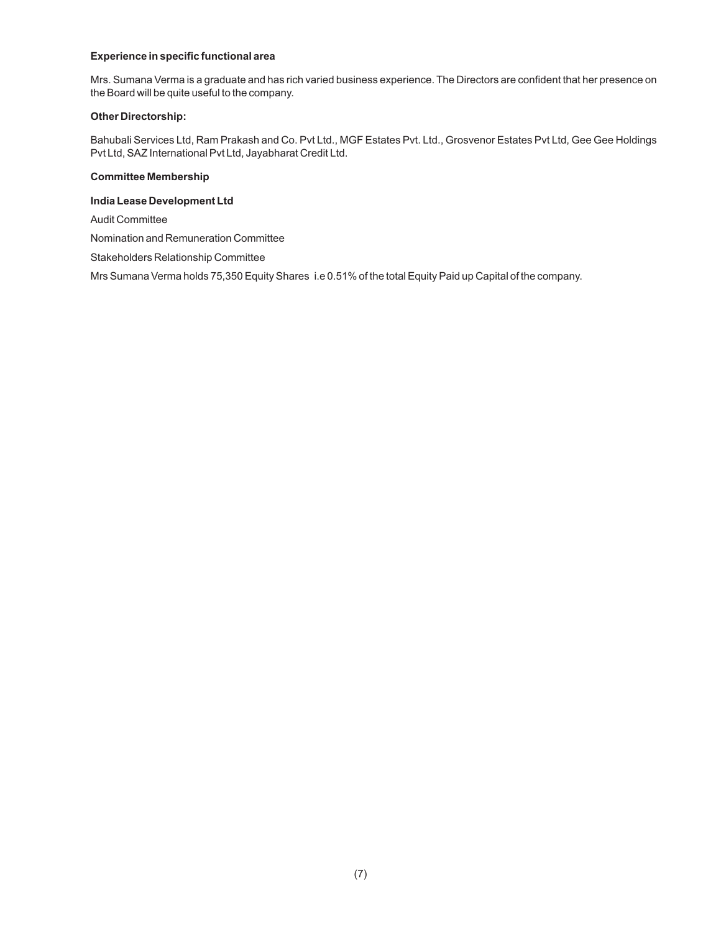#### **Experience in specific functional area**

Mrs. Sumana Verma is a graduate and has rich varied business experience. The Directors are confident that her presence on the Board will be quite useful to the company.

#### **Other Directorship:**

Bahubali Services Ltd, Ram Prakash and Co. Pvt Ltd., MGF Estates Pvt. Ltd., Grosvenor Estates Pvt Ltd, Gee Gee Holdings Pvt Ltd, SAZ International Pvt Ltd, Jayabharat Credit Ltd.

#### **Committee Membership**

#### **India Lease Development Ltd**

Audit Committee

Nomination and Remuneration Committee

Stakeholders Relationship Committee

Mrs Sumana Verma holds 75,350 Equity Shares i.e 0.51% of the total Equity Paid up Capital of the company.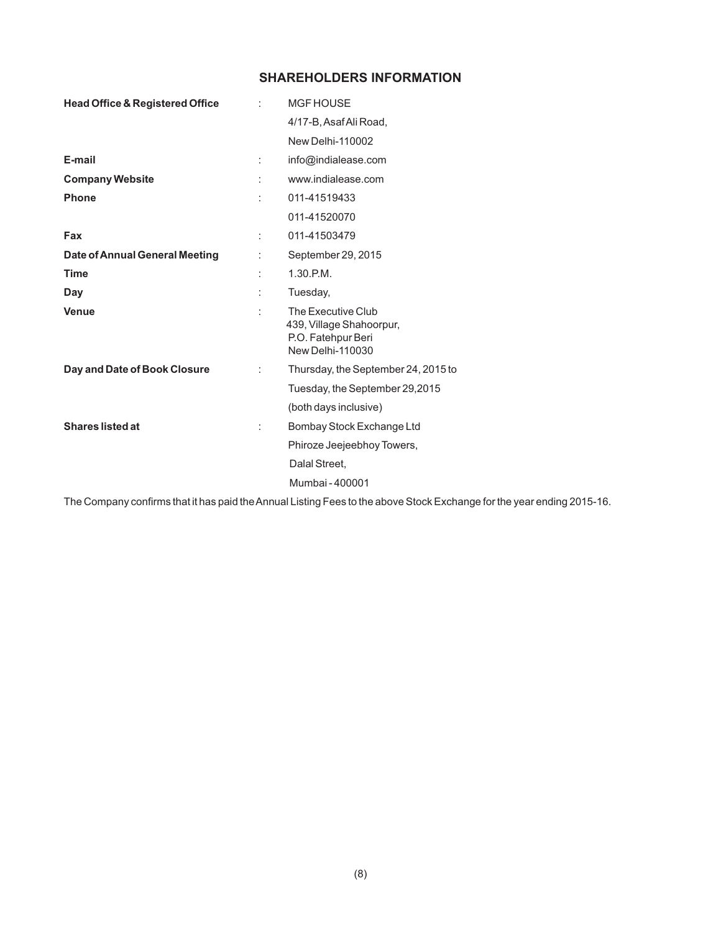## **SHAREHOLDERS INFORMATION**

| <b>Head Office &amp; Registered Office</b> | <b>MGF HOUSE</b>                                                                         |
|--------------------------------------------|------------------------------------------------------------------------------------------|
|                                            | 4/17-B, Asaf Ali Road,                                                                   |
|                                            | New Delhi-110002                                                                         |
| E-mail                                     | info@indialease.com                                                                      |
| <b>Company Website</b>                     | www.indialease.com                                                                       |
| <b>Phone</b>                               | 011-41519433                                                                             |
|                                            | 011-41520070                                                                             |
| Fax                                        | 011-41503479                                                                             |
| Date of Annual General Meeting             | September 29, 2015                                                                       |
| <b>Time</b>                                | 1.30.P.M.                                                                                |
| Day                                        | Tuesday,                                                                                 |
| <b>Venue</b>                               | The Executive Club<br>439, Village Shahoorpur,<br>P.O. Fatehpur Beri<br>New Delhi-110030 |
| Day and Date of Book Closure               | Thursday, the September 24, 2015 to                                                      |
|                                            | Tuesday, the September 29,2015                                                           |
|                                            | (both days inclusive)                                                                    |
| <b>Shares listed at</b>                    | Bombay Stock Exchange Ltd                                                                |
|                                            | Phiroze Jeejeebhoy Towers,                                                               |
|                                            | Dalal Street,                                                                            |
|                                            | Mumbai - 400001                                                                          |
|                                            |                                                                                          |

The Company confirms that it has paid the Annual Listing Fees to the above Stock Exchange for the year ending 2015-16.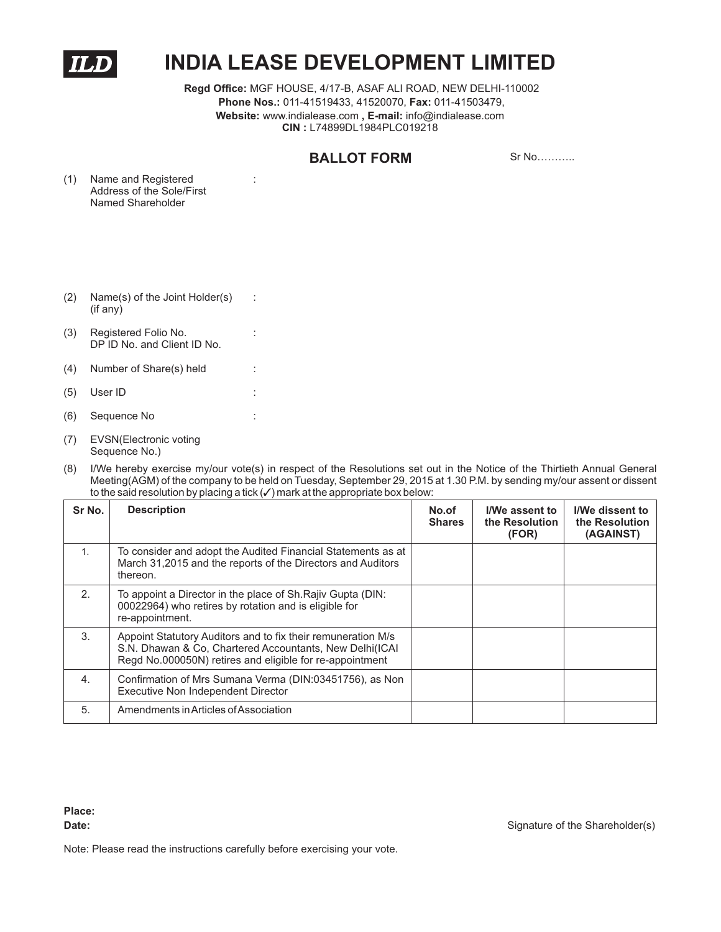

 **Regd Office:** MGF HOUSE, 4/17-B, ASAF ALI ROAD, NEW DELHI-110002  **Phone Nos.:** 011-41519433, 41520070, **Fax:** 011-41503479, **Website:** www.indialease.com **, E-mail:** info@indialease.com **CIN :** L74899DL1984PLC019218

## **BALLOT FORM** Sr No...........

- (1) Name and Registered : Address of the Sole/First Named Shareholder
- (2) Name(s) of the Joint Holder(s) : (if any)
- (3) Registered Folio No. : DP ID No. and Client ID No.
- (4) Number of Share(s) held :
- (5) User ID :
- (6) Sequence No
- (7) EVSN(Electronic voting Sequence No.)
- (8) I/We hereby exercise my/our vote(s) in respect of the Resolutions set out in the Notice of the Thirtieth Annual General Meeting(AGM) of the company to be held on Tuesday, September 29, 2015 at 1.30 P.M. by sending my/our assent or dissent to the said resolution by placing a tick (✓) mark at the appropriate box below:

| Sr No.         | <b>Description</b>                                                                                                                                                                  | No.of<br><b>Shares</b> | I/We assent to<br>the Resolution<br>(FOR) | I/We dissent to<br>the Resolution<br>(AGAINST) |
|----------------|-------------------------------------------------------------------------------------------------------------------------------------------------------------------------------------|------------------------|-------------------------------------------|------------------------------------------------|
| 1 <sub>1</sub> | To consider and adopt the Audited Financial Statements as at<br>March 31,2015 and the reports of the Directors and Auditors<br>thereon.                                             |                        |                                           |                                                |
| 2.             | To appoint a Director in the place of Sh. Rajiv Gupta (DIN:<br>00022964) who retires by rotation and is eligible for<br>re-appointment.                                             |                        |                                           |                                                |
| 3.             | Appoint Statutory Auditors and to fix their remuneration M/s<br>S.N. Dhawan & Co, Chartered Accountants, New Delhi(ICAI<br>Regd No.000050N) retires and eligible for re-appointment |                        |                                           |                                                |
| 4.             | Confirmation of Mrs Sumana Verma (DIN:03451756), as Non<br>Executive Non Independent Director                                                                                       |                        |                                           |                                                |
| 5.             | Amendments in Articles of Association                                                                                                                                               |                        |                                           |                                                |

**Place:** 

Note: Please read the instructions carefully before exercising your vote.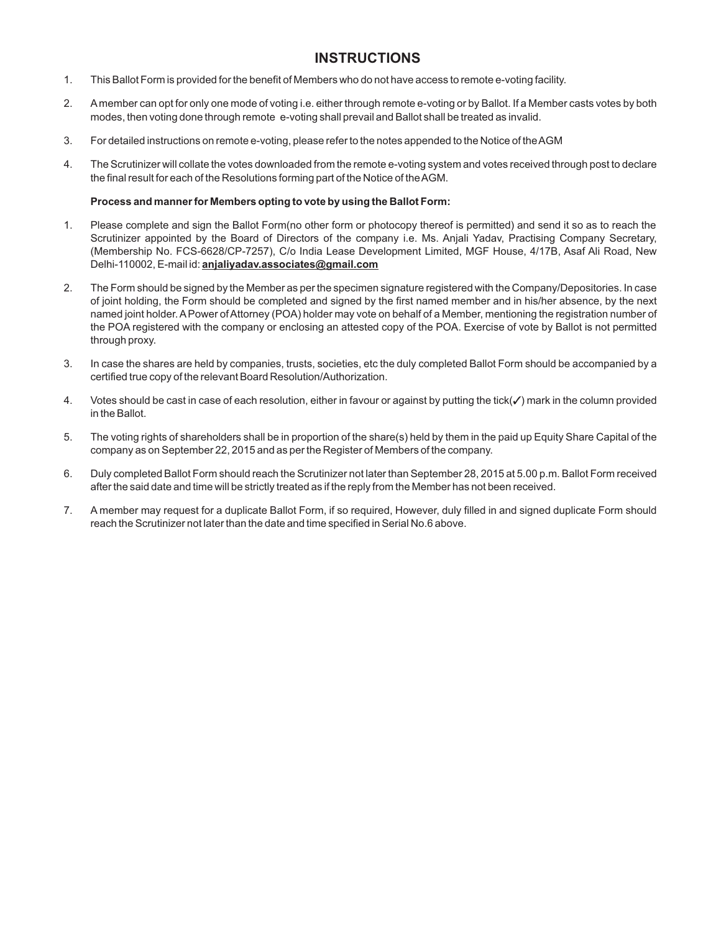## **INSTRUCTIONS**

- 1. This Ballot Form is provided for the benefit of Members who do not have access to remote e-voting facility.
- 2. A member can opt for only one mode of voting i.e. either through remote e-voting or by Ballot. If a Member casts votes by both modes, then voting done through remote e-voting shall prevail and Ballot shall be treated as invalid.
- 3. For detailed instructions on remote e-voting, please refer to the notes appended to the Notice of the AGM
- 4. The Scrutinizer will collate the votes downloaded from the remote e-voting system and votes received through post to declare the final result for each of the Resolutions forming part of the Notice of the AGM.

#### **Process and manner for Members opting to vote by using the Ballot Form:**

- 1. Please complete and sign the Ballot Form(no other form or photocopy thereof is permitted) and send it so as to reach the Scrutinizer appointed by the Board of Directors of the company i.e. Ms. Anjali Yadav, Practising Company Secretary, (Membership No. FCS-6628/CP-7257), C/o India Lease Development Limited, MGF House, 4/17B, Asaf Ali Road, New Delhi-110002, E-mail id: **anjaliyadav.associates@gmail.com**
- 2. The Form should be signed by the Member as per the specimen signature registered with the Company/Depositories. In case of joint holding, the Form should be completed and signed by the first named member and in his/her absence, by the next named joint holder. A Power of Attorney (POA) holder may vote on behalf of a Member, mentioning the registration number of the POA registered with the company or enclosing an attested copy of the POA. Exercise of vote by Ballot is not permitted through proxy.
- 3. In case the shares are held by companies, trusts, societies, etc the duly completed Ballot Form should be accompanied by a certified true copy of the relevant Board Resolution/Authorization.
- 4. Votes should be cast in case of each resolution, either in favour or against by putting the tick( $\checkmark$ ) mark in the column provided in the Ballot.
- 5. The voting rights of shareholders shall be in proportion of the share(s) held by them in the paid up Equity Share Capital of the company as on September 22, 2015 and as per the Register of Members of the company.
- 6. Duly completed Ballot Form should reach the Scrutinizer not later than September 28, 2015 at 5.00 p.m. Ballot Form received after the said date and time will be strictly treated as if the reply from the Member has not been received.
- 7. A member may request for a duplicate Ballot Form, if so required, However, duly filled in and signed duplicate Form should reach the Scrutinizer not later than the date and time specified in Serial No.6 above.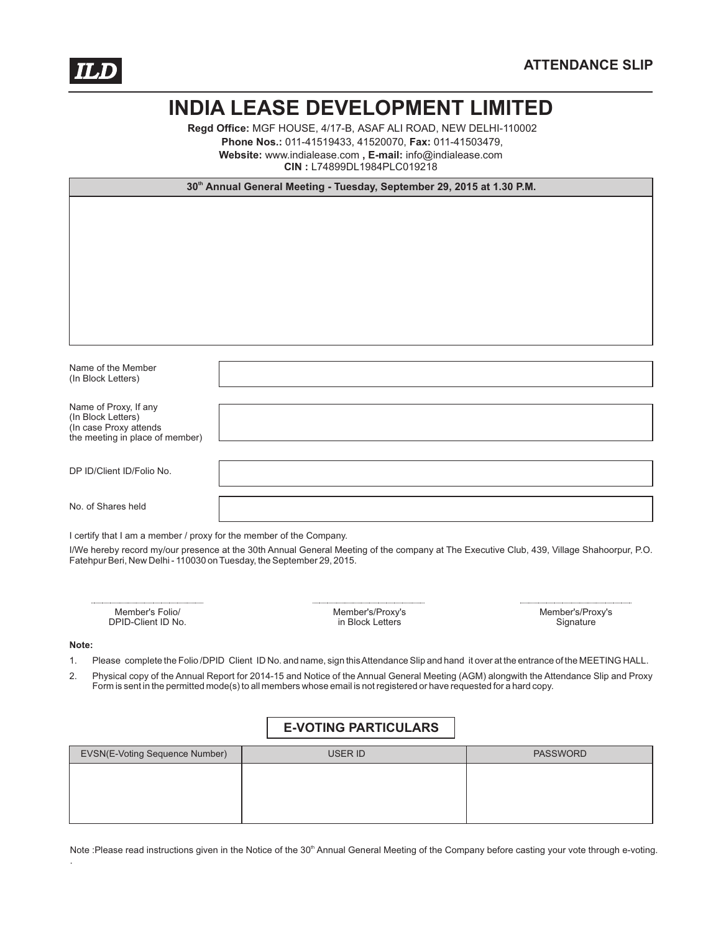

 **Regd Office:** MGF HOUSE, 4/17-B, ASAF ALI ROAD, NEW DELHI-110002  **Phone Nos.:** 011-41519433, 41520070, **Fax:** 011-41503479, **Website:** www.indialease.com **, E-mail:** info@indialease.com **CIN :** L74899DL1984PLC019218

| 30 <sup>th</sup> Annual General Meeting - Tuesday, September 29, 2015 at 1.30 P.M. |                                                                                                                                                                                                                                   |  |  |  |  |
|------------------------------------------------------------------------------------|-----------------------------------------------------------------------------------------------------------------------------------------------------------------------------------------------------------------------------------|--|--|--|--|
|                                                                                    |                                                                                                                                                                                                                                   |  |  |  |  |
|                                                                                    |                                                                                                                                                                                                                                   |  |  |  |  |
|                                                                                    |                                                                                                                                                                                                                                   |  |  |  |  |
|                                                                                    |                                                                                                                                                                                                                                   |  |  |  |  |
|                                                                                    |                                                                                                                                                                                                                                   |  |  |  |  |
|                                                                                    |                                                                                                                                                                                                                                   |  |  |  |  |
|                                                                                    |                                                                                                                                                                                                                                   |  |  |  |  |
|                                                                                    |                                                                                                                                                                                                                                   |  |  |  |  |
|                                                                                    |                                                                                                                                                                                                                                   |  |  |  |  |
| Name of the Member                                                                 |                                                                                                                                                                                                                                   |  |  |  |  |
| (In Block Letters)                                                                 |                                                                                                                                                                                                                                   |  |  |  |  |
|                                                                                    |                                                                                                                                                                                                                                   |  |  |  |  |
| Name of Proxy, If any<br>(In Block Letters)                                        |                                                                                                                                                                                                                                   |  |  |  |  |
| (In case Proxy attends<br>the meeting in place of member)                          |                                                                                                                                                                                                                                   |  |  |  |  |
|                                                                                    |                                                                                                                                                                                                                                   |  |  |  |  |
| DP ID/Client ID/Folio No.                                                          |                                                                                                                                                                                                                                   |  |  |  |  |
|                                                                                    |                                                                                                                                                                                                                                   |  |  |  |  |
| No. of Shares held                                                                 |                                                                                                                                                                                                                                   |  |  |  |  |
|                                                                                    |                                                                                                                                                                                                                                   |  |  |  |  |
| I certify that I am a member / proxy for the member of the Company.                |                                                                                                                                                                                                                                   |  |  |  |  |
|                                                                                    | $\mathcal{L}$ , and the set of the set of the set of the set of the set of the set of the set of the set of the set of the set of the set of the set of the set of the set of the set of the set of the set of the set of the set |  |  |  |  |

I/We hereby record my/our presence at the 30th Annual General Meeting of the company at The Executive Club, 439, Village Shahoorpur, P.O. Fatehpur Beri, New Delhi - 110030 on Tuesday, the September 29, 2015.

Member's Folio/ DPID-Client ID No. Member's/Proxy's in Block Letters

Member's/Proxy's Signature

**Note:** 

.

1. Please complete the Folio /DPID Client ID No. and name, sign this Attendance Slip and hand it over at the entrance of the MEETING HALL.

2. Physical copy of the Annual Report for 2014-15 and Notice of the Annual General Meeting (AGM) alongwith the Attendance Slip and Proxy Form is sent in the permitted mode(s) to all members whose email is not registered or have requested for a hard copy.

### **E-VOTING PARTICULARS**

| EVSN(E-Voting Sequence Number) | USER ID | <b>PASSWORD</b> |
|--------------------------------|---------|-----------------|
|                                |         |                 |
|                                |         |                 |
|                                |         |                 |
|                                |         |                 |

Note :Please read instructions given in the Notice of the 30<sup>th</sup> Annual General Meeting of the Company before casting your vote through e-voting.